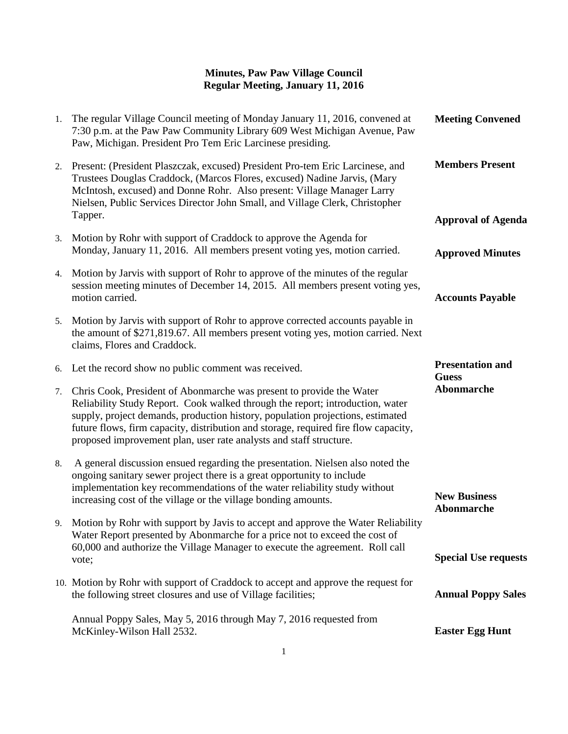| 1. | The regular Village Council meeting of Monday January 11, 2016, convened at<br>7:30 p.m. at the Paw Paw Community Library 609 West Michigan Avenue, Paw<br>Paw, Michigan. President Pro Tem Eric Larcinese presiding.                                                                                                                                                                                | <b>Meeting Convened</b>                  |
|----|------------------------------------------------------------------------------------------------------------------------------------------------------------------------------------------------------------------------------------------------------------------------------------------------------------------------------------------------------------------------------------------------------|------------------------------------------|
| 2. | Present: (President Plaszczak, excused) President Pro-tem Eric Larcinese, and<br>Trustees Douglas Craddock, (Marcos Flores, excused) Nadine Jarvis, (Mary<br>McIntosh, excused) and Donne Rohr. Also present: Village Manager Larry<br>Nielsen, Public Services Director John Small, and Village Clerk, Christopher                                                                                  | <b>Members Present</b>                   |
|    | Tapper.                                                                                                                                                                                                                                                                                                                                                                                              | <b>Approval of Agenda</b>                |
| 3. | Motion by Rohr with support of Craddock to approve the Agenda for<br>Monday, January 11, 2016. All members present voting yes, motion carried.                                                                                                                                                                                                                                                       | <b>Approved Minutes</b>                  |
| 4. | Motion by Jarvis with support of Rohr to approve of the minutes of the regular<br>session meeting minutes of December 14, 2015. All members present voting yes,<br>motion carried.                                                                                                                                                                                                                   | <b>Accounts Payable</b>                  |
| 5. | Motion by Jarvis with support of Rohr to approve corrected accounts payable in<br>the amount of \$271,819.67. All members present voting yes, motion carried. Next<br>claims, Flores and Craddock.                                                                                                                                                                                                   |                                          |
|    | 6. Let the record show no public comment was received.                                                                                                                                                                                                                                                                                                                                               | <b>Presentation and</b><br><b>Guess</b>  |
| 7. | Chris Cook, President of Abonmarche was present to provide the Water<br>Reliability Study Report. Cook walked through the report; introduction, water<br>supply, project demands, production history, population projections, estimated<br>future flows, firm capacity, distribution and storage, required fire flow capacity,<br>proposed improvement plan, user rate analysts and staff structure. | <b>Abonmarche</b>                        |
| 8. | A general discussion ensued regarding the presentation. Nielsen also noted the<br>ongoing sanitary sewer project there is a great opportunity to include<br>implementation key recommendations of the water reliability study without<br>increasing cost of the village or the village bonding amounts.                                                                                              | <b>New Business</b><br><b>Abonmarche</b> |
|    | 9. Motion by Rohr with support by Javis to accept and approve the Water Reliability<br>Water Report presented by Abonmarche for a price not to exceed the cost of                                                                                                                                                                                                                                    |                                          |
|    | 60,000 and authorize the Village Manager to execute the agreement. Roll call<br>vote;                                                                                                                                                                                                                                                                                                                | <b>Special Use requests</b>              |
|    | 10. Motion by Rohr with support of Craddock to accept and approve the request for<br>the following street closures and use of Village facilities;                                                                                                                                                                                                                                                    | <b>Annual Poppy Sales</b>                |
|    | Annual Poppy Sales, May 5, 2016 through May 7, 2016 requested from<br>McKinley-Wilson Hall 2532.                                                                                                                                                                                                                                                                                                     | <b>Easter Egg Hunt</b>                   |
|    |                                                                                                                                                                                                                                                                                                                                                                                                      |                                          |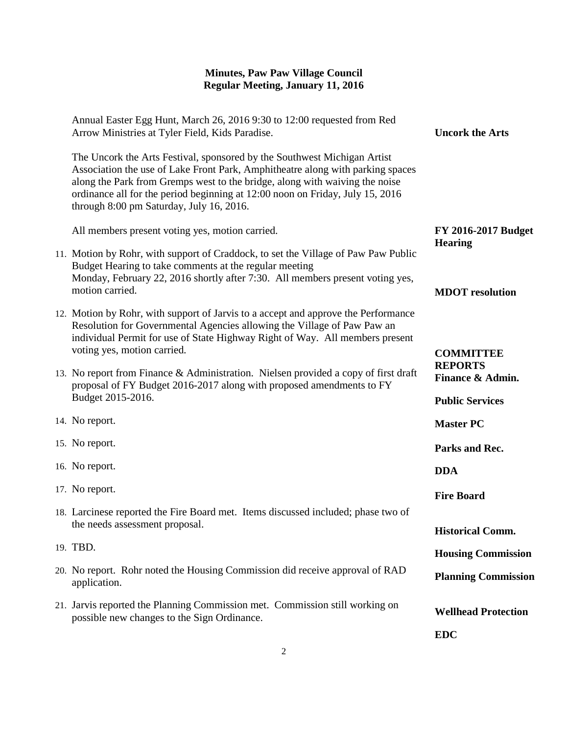| Annual Easter Egg Hunt, March 26, 2016 9:30 to 12:00 requested from Red<br>Arrow Ministries at Tyler Field, Kids Paradise.                                                                                                                                                                                                                                             | <b>Uncork the Arts</b>                                       |
|------------------------------------------------------------------------------------------------------------------------------------------------------------------------------------------------------------------------------------------------------------------------------------------------------------------------------------------------------------------------|--------------------------------------------------------------|
| The Uncork the Arts Festival, sponsored by the Southwest Michigan Artist<br>Association the use of Lake Front Park, Amphitheatre along with parking spaces<br>along the Park from Gremps west to the bridge, along with waiving the noise<br>ordinance all for the period beginning at 12:00 noon on Friday, July 15, 2016<br>through 8:00 pm Saturday, July 16, 2016. |                                                              |
| All members present voting yes, motion carried.                                                                                                                                                                                                                                                                                                                        | <b>FY 2016-2017 Budget</b><br><b>Hearing</b>                 |
| 11. Motion by Rohr, with support of Craddock, to set the Village of Paw Paw Public<br>Budget Hearing to take comments at the regular meeting<br>Monday, February 22, 2016 shortly after 7:30. All members present voting yes,<br>motion carried.                                                                                                                       | <b>MDOT</b> resolution                                       |
| 12. Motion by Rohr, with support of Jarvis to a accept and approve the Performance<br>Resolution for Governmental Agencies allowing the Village of Paw Paw an<br>individual Permit for use of State Highway Right of Way. All members present<br>voting yes, motion carried.                                                                                           | <b>COMMITTEE</b>                                             |
| 13. No report from Finance & Administration. Nielsen provided a copy of first draft<br>proposal of FY Budget 2016-2017 along with proposed amendments to FY<br>Budget 2015-2016.                                                                                                                                                                                       | <b>REPORTS</b><br>Finance & Admin.<br><b>Public Services</b> |
| 14. No report.                                                                                                                                                                                                                                                                                                                                                         | <b>Master PC</b>                                             |
| 15. No report.                                                                                                                                                                                                                                                                                                                                                         | Parks and Rec.                                               |
| 16. No report.                                                                                                                                                                                                                                                                                                                                                         | <b>DDA</b>                                                   |
| 17. No report.                                                                                                                                                                                                                                                                                                                                                         | <b>Fire Board</b>                                            |
| 18. Larcinese reported the Fire Board met. Items discussed included; phase two of<br>the needs assessment proposal.                                                                                                                                                                                                                                                    | <b>Historical Comm.</b>                                      |
| 19. TBD.                                                                                                                                                                                                                                                                                                                                                               | <b>Housing Commission</b>                                    |
| 20. No report. Rohr noted the Housing Commission did receive approval of RAD<br>application.                                                                                                                                                                                                                                                                           | <b>Planning Commission</b>                                   |
| 21. Jarvis reported the Planning Commission met. Commission still working on<br>possible new changes to the Sign Ordinance.                                                                                                                                                                                                                                            | <b>Wellhead Protection</b>                                   |
|                                                                                                                                                                                                                                                                                                                                                                        | <b>EDC</b>                                                   |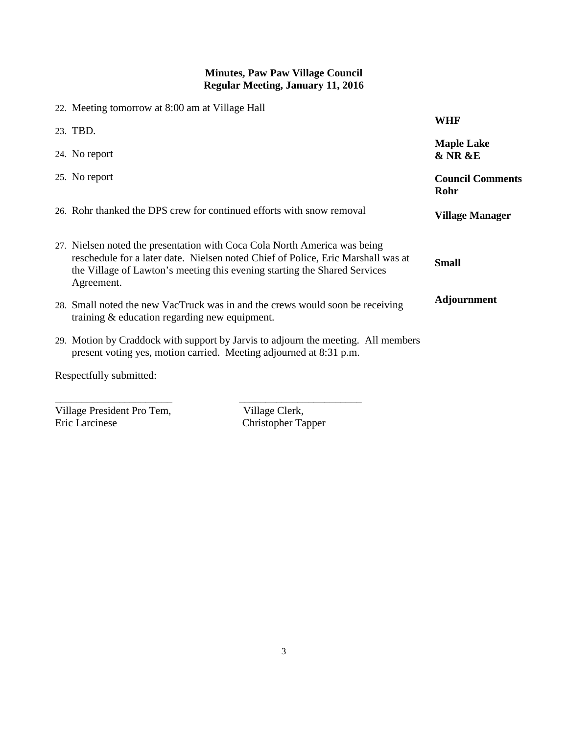| 22. Meeting tomorrow at 8:00 am at Village Hall                                                                                                                                                                                                          |                                             |
|----------------------------------------------------------------------------------------------------------------------------------------------------------------------------------------------------------------------------------------------------------|---------------------------------------------|
| 23. TBD.                                                                                                                                                                                                                                                 | <b>WHF</b>                                  |
| 24. No report                                                                                                                                                                                                                                            | <b>Maple Lake</b><br><b>&amp; NR &amp;E</b> |
| 25. No report                                                                                                                                                                                                                                            | <b>Council Comments</b><br>Rohr             |
| 26. Rohr thanked the DPS crew for continued efforts with snow removal                                                                                                                                                                                    | <b>Village Manager</b>                      |
| 27. Nielsen noted the presentation with Coca Cola North America was being<br>reschedule for a later date. Nielsen noted Chief of Police, Eric Marshall was at<br>the Village of Lawton's meeting this evening starting the Shared Services<br>Agreement. | <b>Small</b>                                |
| 28. Small noted the new VacTruck was in and the crews would soon be receiving<br>training $&$ education regarding new equipment.                                                                                                                         | <b>Adjournment</b>                          |
| 29. Motion by Craddock with support by Jarvis to adjourn the meeting. All members<br>present voting yes, motion carried. Meeting adjourned at 8:31 p.m.                                                                                                  |                                             |
| Respectfully submitted:                                                                                                                                                                                                                                  |                                             |

\_\_\_\_\_\_\_\_\_\_\_\_\_\_\_\_\_\_\_\_\_\_ \_\_\_\_\_\_\_\_\_\_\_\_\_\_\_\_\_\_\_\_\_\_\_

Village President Pro Tem, Village Clerk,<br>Eric Larcinese Christopher Ta

Christopher Tapper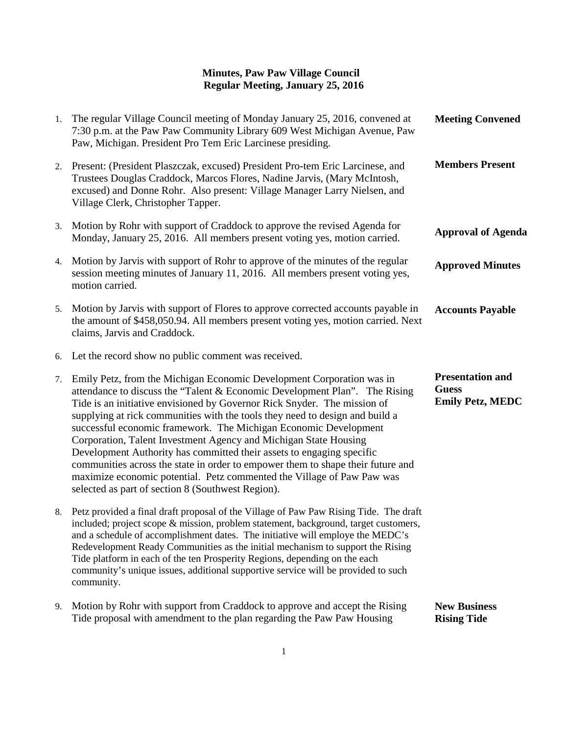| 1. | The regular Village Council meeting of Monday January 25, 2016, convened at<br>7:30 p.m. at the Paw Paw Community Library 609 West Michigan Avenue, Paw<br>Paw, Michigan. President Pro Tem Eric Larcinese presiding.                                                                                                                                                                                                                                                                                                                                                                                                                                                                                                                              | <b>Meeting Convened</b>                                            |
|----|----------------------------------------------------------------------------------------------------------------------------------------------------------------------------------------------------------------------------------------------------------------------------------------------------------------------------------------------------------------------------------------------------------------------------------------------------------------------------------------------------------------------------------------------------------------------------------------------------------------------------------------------------------------------------------------------------------------------------------------------------|--------------------------------------------------------------------|
|    | 2. Present: (President Plaszczak, excused) President Pro-tem Eric Larcinese, and<br>Trustees Douglas Craddock, Marcos Flores, Nadine Jarvis, (Mary McIntosh,<br>excused) and Donne Rohr. Also present: Village Manager Larry Nielsen, and<br>Village Clerk, Christopher Tapper.                                                                                                                                                                                                                                                                                                                                                                                                                                                                    | <b>Members Present</b>                                             |
|    | 3. Motion by Rohr with support of Craddock to approve the revised Agenda for<br>Monday, January 25, 2016. All members present voting yes, motion carried.                                                                                                                                                                                                                                                                                                                                                                                                                                                                                                                                                                                          | <b>Approval of Agenda</b>                                          |
| 4. | Motion by Jarvis with support of Rohr to approve of the minutes of the regular<br>session meeting minutes of January 11, 2016. All members present voting yes,<br>motion carried.                                                                                                                                                                                                                                                                                                                                                                                                                                                                                                                                                                  | <b>Approved Minutes</b>                                            |
| 5. | Motion by Jarvis with support of Flores to approve corrected accounts payable in<br>the amount of \$458,050.94. All members present voting yes, motion carried. Next<br>claims, Jarvis and Craddock.                                                                                                                                                                                                                                                                                                                                                                                                                                                                                                                                               | <b>Accounts Payable</b>                                            |
|    | 6. Let the record show no public comment was received.                                                                                                                                                                                                                                                                                                                                                                                                                                                                                                                                                                                                                                                                                             |                                                                    |
| 7. | Emily Petz, from the Michigan Economic Development Corporation was in<br>attendance to discuss the "Talent & Economic Development Plan". The Rising<br>Tide is an initiative envisioned by Governor Rick Snyder. The mission of<br>supplying at rick communities with the tools they need to design and build a<br>successful economic framework. The Michigan Economic Development<br>Corporation, Talent Investment Agency and Michigan State Housing<br>Development Authority has committed their assets to engaging specific<br>communities across the state in order to empower them to shape their future and<br>maximize economic potential. Petz commented the Village of Paw Paw was<br>selected as part of section 8 (Southwest Region). | <b>Presentation and</b><br><b>Guess</b><br><b>Emily Petz, MEDC</b> |
|    | 8. Petz provided a final draft proposal of the Village of Paw Paw Rising Tide. The draft<br>included; project scope & mission, problem statement, background, target customers,<br>and a schedule of accomplishment dates. The initiative will employe the MEDC's<br>Redevelopment Ready Communities as the initial mechanism to support the Rising<br>Tide platform in each of the ten Prosperity Regions, depending on the each<br>community's unique issues, additional supportive service will be provided to such<br>community.                                                                                                                                                                                                               |                                                                    |
| 9. | Motion by Rohr with support from Craddock to approve and accept the Rising<br>Tide proposal with amendment to the plan regarding the Paw Paw Housing                                                                                                                                                                                                                                                                                                                                                                                                                                                                                                                                                                                               | <b>New Business</b><br><b>Rising Tide</b>                          |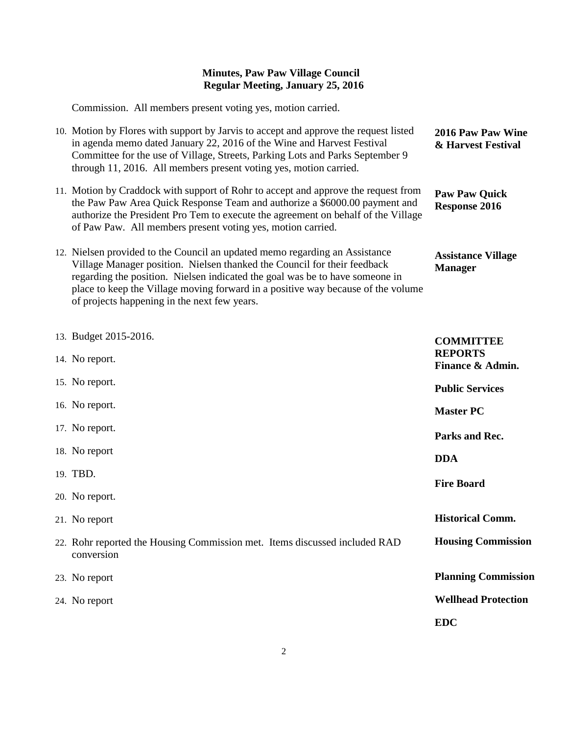Commission. All members present voting yes, motion carried.

| 10. Motion by Flores with support by Jarvis to accept and approve the request listed<br>in agenda memo dated January 22, 2016 of the Wine and Harvest Festival<br>Committee for the use of Village, Streets, Parking Lots and Parks September 9<br>through 11, 2016. All members present voting yes, motion carried.                                                        | 2016 Paw Paw Wine<br>& Harvest Festival      |
|-----------------------------------------------------------------------------------------------------------------------------------------------------------------------------------------------------------------------------------------------------------------------------------------------------------------------------------------------------------------------------|----------------------------------------------|
| 11. Motion by Craddock with support of Rohr to accept and approve the request from<br>the Paw Paw Area Quick Response Team and authorize a \$6000.00 payment and<br>authorize the President Pro Tem to execute the agreement on behalf of the Village<br>of Paw Paw. All members present voting yes, motion carried.                                                        | <b>Paw Paw Quick</b><br><b>Response 2016</b> |
| 12. Nielsen provided to the Council an updated memo regarding an Assistance<br>Village Manager position. Nielsen thanked the Council for their feedback<br>regarding the position. Nielsen indicated the goal was be to have someone in<br>place to keep the Village moving forward in a positive way because of the volume<br>of projects happening in the next few years. | <b>Assistance Village</b><br><b>Manager</b>  |
| 13. Budget 2015-2016.                                                                                                                                                                                                                                                                                                                                                       | <b>COMMITTEE</b>                             |
| 14. No report.                                                                                                                                                                                                                                                                                                                                                              | <b>REPORTS</b><br>Finance & Admin.           |
| 15. No report.                                                                                                                                                                                                                                                                                                                                                              | <b>Public Services</b>                       |
| 16. No report.                                                                                                                                                                                                                                                                                                                                                              | <b>Master PC</b>                             |
| 17. No report.                                                                                                                                                                                                                                                                                                                                                              | Parks and Rec.                               |
| 18. No report                                                                                                                                                                                                                                                                                                                                                               | <b>DDA</b>                                   |
| 19. TBD.                                                                                                                                                                                                                                                                                                                                                                    | <b>Fire Board</b>                            |
| 20. No report.                                                                                                                                                                                                                                                                                                                                                              |                                              |
| 21. No report                                                                                                                                                                                                                                                                                                                                                               | <b>Historical Comm.</b>                      |
| 22. Rohr reported the Housing Commission met. Items discussed included RAD<br>conversion                                                                                                                                                                                                                                                                                    | <b>Housing Commission</b>                    |
| 23. No report                                                                                                                                                                                                                                                                                                                                                               | <b>Planning Commission</b>                   |
| 24. No report                                                                                                                                                                                                                                                                                                                                                               | <b>Wellhead Protection</b>                   |
|                                                                                                                                                                                                                                                                                                                                                                             | <b>EDC</b>                                   |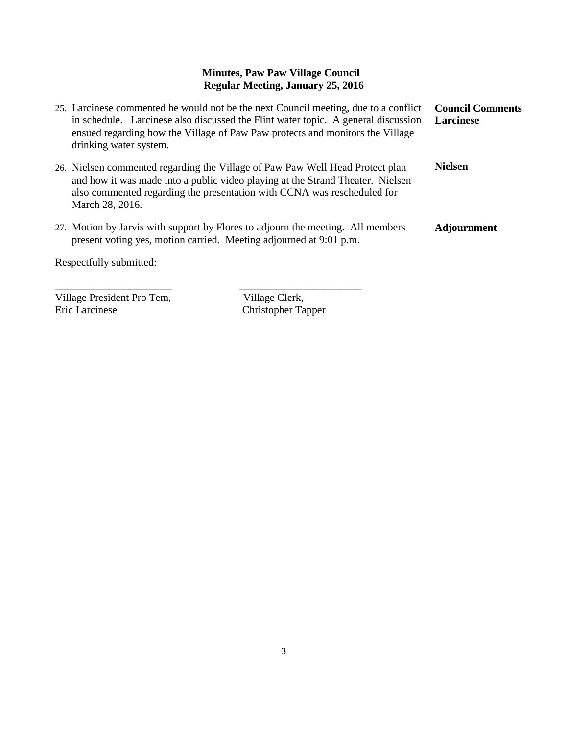| 25. Larcinese commented he would not be the next Council meeting, due to a conflict<br>in schedule. Larcinese also discussed the Flint water topic. A general discussion<br>ensued regarding how the Village of Paw Paw protects and monitors the Village<br>drinking water system. | <b>Council Comments</b><br><b>Larcinese</b> |
|-------------------------------------------------------------------------------------------------------------------------------------------------------------------------------------------------------------------------------------------------------------------------------------|---------------------------------------------|
| 26. Nielsen commented regarding the Village of Paw Paw Well Head Protect plan<br>and how it was made into a public video playing at the Strand Theater. Nielsen<br>also commented regarding the presentation with CCNA was rescheduled for<br>March 28, 2016.                       | <b>Nielsen</b>                              |
| 27. Motion by Jarvis with support by Flores to adjourn the meeting. All members<br>present voting yes, motion carried. Meeting adjourned at 9:01 p.m.                                                                                                                               | <b>Adjournment</b>                          |
| Respectfully submitted:                                                                                                                                                                                                                                                             |                                             |

Village President Pro Tem,<br>Eric Larcinese Christopher Ta

Christopher Tapper

\_\_\_\_\_\_\_\_\_\_\_\_\_\_\_\_\_\_\_\_\_\_ \_\_\_\_\_\_\_\_\_\_\_\_\_\_\_\_\_\_\_\_\_\_\_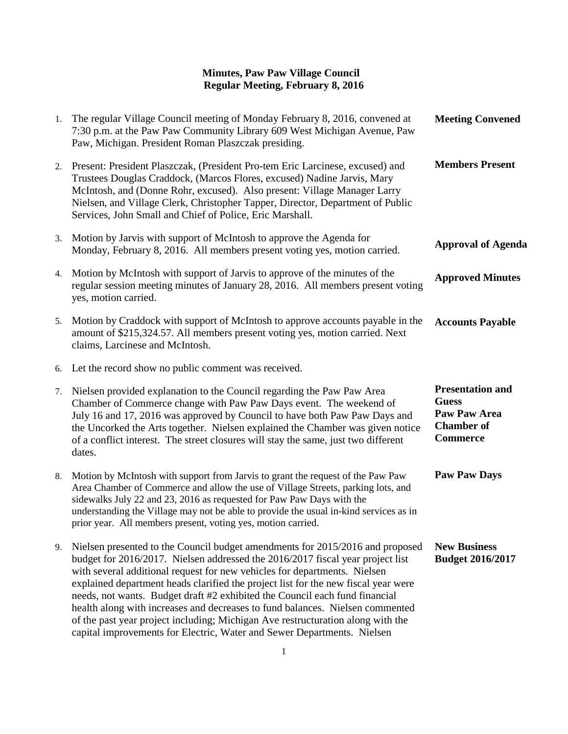| 1. | The regular Village Council meeting of Monday February 8, 2016, convened at<br>7:30 p.m. at the Paw Paw Community Library 609 West Michigan Avenue, Paw<br>Paw, Michigan. President Roman Plaszczak presiding.                                                                                                                                                                                                                                                                                                                                                                                                                                                   | <b>Meeting Convened</b>                                                                                |
|----|------------------------------------------------------------------------------------------------------------------------------------------------------------------------------------------------------------------------------------------------------------------------------------------------------------------------------------------------------------------------------------------------------------------------------------------------------------------------------------------------------------------------------------------------------------------------------------------------------------------------------------------------------------------|--------------------------------------------------------------------------------------------------------|
|    | 2. Present: President Plaszczak, (President Pro-tem Eric Larcinese, excused) and<br>Trustees Douglas Craddock, (Marcos Flores, excused) Nadine Jarvis, Mary<br>McIntosh, and (Donne Rohr, excused). Also present: Village Manager Larry<br>Nielsen, and Village Clerk, Christopher Tapper, Director, Department of Public<br>Services, John Small and Chief of Police, Eric Marshall.                                                                                                                                                                                                                                                                            | <b>Members Present</b>                                                                                 |
| 3. | Motion by Jarvis with support of McIntosh to approve the Agenda for<br>Monday, February 8, 2016. All members present voting yes, motion carried.                                                                                                                                                                                                                                                                                                                                                                                                                                                                                                                 | <b>Approval of Agenda</b>                                                                              |
| 4. | Motion by McIntosh with support of Jarvis to approve of the minutes of the<br>regular session meeting minutes of January 28, 2016. All members present voting<br>yes, motion carried.                                                                                                                                                                                                                                                                                                                                                                                                                                                                            | <b>Approved Minutes</b>                                                                                |
| 5. | Motion by Craddock with support of McIntosh to approve accounts payable in the<br>amount of \$215,324.57. All members present voting yes, motion carried. Next<br>claims, Larcinese and McIntosh.                                                                                                                                                                                                                                                                                                                                                                                                                                                                | <b>Accounts Payable</b>                                                                                |
|    | 6. Let the record show no public comment was received.                                                                                                                                                                                                                                                                                                                                                                                                                                                                                                                                                                                                           |                                                                                                        |
| 7. | Nielsen provided explanation to the Council regarding the Paw Paw Area<br>Chamber of Commerce change with Paw Paw Days event. The weekend of<br>July 16 and 17, 2016 was approved by Council to have both Paw Paw Days and<br>the Uncorked the Arts together. Nielsen explained the Chamber was given notice<br>of a conflict interest. The street closures will stay the same, just two different<br>dates.                                                                                                                                                                                                                                                     | <b>Presentation and</b><br><b>Guess</b><br><b>Paw Paw Area</b><br><b>Chamber</b> of<br><b>Commerce</b> |
| 8. | Motion by McIntosh with support from Jarvis to grant the request of the Paw Paw<br>Area Chamber of Commerce and allow the use of Village Streets, parking lots, and<br>sidewalks July 22 and 23, 2016 as requested for Paw Paw Days with the<br>understanding the Village may not be able to provide the usual in-kind services as in<br>prior year. All members present, voting yes, motion carried.                                                                                                                                                                                                                                                            | <b>Paw Paw Days</b>                                                                                    |
| 9. | Nielsen presented to the Council budget amendments for 2015/2016 and proposed<br>budget for 2016/2017. Nielsen addressed the 2016/2017 fiscal year project list<br>with several additional request for new vehicles for departments. Nielsen<br>explained department heads clarified the project list for the new fiscal year were<br>needs, not wants. Budget draft #2 exhibited the Council each fund financial<br>health along with increases and decreases to fund balances. Nielsen commented<br>of the past year project including; Michigan Ave restructuration along with the<br>capital improvements for Electric, Water and Sewer Departments. Nielsen | <b>New Business</b><br><b>Budget 2016/2017</b>                                                         |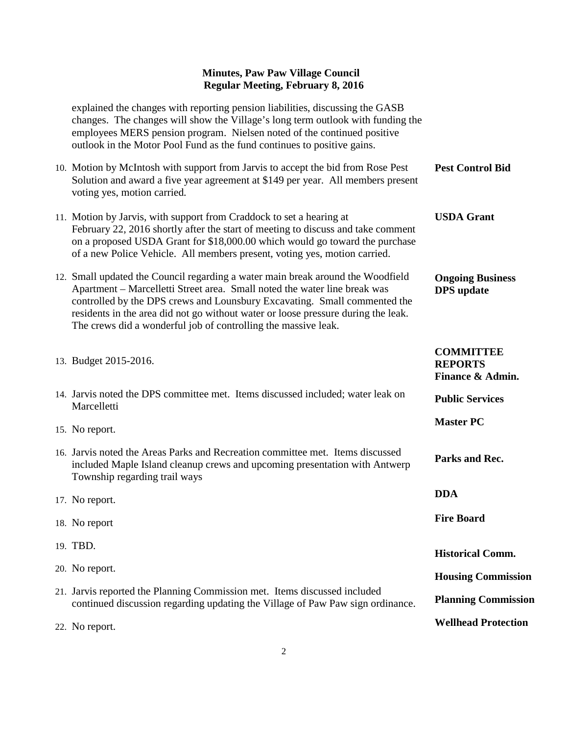explained the changes with reporting pension liabilities, discussing the GASB changes. The changes will show the Village's long term outlook with funding the employees MERS pension program. Nielsen noted of the continued positive outlook in the Motor Pool Fund as the fund continues to positive gains. 10. Motion by McIntosh with support from Jarvis to accept the bid from Rose Pest Solution and award a five year agreement at \$149 per year. All members present voting yes, motion carried. 11. Motion by Jarvis, with support from Craddock to set a hearing at February 22, 2016 shortly after the start of meeting to discuss and take comment on a proposed USDA Grant for \$18,000.00 which would go toward the purchase of a new Police Vehicle. All members present, voting yes, motion carried. 12. Small updated the Council regarding a water main break around the Woodfield Apartment – Marcelletti Street area. Small noted the water line break was controlled by the DPS crews and Lounsbury Excavating. Small commented the residents in the area did not go without water or loose pressure during the leak. The crews did a wonderful job of controlling the massive leak. 13. Budget 2015-2016. 14. Jarvis noted the DPS committee met. Items discussed included; water leak on **Marcelletti** 15. No report. 16. Jarvis noted the Areas Parks and Recreation committee met. Items discussed included Maple Island cleanup crews and upcoming presentation with Antwerp Township regarding trail ways 17. No report. 18. No report 19. TBD. 20. No report. 21. Jarvis reported the Planning Commission met. Items discussed included continued discussion regarding updating the Village of Paw Paw sign ordinance. 22. No report. **Pest Control Bid USDA Grant Ongoing Business DPS update COMMITTEE REPORTS Finance & Admin. Public Services Master PC Parks and Rec. DDA Fire Board Historical Comm. Housing Commission Planning Commission Wellhead Protection**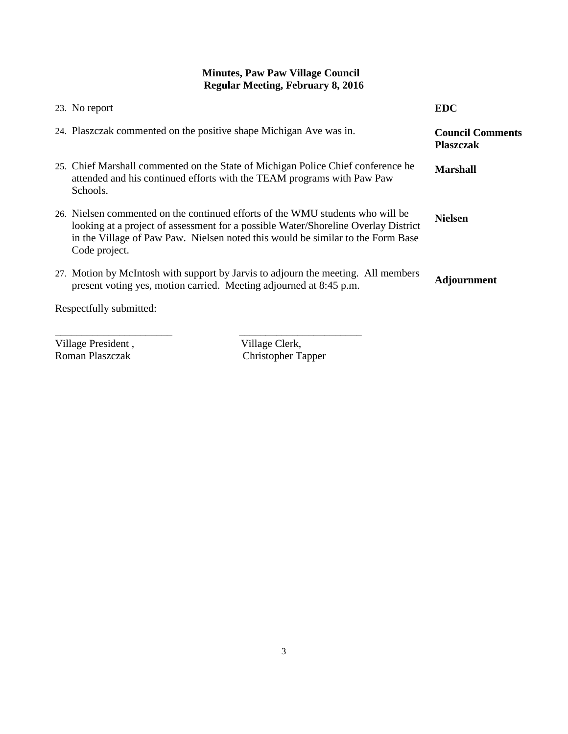| 23. No report                                                                                                                                                                                                                                                            | <b>EDC</b>                                  |
|--------------------------------------------------------------------------------------------------------------------------------------------------------------------------------------------------------------------------------------------------------------------------|---------------------------------------------|
| 24. Plaszczak commented on the positive shape Michigan Ave was in.                                                                                                                                                                                                       | <b>Council Comments</b><br><b>Plaszczak</b> |
| 25. Chief Marshall commented on the State of Michigan Police Chief conference he<br>attended and his continued efforts with the TEAM programs with Paw Paw<br>Schools.                                                                                                   | <b>Marshall</b>                             |
| 26. Nielsen commented on the continued efforts of the WMU students who will be<br>looking at a project of assessment for a possible Water/Shoreline Overlay District<br>in the Village of Paw Paw. Nielsen noted this would be similar to the Form Base<br>Code project. | <b>Nielsen</b>                              |
| 27. Motion by McIntosh with support by Jarvis to adjourn the meeting. All members<br>present voting yes, motion carried. Meeting adjourned at 8:45 p.m.                                                                                                                  | <b>Adjournment</b>                          |
| Respectfully submitted:                                                                                                                                                                                                                                                  |                                             |

Village President,<br>Roman Plaszczak

\_\_\_\_\_\_\_\_\_\_\_\_\_\_\_\_\_\_\_\_\_\_ \_\_\_\_\_\_\_\_\_\_\_\_\_\_\_\_\_\_\_\_\_\_\_ Roman Plaszczak Christopher Tapper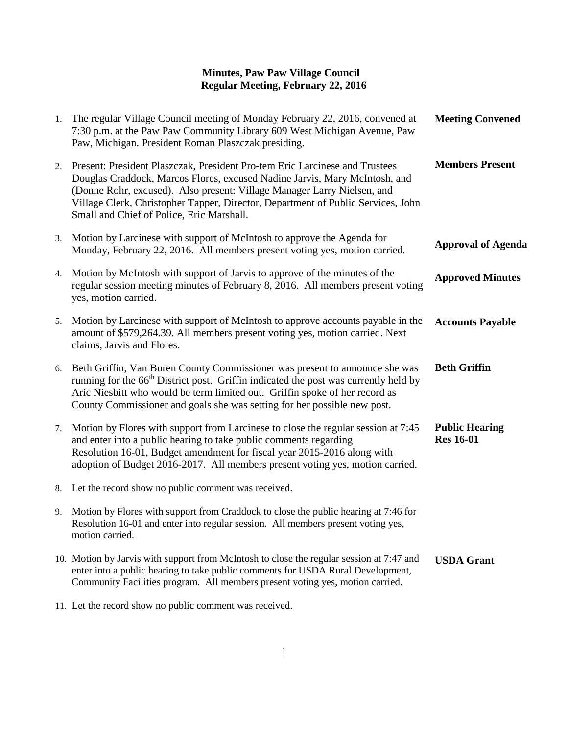| 1. | The regular Village Council meeting of Monday February 22, 2016, convened at<br>7:30 p.m. at the Paw Paw Community Library 609 West Michigan Avenue, Paw<br>Paw, Michigan. President Roman Plaszczak presiding.                                                                                                                                                       | <b>Meeting Convened</b>                   |
|----|-----------------------------------------------------------------------------------------------------------------------------------------------------------------------------------------------------------------------------------------------------------------------------------------------------------------------------------------------------------------------|-------------------------------------------|
| 2. | Present: President Plaszczak, President Pro-tem Eric Larcinese and Trustees<br>Douglas Craddock, Marcos Flores, excused Nadine Jarvis, Mary McIntosh, and<br>(Donne Rohr, excused). Also present: Village Manager Larry Nielsen, and<br>Village Clerk, Christopher Tapper, Director, Department of Public Services, John<br>Small and Chief of Police, Eric Marshall. | <b>Members Present</b>                    |
| 3. | Motion by Larcinese with support of McIntosh to approve the Agenda for<br>Monday, February 22, 2016. All members present voting yes, motion carried.                                                                                                                                                                                                                  | <b>Approval of Agenda</b>                 |
| 4. | Motion by McIntosh with support of Jarvis to approve of the minutes of the<br>regular session meeting minutes of February 8, 2016. All members present voting<br>yes, motion carried.                                                                                                                                                                                 | <b>Approved Minutes</b>                   |
| 5. | Motion by Larcinese with support of McIntosh to approve accounts payable in the<br>amount of \$579,264.39. All members present voting yes, motion carried. Next<br>claims, Jarvis and Flores.                                                                                                                                                                         | <b>Accounts Payable</b>                   |
| 6. | Beth Griffin, Van Buren County Commissioner was present to announce she was<br>running for the 66 <sup>th</sup> District post. Griffin indicated the post was currently held by<br>Aric Niesbitt who would be term limited out. Griffin spoke of her record as<br>County Commissioner and goals she was setting for her possible new post.                            | <b>Beth Griffin</b>                       |
| 7. | Motion by Flores with support from Larcinese to close the regular session at 7:45<br>and enter into a public hearing to take public comments regarding<br>Resolution 16-01, Budget amendment for fiscal year 2015-2016 along with<br>adoption of Budget 2016-2017. All members present voting yes, motion carried.                                                    | <b>Public Hearing</b><br><b>Res</b> 16-01 |
| 8. | Let the record show no public comment was received.                                                                                                                                                                                                                                                                                                                   |                                           |
| 9. | Motion by Flores with support from Craddock to close the public hearing at 7:46 for<br>Resolution 16-01 and enter into regular session. All members present voting yes,<br>motion carried.                                                                                                                                                                            |                                           |
|    | 10. Motion by Jarvis with support from McIntosh to close the regular session at 7:47 and<br>enter into a public hearing to take public comments for USDA Rural Development,<br>Community Facilities program. All members present voting yes, motion carried.                                                                                                          | <b>USDA Grant</b>                         |
|    | 11. Let the record show no public comment was received.                                                                                                                                                                                                                                                                                                               |                                           |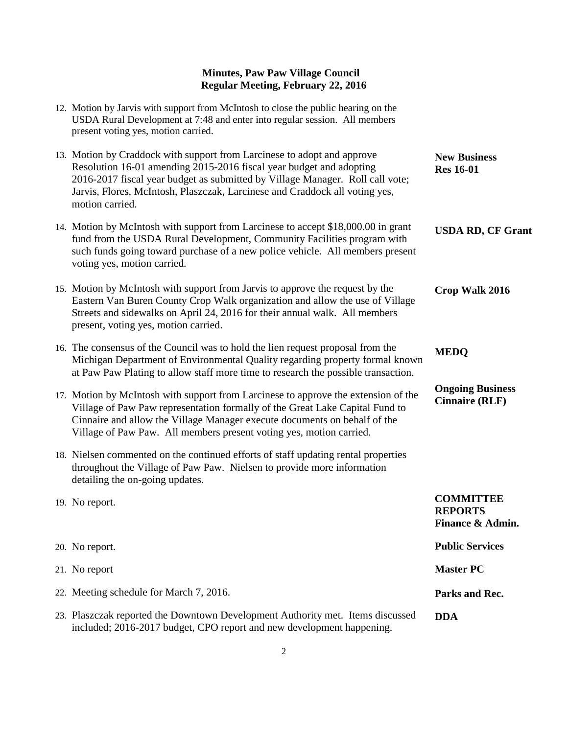| 12. Motion by Jarvis with support from McIntosh to close the public hearing on the<br>USDA Rural Development at 7:48 and enter into regular session. All members<br>present voting yes, motion carried.                                                                                                                           |                                                        |
|-----------------------------------------------------------------------------------------------------------------------------------------------------------------------------------------------------------------------------------------------------------------------------------------------------------------------------------|--------------------------------------------------------|
| 13. Motion by Craddock with support from Larcinese to adopt and approve<br>Resolution 16-01 amending 2015-2016 fiscal year budget and adopting<br>2016-2017 fiscal year budget as submitted by Village Manager. Roll call vote;<br>Jarvis, Flores, McIntosh, Plaszczak, Larcinese and Craddock all voting yes,<br>motion carried. | <b>New Business</b><br><b>Res</b> 16-01                |
| 14. Motion by McIntosh with support from Larcinese to accept \$18,000.00 in grant<br>fund from the USDA Rural Development, Community Facilities program with<br>such funds going toward purchase of a new police vehicle. All members present<br>voting yes, motion carried.                                                      | <b>USDA RD, CF Grant</b>                               |
| 15. Motion by McIntosh with support from Jarvis to approve the request by the<br>Eastern Van Buren County Crop Walk organization and allow the use of Village<br>Streets and sidewalks on April 24, 2016 for their annual walk. All members<br>present, voting yes, motion carried.                                               | Crop Walk 2016                                         |
| 16. The consensus of the Council was to hold the lien request proposal from the<br>Michigan Department of Environmental Quality regarding property formal known<br>at Paw Paw Plating to allow staff more time to research the possible transaction.                                                                              | <b>MEDQ</b>                                            |
| 17. Motion by McIntosh with support from Larcinese to approve the extension of the<br>Village of Paw Paw representation formally of the Great Lake Capital Fund to<br>Cinnaire and allow the Village Manager execute documents on behalf of the<br>Village of Paw Paw. All members present voting yes, motion carried.            | <b>Ongoing Business</b><br><b>Cinnaire (RLF)</b>       |
| 18. Nielsen commented on the continued efforts of staff updating rental properties<br>throughout the Village of Paw Paw. Nielsen to provide more information<br>detailing the on-going updates.                                                                                                                                   |                                                        |
| 19. No report.                                                                                                                                                                                                                                                                                                                    | <b>COMMITTEE</b><br><b>REPORTS</b><br>Finance & Admin. |
| 20. No report.                                                                                                                                                                                                                                                                                                                    | <b>Public Services</b>                                 |
| 21. No report                                                                                                                                                                                                                                                                                                                     | <b>Master PC</b>                                       |
| 22. Meeting schedule for March 7, 2016.                                                                                                                                                                                                                                                                                           | Parks and Rec.                                         |
| 23. Plaszczak reported the Downtown Development Authority met. Items discussed<br>included; 2016-2017 budget, CPO report and new development happening.                                                                                                                                                                           | <b>DDA</b>                                             |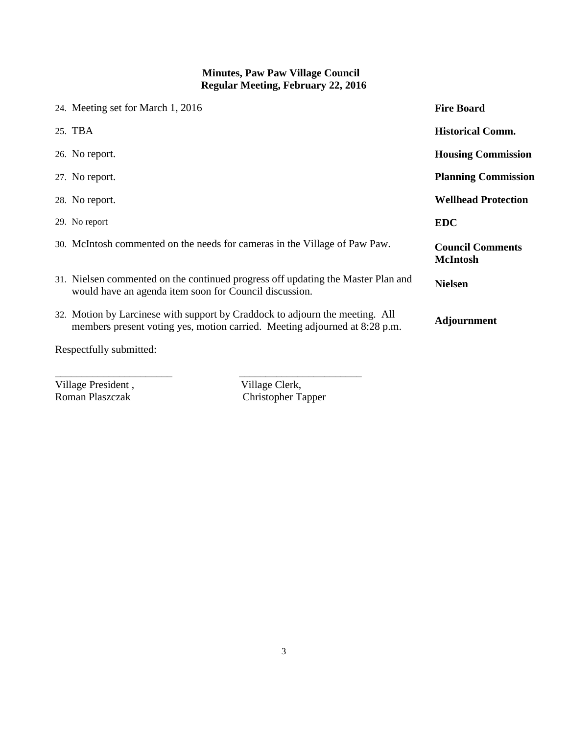| 24. Meeting set for March 1, 2016 |                                                                                                                                                            | <b>Fire Board</b>                          |
|-----------------------------------|------------------------------------------------------------------------------------------------------------------------------------------------------------|--------------------------------------------|
| 25. TBA                           |                                                                                                                                                            | <b>Historical Comm.</b>                    |
| 26. No report.                    |                                                                                                                                                            | <b>Housing Commission</b>                  |
| 27. No report.                    |                                                                                                                                                            | <b>Planning Commission</b>                 |
| 28. No report.                    |                                                                                                                                                            | <b>Wellhead Protection</b>                 |
| 29. No report                     |                                                                                                                                                            | <b>EDC</b>                                 |
|                                   | 30. McIntosh commented on the needs for cameras in the Village of Paw Paw.                                                                                 | <b>Council Comments</b><br><b>McIntosh</b> |
|                                   | 31. Nielsen commented on the continued progress off updating the Master Plan and<br>would have an agenda item soon for Council discussion.                 | <b>Nielsen</b>                             |
|                                   | 32. Motion by Larcinese with support by Craddock to adjourn the meeting. All<br>members present voting yes, motion carried. Meeting adjourned at 8:28 p.m. | <b>Adjournment</b>                         |
| Respectfully submitted:           |                                                                                                                                                            |                                            |

Village President , Village Clerk, Roman Plaszczak (Christopher Ta

Christopher Tapper

\_\_\_\_\_\_\_\_\_\_\_\_\_\_\_\_\_\_\_\_\_\_ \_\_\_\_\_\_\_\_\_\_\_\_\_\_\_\_\_\_\_\_\_\_\_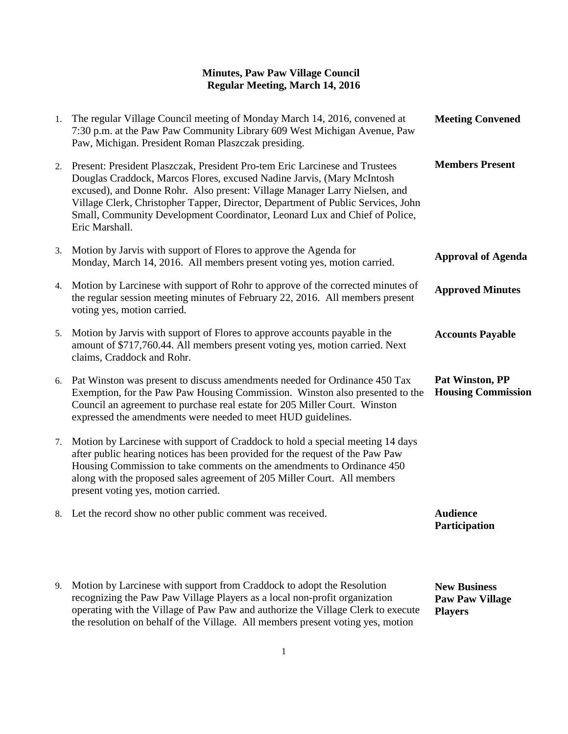| 1. | The regular Village Council meeting of Monday March 14, 2016, convened at<br>7:30 p.m. at the Paw Paw Community Library 609 West Michigan Avenue, Paw<br>Paw, Michigan. President Roman Plaszczak presiding.                                                                                                                                                                                                            | <b>Meeting Convened</b>                      |
|----|-------------------------------------------------------------------------------------------------------------------------------------------------------------------------------------------------------------------------------------------------------------------------------------------------------------------------------------------------------------------------------------------------------------------------|----------------------------------------------|
| 2. | Present: President Plaszczak, President Pro-tem Eric Larcinese and Trustees<br>Douglas Craddock, Marcos Flores, excused Nadine Jarvis, (Mary McIntosh<br>excused), and Donne Rohr. Also present: Village Manager Larry Nielsen, and<br>Village Clerk, Christopher Tapper, Director, Department of Public Services, John<br>Small, Community Development Coordinator, Leonard Lux and Chief of Police,<br>Eric Marshall. | <b>Members Present</b>                       |
| 3. | Motion by Jarvis with support of Flores to approve the Agenda for<br>Monday, March 14, 2016. All members present voting yes, motion carried.                                                                                                                                                                                                                                                                            | <b>Approval of Agenda</b>                    |
| 4. | Motion by Larcinese with support of Rohr to approve of the corrected minutes of<br>the regular session meeting minutes of February 22, 2016. All members present<br>voting yes, motion carried.                                                                                                                                                                                                                         | <b>Approved Minutes</b>                      |
| 5. | Motion by Jarvis with support of Flores to approve accounts payable in the<br>amount of \$717,760.44. All members present voting yes, motion carried. Next<br>claims, Craddock and Rohr.                                                                                                                                                                                                                                | <b>Accounts Payable</b>                      |
| 6. | Pat Winston was present to discuss amendments needed for Ordinance 450 Tax<br>Exemption, for the Paw Paw Housing Commission. Winston also presented to the<br>Council an agreement to purchase real estate for 205 Miller Court. Winston<br>expressed the amendments were needed to meet HUD guidelines.                                                                                                                | Pat Winston, PP<br><b>Housing Commission</b> |
| 7. | Motion by Larcinese with support of Craddock to hold a special meeting 14 days<br>after public hearing notices has been provided for the request of the Paw Paw<br>Housing Commission to take comments on the amendments to Ordinance 450<br>along with the proposed sales agreement of 205 Miller Court. All members<br>present voting yes, motion carried.                                                            |                                              |
|    | 8. Let the record show no other public comment was received.                                                                                                                                                                                                                                                                                                                                                            | <b>Audience</b><br>Participation             |
|    |                                                                                                                                                                                                                                                                                                                                                                                                                         |                                              |

9. Motion by Larcinese with support from Craddock to adopt the Resolution recognizing the Paw Paw Village Players as a local non-profit organization operating with the Village of Paw Paw and authorize the Village Clerk to execute the resolution on behalf of the Village. All members present voting yes, motion **New Business Paw Paw Village Players**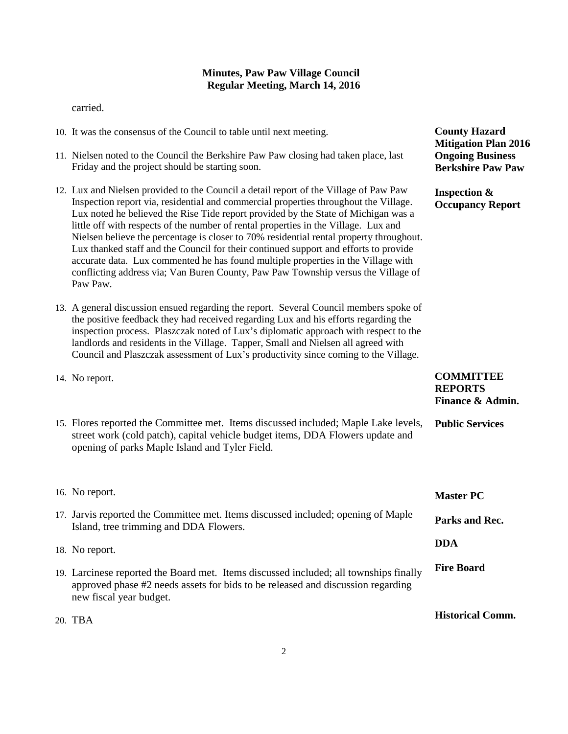carried.

- 10. It was the consensus of the Council to table until next meeting.
- 11. Nielsen noted to the Council the Berkshire Paw Paw closing had taken place, last Friday and the project should be starting soon.
- 12. Lux and Nielsen provided to the Council a detail report of the Village of Paw Paw Inspection report via, residential and commercial properties throughout the Village. Lux noted he believed the Rise Tide report provided by the State of Michigan was a little off with respects of the number of rental properties in the Village. Lux and Nielsen believe the percentage is closer to 70% residential rental property throughout. Lux thanked staff and the Council for their continued support and efforts to provide accurate data. Lux commented he has found multiple properties in the Village with conflicting address via; Van Buren County, Paw Paw Township versus the Village of Paw Paw.
- 13. A general discussion ensued regarding the report. Several Council members spoke of the positive feedback they had received regarding Lux and his efforts regarding the inspection process. Plaszczak noted of Lux's diplomatic approach with respect to the landlords and residents in the Village. Tapper, Small and Nielsen all agreed with Council and Plaszczak assessment of Lux's productivity since coming to the Village.
- 14. No report.
- 15. Flores reported the Committee met. Items discussed included; Maple Lake levels, street work (cold patch), capital vehicle budget items, DDA Flowers update and opening of parks Maple Island and Tyler Field. **Public Services**

| 16. No report.                                                                                                                                                                                        | <b>Master PC</b>        |
|-------------------------------------------------------------------------------------------------------------------------------------------------------------------------------------------------------|-------------------------|
| 17. Jarvis reported the Committee met. Items discussed included; opening of Maple<br>Island, tree trimming and DDA Flowers.                                                                           | Parks and Rec.          |
| 18. No report.                                                                                                                                                                                        | <b>DDA</b>              |
| 19. Larcinese reported the Board met. Items discussed included; all townships finally<br>approved phase $#2$ needs assets for bids to be released and discussion regarding<br>new fiscal year budget. | <b>Fire Board</b>       |
| 20. TBA                                                                                                                                                                                               | <b>Historical Comm.</b> |

**County Hazard Mitigation Plan 2016 Ongoing Business Berkshire Paw Paw**

**Inspection & Occupancy Report**

**COMMITTEE REPORTS Finance & Admin.**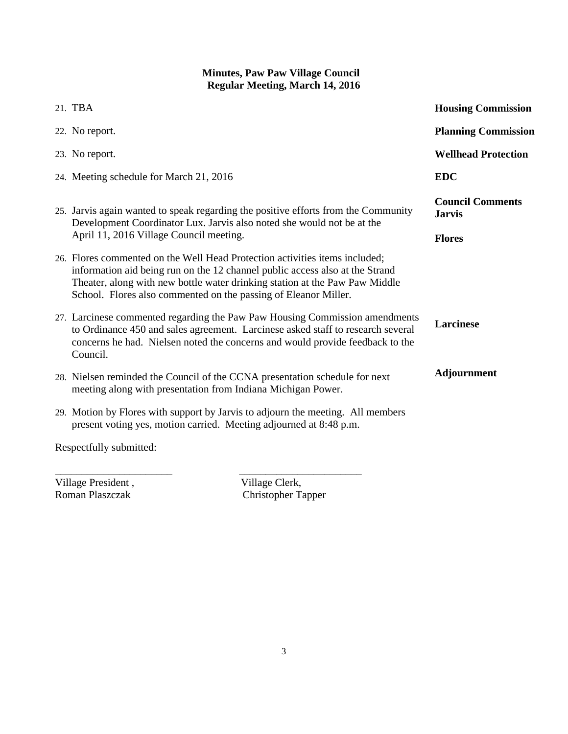| 21. TBA                                                                                                                                                                                                                                                                                                       | <b>Housing Commission</b>                |
|---------------------------------------------------------------------------------------------------------------------------------------------------------------------------------------------------------------------------------------------------------------------------------------------------------------|------------------------------------------|
| 22. No report.                                                                                                                                                                                                                                                                                                | <b>Planning Commission</b>               |
| 23. No report.                                                                                                                                                                                                                                                                                                | <b>Wellhead Protection</b>               |
| 24. Meeting schedule for March 21, 2016                                                                                                                                                                                                                                                                       | <b>EDC</b>                               |
| 25. Jarvis again wanted to speak regarding the positive efforts from the Community<br>Development Coordinator Lux. Jarvis also noted she would not be at the                                                                                                                                                  | <b>Council Comments</b><br><b>Jarvis</b> |
| April 11, 2016 Village Council meeting.                                                                                                                                                                                                                                                                       | <b>Flores</b>                            |
| 26. Flores commented on the Well Head Protection activities items included;<br>information aid being run on the 12 channel public access also at the Strand<br>Theater, along with new bottle water drinking station at the Paw Paw Middle<br>School. Flores also commented on the passing of Eleanor Miller. |                                          |
| 27. Larcinese commented regarding the Paw Paw Housing Commission amendments<br>to Ordinance 450 and sales agreement. Larcinese asked staff to research several<br>concerns he had. Nielsen noted the concerns and would provide feedback to the<br>Council.                                                   | <b>Larcinese</b>                         |
| 28. Nielsen reminded the Council of the CCNA presentation schedule for next<br>meeting along with presentation from Indiana Michigan Power.                                                                                                                                                                   | <b>Adjournment</b>                       |
| 29. Motion by Flores with support by Jarvis to adjourn the meeting. All members<br>present voting yes, motion carried. Meeting adjourned at 8:48 p.m.                                                                                                                                                         |                                          |
| Respectfully submitted:                                                                                                                                                                                                                                                                                       |                                          |

Village President , Village Clerk, Roman Plaszczak (Christopher Ta

Christopher Tapper

\_\_\_\_\_\_\_\_\_\_\_\_\_\_\_\_\_\_\_\_\_\_ \_\_\_\_\_\_\_\_\_\_\_\_\_\_\_\_\_\_\_\_\_\_\_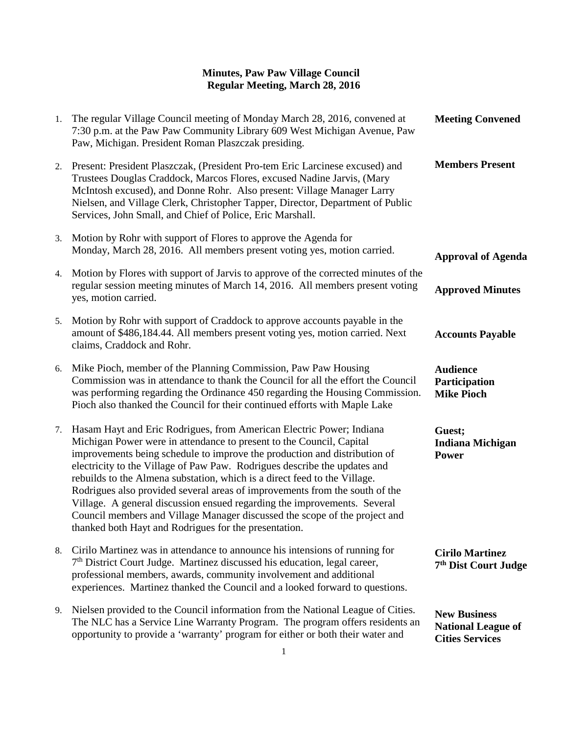| 1. | The regular Village Council meeting of Monday March 28, 2016, convened at<br>7:30 p.m. at the Paw Paw Community Library 609 West Michigan Avenue, Paw<br>Paw, Michigan. President Roman Plaszczak presiding.                                                                                                                                                                                                                                                                                                                                                                                                                                                                          | <b>Meeting Convened</b>                                                    |
|----|---------------------------------------------------------------------------------------------------------------------------------------------------------------------------------------------------------------------------------------------------------------------------------------------------------------------------------------------------------------------------------------------------------------------------------------------------------------------------------------------------------------------------------------------------------------------------------------------------------------------------------------------------------------------------------------|----------------------------------------------------------------------------|
| 2. | Present: President Plaszczak, (President Pro-tem Eric Larcinese excused) and<br>Trustees Douglas Craddock, Marcos Flores, excused Nadine Jarvis, (Mary<br>McIntosh excused), and Donne Rohr. Also present: Village Manager Larry<br>Nielsen, and Village Clerk, Christopher Tapper, Director, Department of Public<br>Services, John Small, and Chief of Police, Eric Marshall.                                                                                                                                                                                                                                                                                                       | <b>Members Present</b>                                                     |
| 3. | Motion by Rohr with support of Flores to approve the Agenda for<br>Monday, March 28, 2016. All members present voting yes, motion carried.                                                                                                                                                                                                                                                                                                                                                                                                                                                                                                                                            | <b>Approval of Agenda</b>                                                  |
| 4. | Motion by Flores with support of Jarvis to approve of the corrected minutes of the<br>regular session meeting minutes of March 14, 2016. All members present voting<br>yes, motion carried.                                                                                                                                                                                                                                                                                                                                                                                                                                                                                           | <b>Approved Minutes</b>                                                    |
| 5. | Motion by Rohr with support of Craddock to approve accounts payable in the<br>amount of \$486,184.44. All members present voting yes, motion carried. Next<br>claims, Craddock and Rohr.                                                                                                                                                                                                                                                                                                                                                                                                                                                                                              | <b>Accounts Payable</b>                                                    |
|    | 6. Mike Pioch, member of the Planning Commission, Paw Paw Housing<br>Commission was in attendance to thank the Council for all the effort the Council<br>was performing regarding the Ordinance 450 regarding the Housing Commission.<br>Pioch also thanked the Council for their continued efforts with Maple Lake                                                                                                                                                                                                                                                                                                                                                                   | <b>Audience</b><br>Participation<br><b>Mike Pioch</b>                      |
| 7. | Hasam Hayt and Eric Rodrigues, from American Electric Power; Indiana<br>Michigan Power were in attendance to present to the Council, Capital<br>improvements being schedule to improve the production and distribution of<br>electricity to the Village of Paw Paw. Rodrigues describe the updates and<br>rebuilds to the Almena substation, which is a direct feed to the Village.<br>Rodrigues also provided several areas of improvements from the south of the<br>Village. A general discussion ensued regarding the improvements. Several<br>Council members and Village Manager discussed the scope of the project and<br>thanked both Hayt and Rodrigues for the presentation. | Guest;<br><b>Indiana Michigan</b><br>Power                                 |
| 8. | Cirilo Martinez was in attendance to announce his intensions of running for<br>$7th$ District Court Judge. Martinez discussed his education, legal career,<br>professional members, awards, community involvement and additional<br>experiences. Martinez thanked the Council and a looked forward to questions.                                                                                                                                                                                                                                                                                                                                                                      | <b>Cirilo Martinez</b><br>7 <sup>th</sup> Dist Court Judge                 |
| 9. | Nielsen provided to the Council information from the National League of Cities.<br>The NLC has a Service Line Warranty Program. The program offers residents an<br>opportunity to provide a 'warranty' program for either or both their water and                                                                                                                                                                                                                                                                                                                                                                                                                                     | <b>New Business</b><br><b>National League of</b><br><b>Cities Services</b> |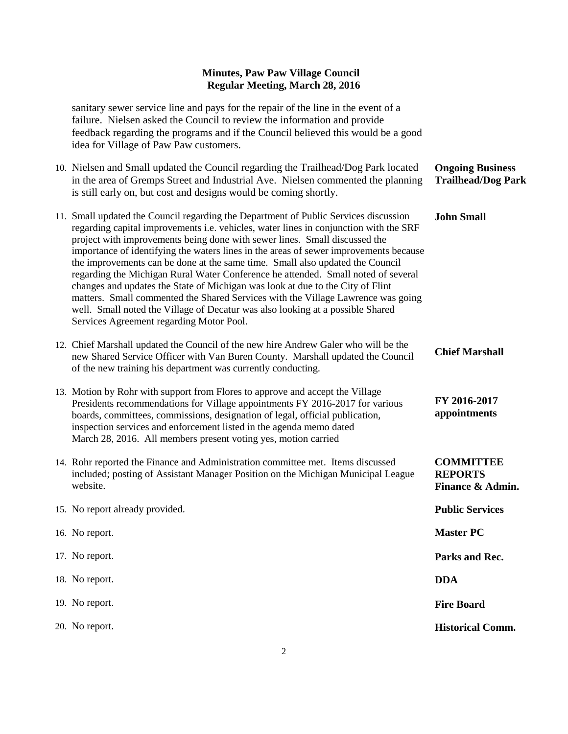sanitary sewer service line and pays for the repair of the line in the event of a failure. Nielsen asked the Council to review the information and provide feedback regarding the programs and if the Council believed this would be a good idea for Village of Paw Paw customers.

10. Nielsen and Small updated the Council regarding the Trailhead/Dog Park located in the area of Gremps Street and Industrial Ave. Nielsen commented the planning is still early on, but cost and designs would be coming shortly. 11. Small updated the Council regarding the Department of Public Services discussion regarding capital improvements i.e. vehicles, water lines in conjunction with the SRF project with improvements being done with sewer lines. Small discussed the importance of identifying the waters lines in the areas of sewer improvements because the improvements can be done at the same time. Small also updated the Council regarding the Michigan Rural Water Conference he attended. Small noted of several changes and updates the State of Michigan was look at due to the City of Flint matters. Small commented the Shared Services with the Village Lawrence was going **Ongoing Business Trailhead/Dog Park John Small**

> **FY 2016-2017 appointments**

**COMMITTEE REPORTS**

**Finance & Admin.**

- 12. Chief Marshall updated the Council of the new hire Andrew Galer who will be the new Shared Service Officer with Van Buren County. Marshall updated the Council of the new training his department was currently conducting. **Chief Marshall**
- 13. Motion by Rohr with support from Flores to approve and accept the Village Presidents recommendations for Village appointments FY 2016-2017 for various boards, committees, commissions, designation of legal, official publication, inspection services and enforcement listed in the agenda memo dated March 28, 2016. All members present voting yes, motion carried

well. Small noted the Village of Decatur was also looking at a possible Shared

Services Agreement regarding Motor Pool.

- 14. Rohr reported the Finance and Administration committee met. Items discussed included; posting of Assistant Manager Position on the Michigan Municipal League website.
- 15. No report already provided. 16. No report. 17. No report. 18. No report. 19. No report. 20. No report. **Public Services Master PC Parks and Rec. DDA Fire Board Historical Comm.**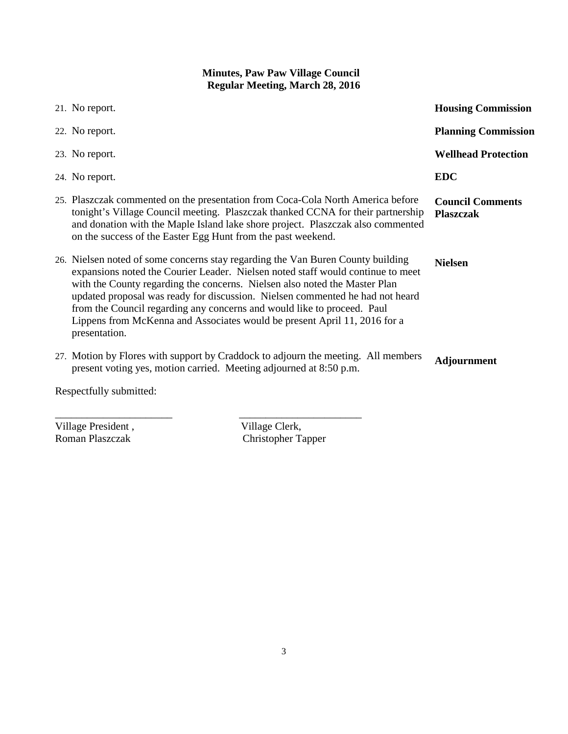| 21. No report.                                                                                                                                                                                                                                                                                                                                                                                                                                                                                             | <b>Housing Commission</b>                   |  |
|------------------------------------------------------------------------------------------------------------------------------------------------------------------------------------------------------------------------------------------------------------------------------------------------------------------------------------------------------------------------------------------------------------------------------------------------------------------------------------------------------------|---------------------------------------------|--|
| 22. No report.                                                                                                                                                                                                                                                                                                                                                                                                                                                                                             | <b>Planning Commission</b>                  |  |
| 23. No report.                                                                                                                                                                                                                                                                                                                                                                                                                                                                                             | <b>Wellhead Protection</b>                  |  |
| 24. No report.                                                                                                                                                                                                                                                                                                                                                                                                                                                                                             | <b>EDC</b>                                  |  |
| 25. Plaszczak commented on the presentation from Coca-Cola North America before<br>tonight's Village Council meeting. Plaszczak thanked CCNA for their partnership<br>and donation with the Maple Island lake shore project. Plaszczak also commented<br>on the success of the Easter Egg Hunt from the past weekend.                                                                                                                                                                                      | <b>Council Comments</b><br><b>Plaszczak</b> |  |
| 26. Nielsen noted of some concerns stay regarding the Van Buren County building<br>expansions noted the Courier Leader. Nielsen noted staff would continue to meet<br>with the County regarding the concerns. Nielsen also noted the Master Plan<br>updated proposal was ready for discussion. Nielsen commented he had not heard<br>from the Council regarding any concerns and would like to proceed. Paul<br>Lippens from McKenna and Associates would be present April 11, 2016 for a<br>presentation. | <b>Nielsen</b>                              |  |
| 27. Motion by Flores with support by Craddock to adjourn the meeting. All members<br>present voting yes, motion carried. Meeting adjourned at 8:50 p.m.                                                                                                                                                                                                                                                                                                                                                    | <b>Adjournment</b>                          |  |
| Respectfully submitted:                                                                                                                                                                                                                                                                                                                                                                                                                                                                                    |                                             |  |

Village President , Village Clerk, Roman Plaszczak (Christopher Ta

Christopher Tapper

\_\_\_\_\_\_\_\_\_\_\_\_\_\_\_\_\_\_\_\_\_\_ \_\_\_\_\_\_\_\_\_\_\_\_\_\_\_\_\_\_\_\_\_\_\_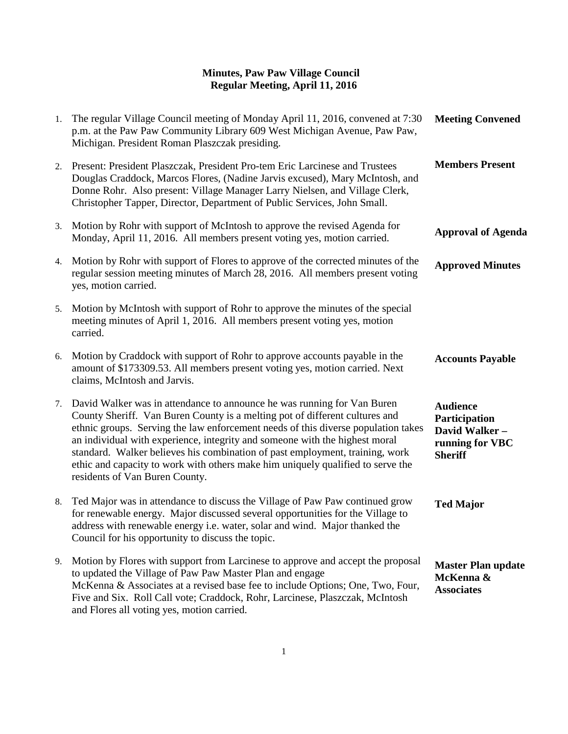| 1. | The regular Village Council meeting of Monday April 11, 2016, convened at 7:30<br>p.m. at the Paw Paw Community Library 609 West Michigan Avenue, Paw Paw,<br>Michigan. President Roman Plaszczak presiding.                                                                                                                                                                                                                                                                                                                    | <b>Meeting Convened</b>                                                                |
|----|---------------------------------------------------------------------------------------------------------------------------------------------------------------------------------------------------------------------------------------------------------------------------------------------------------------------------------------------------------------------------------------------------------------------------------------------------------------------------------------------------------------------------------|----------------------------------------------------------------------------------------|
| 2. | Present: President Plaszczak, President Pro-tem Eric Larcinese and Trustees<br>Douglas Craddock, Marcos Flores, (Nadine Jarvis excused), Mary McIntosh, and<br>Donne Rohr. Also present: Village Manager Larry Nielsen, and Village Clerk,<br>Christopher Tapper, Director, Department of Public Services, John Small.                                                                                                                                                                                                          | <b>Members Present</b>                                                                 |
| 3. | Motion by Rohr with support of McIntosh to approve the revised Agenda for<br>Monday, April 11, 2016. All members present voting yes, motion carried.                                                                                                                                                                                                                                                                                                                                                                            | <b>Approval of Agenda</b>                                                              |
| 4. | Motion by Rohr with support of Flores to approve of the corrected minutes of the<br>regular session meeting minutes of March 28, 2016. All members present voting<br>yes, motion carried.                                                                                                                                                                                                                                                                                                                                       | <b>Approved Minutes</b>                                                                |
| 5. | Motion by McIntosh with support of Rohr to approve the minutes of the special<br>meeting minutes of April 1, 2016. All members present voting yes, motion<br>carried.                                                                                                                                                                                                                                                                                                                                                           |                                                                                        |
| 6. | Motion by Craddock with support of Rohr to approve accounts payable in the<br>amount of \$173309.53. All members present voting yes, motion carried. Next<br>claims, McIntosh and Jarvis.                                                                                                                                                                                                                                                                                                                                       | <b>Accounts Payable</b>                                                                |
| 7. | David Walker was in attendance to announce he was running for Van Buren<br>County Sheriff. Van Buren County is a melting pot of different cultures and<br>ethnic groups. Serving the law enforcement needs of this diverse population takes<br>an individual with experience, integrity and someone with the highest moral<br>standard. Walker believes his combination of past employment, training, work<br>ethic and capacity to work with others make him uniquely qualified to serve the<br>residents of Van Buren County. | <b>Audience</b><br>Participation<br>David Walker-<br>running for VBC<br><b>Sheriff</b> |
| 8. | Ted Major was in attendance to discuss the Village of Paw Paw continued grow<br>for renewable energy. Major discussed several opportunities for the Village to<br>address with renewable energy i.e. water, solar and wind. Major thanked the<br>Council for his opportunity to discuss the topic.                                                                                                                                                                                                                              | <b>Ted Major</b>                                                                       |
| 9. | Motion by Flores with support from Larcinese to approve and accept the proposal<br>to updated the Village of Paw Paw Master Plan and engage<br>McKenna & Associates at a revised base fee to include Options; One, Two, Four,<br>Five and Six. Roll Call vote; Craddock, Rohr, Larcinese, Plaszczak, McIntosh<br>and Flores all voting yes, motion carried.                                                                                                                                                                     | <b>Master Plan update</b><br>McKenna &<br><b>Associates</b>                            |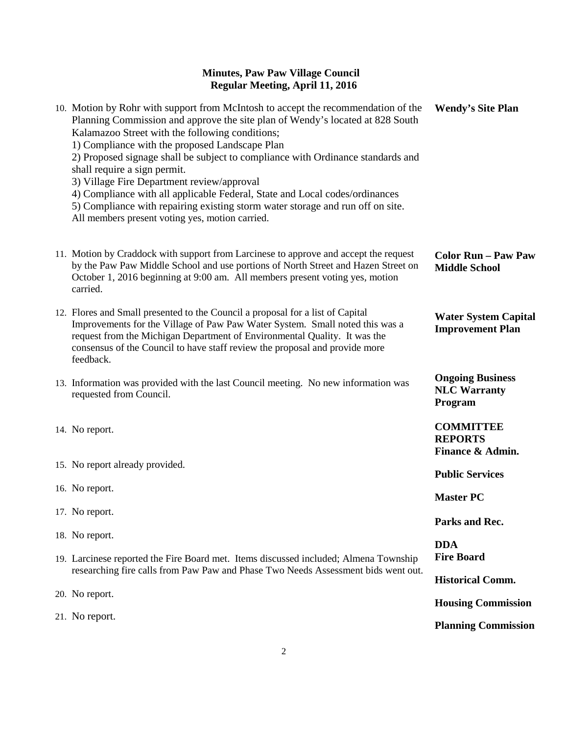| 10. Motion by Rohr with support from McIntosh to accept the recommendation of the<br>Planning Commission and approve the site plan of Wendy's located at 828 South<br>Kalamazoo Street with the following conditions;<br>1) Compliance with the proposed Landscape Plan<br>2) Proposed signage shall be subject to compliance with Ordinance standards and<br>shall require a sign permit.<br>3) Village Fire Department review/approval<br>4) Compliance with all applicable Federal, State and Local codes/ordinances<br>5) Compliance with repairing existing storm water storage and run off on site.<br>All members present voting yes, motion carried. | <b>Wendy's Site Plan</b>                                  |
|--------------------------------------------------------------------------------------------------------------------------------------------------------------------------------------------------------------------------------------------------------------------------------------------------------------------------------------------------------------------------------------------------------------------------------------------------------------------------------------------------------------------------------------------------------------------------------------------------------------------------------------------------------------|-----------------------------------------------------------|
| 11. Motion by Craddock with support from Larcinese to approve and accept the request<br>by the Paw Paw Middle School and use portions of North Street and Hazen Street on<br>October 1, 2016 beginning at 9:00 am. All members present voting yes, motion<br>carried.                                                                                                                                                                                                                                                                                                                                                                                        | <b>Color Run - Paw Paw</b><br><b>Middle School</b>        |
| 12. Flores and Small presented to the Council a proposal for a list of Capital<br>Improvements for the Village of Paw Paw Water System. Small noted this was a<br>request from the Michigan Department of Environmental Quality. It was the<br>consensus of the Council to have staff review the proposal and provide more<br>feedback.                                                                                                                                                                                                                                                                                                                      | <b>Water System Capital</b><br><b>Improvement Plan</b>    |
| 13. Information was provided with the last Council meeting. No new information was<br>requested from Council.                                                                                                                                                                                                                                                                                                                                                                                                                                                                                                                                                | <b>Ongoing Business</b><br><b>NLC Warranty</b><br>Program |
| 14. No report.                                                                                                                                                                                                                                                                                                                                                                                                                                                                                                                                                                                                                                               | <b>COMMITTEE</b><br><b>REPORTS</b><br>Finance & Admin.    |
| 15. No report already provided.                                                                                                                                                                                                                                                                                                                                                                                                                                                                                                                                                                                                                              | <b>Public Services</b>                                    |
| 16. No report.                                                                                                                                                                                                                                                                                                                                                                                                                                                                                                                                                                                                                                               | <b>Master PC</b>                                          |
| 17. No report.                                                                                                                                                                                                                                                                                                                                                                                                                                                                                                                                                                                                                                               | Parks and Rec.                                            |
| 18. No report.                                                                                                                                                                                                                                                                                                                                                                                                                                                                                                                                                                                                                                               | <b>DDA</b>                                                |
| 19. Larcinese reported the Fire Board met. Items discussed included; Almena Township<br>researching fire calls from Paw Paw and Phase Two Needs Assessment bids went out.                                                                                                                                                                                                                                                                                                                                                                                                                                                                                    | <b>Fire Board</b>                                         |
| 20. No report.                                                                                                                                                                                                                                                                                                                                                                                                                                                                                                                                                                                                                                               | <b>Historical Comm.</b>                                   |
|                                                                                                                                                                                                                                                                                                                                                                                                                                                                                                                                                                                                                                                              | <b>Housing Commission</b>                                 |
| 21. No report.                                                                                                                                                                                                                                                                                                                                                                                                                                                                                                                                                                                                                                               | <b>Planning Commission</b>                                |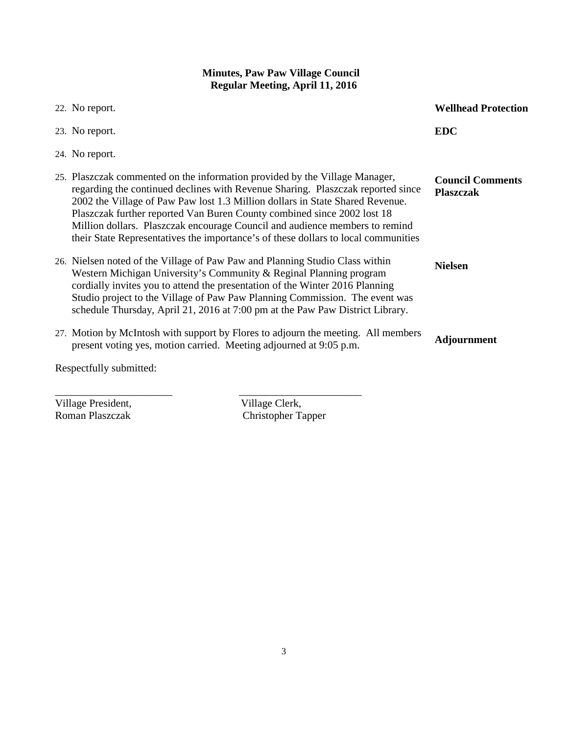| 22. No report.                                                                                                                                                                                                                                                                                                                                                                                                                                                                                  | <b>Wellhead Protection</b>                  |
|-------------------------------------------------------------------------------------------------------------------------------------------------------------------------------------------------------------------------------------------------------------------------------------------------------------------------------------------------------------------------------------------------------------------------------------------------------------------------------------------------|---------------------------------------------|
| 23. No report.                                                                                                                                                                                                                                                                                                                                                                                                                                                                                  | <b>EDC</b>                                  |
| 24. No report.                                                                                                                                                                                                                                                                                                                                                                                                                                                                                  |                                             |
| 25. Plaszczak commented on the information provided by the Village Manager,<br>regarding the continued declines with Revenue Sharing. Plaszczak reported since<br>2002 the Village of Paw Paw lost 1.3 Million dollars in State Shared Revenue.<br>Plaszczak further reported Van Buren County combined since 2002 lost 18<br>Million dollars. Plaszczak encourage Council and audience members to remind<br>their State Representatives the importance's of these dollars to local communities | <b>Council Comments</b><br><b>Plaszczak</b> |
| 26. Nielsen noted of the Village of Paw Paw and Planning Studio Class within<br>Western Michigan University's Community & Reginal Planning program<br>cordially invites you to attend the presentation of the Winter 2016 Planning<br>Studio project to the Village of Paw Paw Planning Commission. The event was<br>schedule Thursday, April 21, 2016 at 7:00 pm at the Paw Paw District Library.                                                                                              | <b>Nielsen</b>                              |
| 27. Motion by McIntosh with support by Flores to adjourn the meeting. All members<br>present voting yes, motion carried. Meeting adjourned at 9:05 p.m.                                                                                                                                                                                                                                                                                                                                         | <b>Adjournment</b>                          |
| Respectfully submitted:                                                                                                                                                                                                                                                                                                                                                                                                                                                                         |                                             |

Village President,<br>
Roman Plaszczak<br>
Christopher Ta

Christopher Tapper

\_\_\_\_\_\_\_\_\_\_\_\_\_\_\_\_\_\_\_\_\_\_ \_\_\_\_\_\_\_\_\_\_\_\_\_\_\_\_\_\_\_\_\_\_\_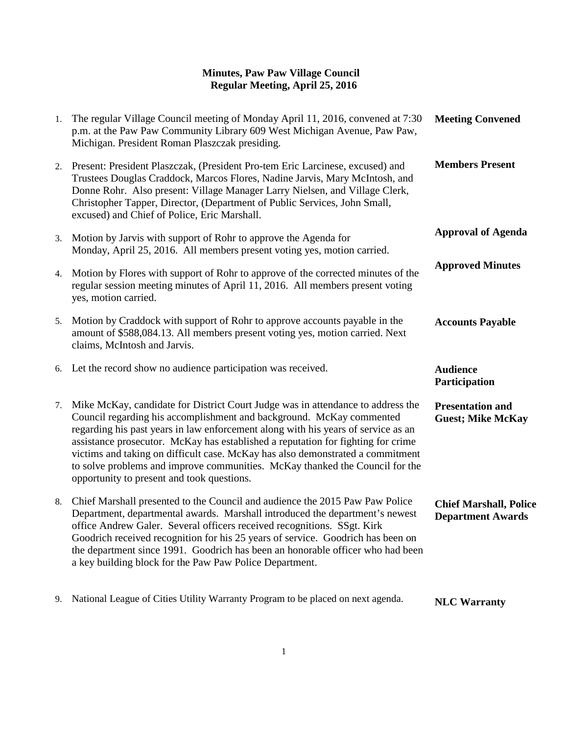| 1. | The regular Village Council meeting of Monday April 11, 2016, convened at 7:30<br>p.m. at the Paw Paw Community Library 609 West Michigan Avenue, Paw Paw,<br>Michigan. President Roman Plaszczak presiding.                                                                                                                                                                                                                                                                                                                                     | <b>Meeting Convened</b>                                   |
|----|--------------------------------------------------------------------------------------------------------------------------------------------------------------------------------------------------------------------------------------------------------------------------------------------------------------------------------------------------------------------------------------------------------------------------------------------------------------------------------------------------------------------------------------------------|-----------------------------------------------------------|
|    | 2. Present: President Plaszczak, (President Pro-tem Eric Larcinese, excused) and<br>Trustees Douglas Craddock, Marcos Flores, Nadine Jarvis, Mary McIntosh, and<br>Donne Rohr. Also present: Village Manager Larry Nielsen, and Village Clerk,<br>Christopher Tapper, Director, (Department of Public Services, John Small,<br>excused) and Chief of Police, Eric Marshall.                                                                                                                                                                      | <b>Members Present</b>                                    |
| 3. | Motion by Jarvis with support of Rohr to approve the Agenda for<br>Monday, April 25, 2016. All members present voting yes, motion carried.                                                                                                                                                                                                                                                                                                                                                                                                       | <b>Approval of Agenda</b>                                 |
| 4. | Motion by Flores with support of Rohr to approve of the corrected minutes of the<br>regular session meeting minutes of April 11, 2016. All members present voting<br>yes, motion carried.                                                                                                                                                                                                                                                                                                                                                        | <b>Approved Minutes</b>                                   |
| 5. | Motion by Craddock with support of Rohr to approve accounts payable in the<br>amount of \$588,084.13. All members present voting yes, motion carried. Next<br>claims, McIntosh and Jarvis.                                                                                                                                                                                                                                                                                                                                                       | <b>Accounts Payable</b>                                   |
| 6. | Let the record show no audience participation was received.                                                                                                                                                                                                                                                                                                                                                                                                                                                                                      | <b>Audience</b>                                           |
|    |                                                                                                                                                                                                                                                                                                                                                                                                                                                                                                                                                  | Participation                                             |
| 7. | Mike McKay, candidate for District Court Judge was in attendance to address the<br>Council regarding his accomplishment and background. McKay commented<br>regarding his past years in law enforcement along with his years of service as an<br>assistance prosecutor. McKay has established a reputation for fighting for crime<br>victims and taking on difficult case. McKay has also demonstrated a commitment<br>to solve problems and improve communities. McKay thanked the Council for the<br>opportunity to present and took questions. | <b>Presentation and</b><br><b>Guest; Mike McKay</b>       |
| 8. | Chief Marshall presented to the Council and audience the 2015 Paw Paw Police<br>Department, departmental awards. Marshall introduced the department's newest<br>office Andrew Galer. Several officers received recognitions. SSgt. Kirk<br>Goodrich received recognition for his 25 years of service. Goodrich has been on<br>the department since 1991. Goodrich has been an honorable officer who had been<br>a key building block for the Paw Paw Police Department.                                                                          | <b>Chief Marshall, Police</b><br><b>Department Awards</b> |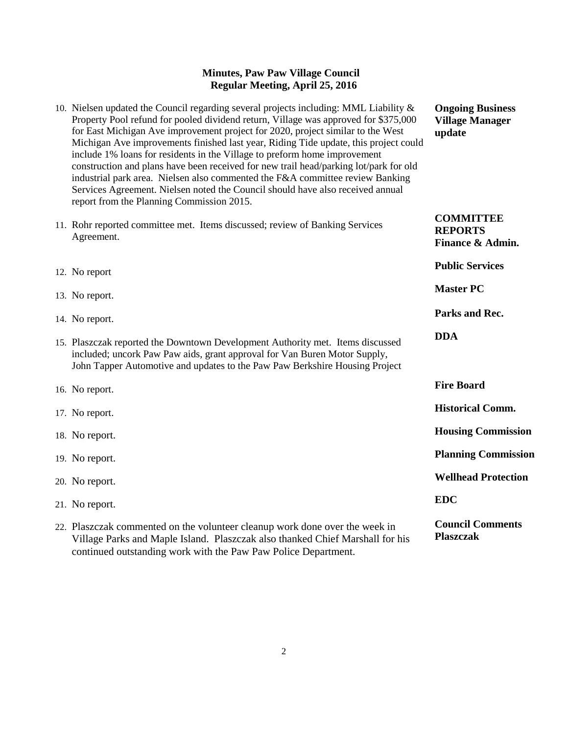- 10. Nielsen updated the Council regarding several projects including: MML Liability & Property Pool refund for pooled dividend return, Village was approved for \$375,000 for East Michigan Ave improvement project for 2020, project similar to the West Michigan Ave improvements finished last year, Riding Tide update, this project could include 1% loans for residents in the Village to preform home improvement construction and plans have been received for new trail head/parking lot/park for old industrial park area. Nielsen also commented the F&A committee review Banking Services Agreement. Nielsen noted the Council should have also received annual report from the Planning Commission 2015. **update**
- 11. Rohr reported committee met. Items discussed; review of Banking Services Agreement.
- 12. No report
- 13. No report.
- 14. No report.
- 15. Plaszczak reported the Downtown Development Authority met. Items discussed included; uncork Paw Paw aids, grant approval for Van Buren Motor Supply, John Tapper Automotive and updates to the Paw Paw Berkshire Housing Proje
- 16. No report.
- 17. No report.
- 18. No report.
- 19. No report.
- 20. No report.
- 21. No report.
- 22. Plaszczak commented on the volunteer cleanup work done over the week in Village Parks and Maple Island. Plaszczak also thanked Chief Marshall for his continued outstanding work with the Paw Paw Police Department.

**Ongoing Business Village Manager** 

| uai        |                                                        |
|------------|--------------------------------------------------------|
|            | <b>COMMITTEE</b><br><b>REPORTS</b><br>Finance & Admin. |
|            | <b>Public Services</b>                                 |
|            | <b>Master PC</b>                                       |
|            | <b>Parks and Rec.</b>                                  |
| ed         | <b>DDA</b>                                             |
| ect        |                                                        |
|            | <b>Fire Board</b>                                      |
|            | <b>Historical Comm.</b>                                |
|            | <b>Housing Commission</b>                              |
|            | <b>Planning Commission</b>                             |
|            | <b>Wellhead Protection</b>                             |
|            | <b>EDC</b>                                             |
| ı<br>r his | <b>Council Comments</b><br><b>Plaszczak</b>            |
|            |                                                        |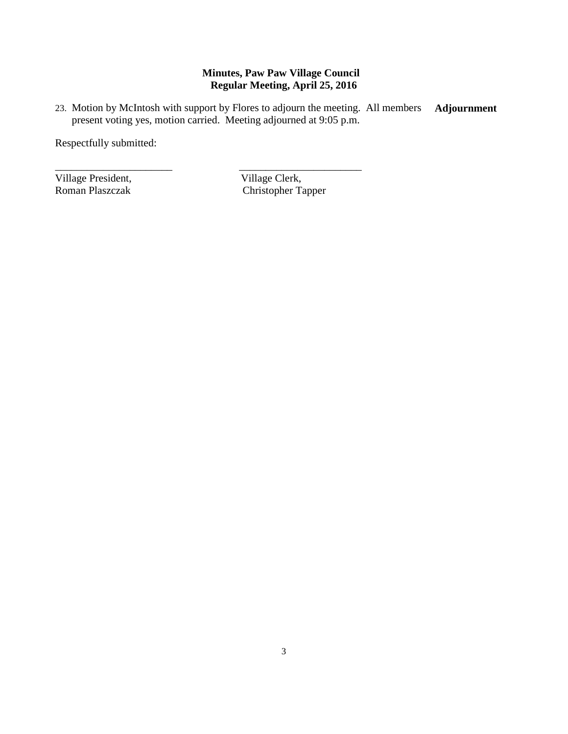23. Motion by McIntosh with support by Flores to adjourn the meeting. All members present voting yes, motion carried. Meeting adjourned at 9:05 p.m. **Adjournment**

\_\_\_\_\_\_\_\_\_\_\_\_\_\_\_\_\_\_\_\_\_\_ \_\_\_\_\_\_\_\_\_\_\_\_\_\_\_\_\_\_\_\_\_\_\_

Respectfully submitted:

Village President, Village Clerk, Roman Plaszczak (Christopher Ta

Christopher Tapper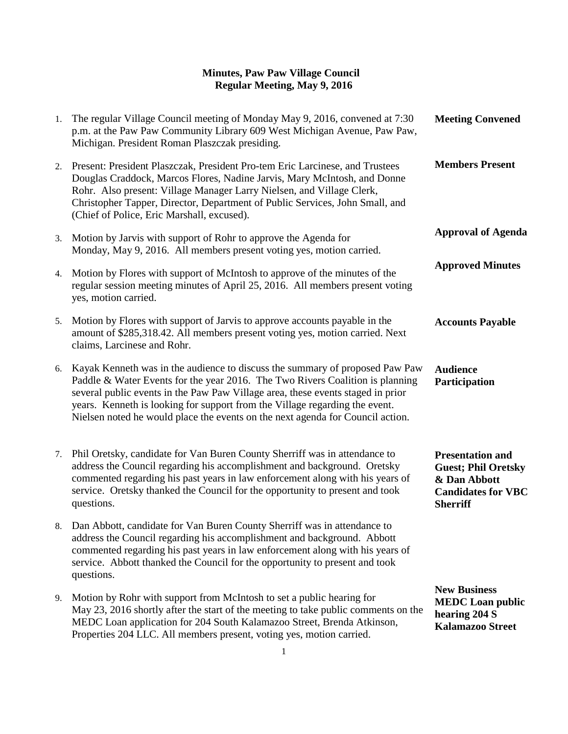| 1. | The regular Village Council meeting of Monday May 9, 2016, convened at 7:30<br>p.m. at the Paw Paw Community Library 609 West Michigan Avenue, Paw Paw,<br>Michigan. President Roman Plaszczak presiding.                                                                                                                                                                                                         | <b>Meeting Convened</b>                                                                                               |
|----|-------------------------------------------------------------------------------------------------------------------------------------------------------------------------------------------------------------------------------------------------------------------------------------------------------------------------------------------------------------------------------------------------------------------|-----------------------------------------------------------------------------------------------------------------------|
| 2. | Present: President Plaszczak, President Pro-tem Eric Larcinese, and Trustees<br>Douglas Craddock, Marcos Flores, Nadine Jarvis, Mary McIntosh, and Donne<br>Rohr. Also present: Village Manager Larry Nielsen, and Village Clerk,<br>Christopher Tapper, Director, Department of Public Services, John Small, and<br>(Chief of Police, Eric Marshall, excused).                                                   | <b>Members Present</b>                                                                                                |
| 3. | Motion by Jarvis with support of Rohr to approve the Agenda for<br>Monday, May 9, 2016. All members present voting yes, motion carried.                                                                                                                                                                                                                                                                           | <b>Approval of Agenda</b>                                                                                             |
| 4. | Motion by Flores with support of McIntosh to approve of the minutes of the<br>regular session meeting minutes of April 25, 2016. All members present voting<br>yes, motion carried.                                                                                                                                                                                                                               | <b>Approved Minutes</b>                                                                                               |
| 5. | Motion by Flores with support of Jarvis to approve accounts payable in the<br>amount of \$285,318.42. All members present voting yes, motion carried. Next<br>claims, Larcinese and Rohr.                                                                                                                                                                                                                         | <b>Accounts Payable</b>                                                                                               |
| 6. | Kayak Kenneth was in the audience to discuss the summary of proposed Paw Paw<br>Paddle & Water Events for the year 2016. The Two Rivers Coalition is planning<br>several public events in the Paw Paw Village area, these events staged in prior<br>years. Kenneth is looking for support from the Village regarding the event.<br>Nielsen noted he would place the events on the next agenda for Council action. | <b>Audience</b><br>Participation                                                                                      |
| 7. | Phil Oretsky, candidate for Van Buren County Sherriff was in attendance to<br>address the Council regarding his accomplishment and background. Oretsky<br>commented regarding his past years in law enforcement along with his years of<br>service. Oretsky thanked the Council for the opportunity to present and took<br>questions.                                                                             | <b>Presentation and</b><br><b>Guest; Phil Oretsky</b><br>& Dan Abbott<br><b>Candidates for VBC</b><br><b>Sherriff</b> |
| 8. | Dan Abbott, candidate for Van Buren County Sherriff was in attendance to<br>address the Council regarding his accomplishment and background. Abbott<br>commented regarding his past years in law enforcement along with his years of<br>service. Abbott thanked the Council for the opportunity to present and took<br>questions.                                                                                 |                                                                                                                       |
| 9. | Motion by Rohr with support from McIntosh to set a public hearing for<br>May 23, 2016 shortly after the start of the meeting to take public comments on the<br>MEDC Loan application for 204 South Kalamazoo Street, Brenda Atkinson,<br>Properties 204 LLC. All members present, voting yes, motion carried.                                                                                                     | <b>New Business</b><br><b>MEDC</b> Loan public<br>hearing 204 S<br><b>Kalamazoo Street</b>                            |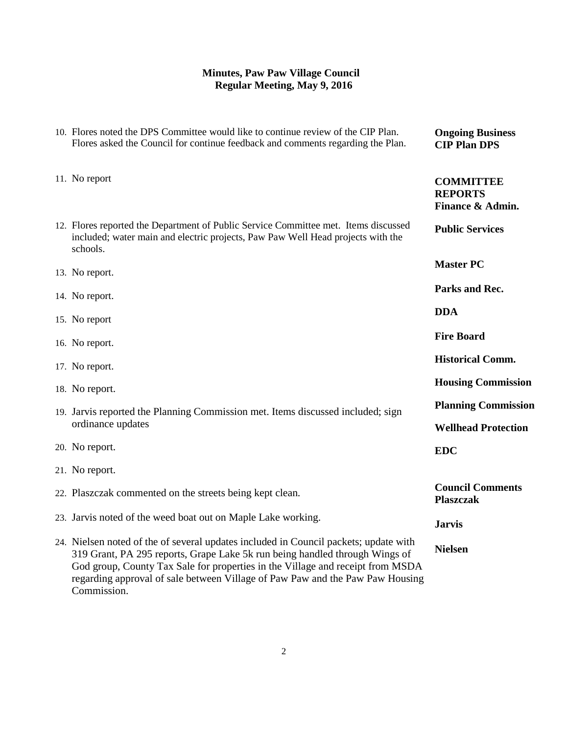| 10. Flores noted the DPS Committee would like to continue review of the CIP Plan.<br>Flores asked the Council for continue feedback and comments regarding the Plan.                                                                                                                                                                                  | <b>Ongoing Business</b><br><b>CIP Plan DPS</b>           |
|-------------------------------------------------------------------------------------------------------------------------------------------------------------------------------------------------------------------------------------------------------------------------------------------------------------------------------------------------------|----------------------------------------------------------|
| 11. No report                                                                                                                                                                                                                                                                                                                                         | <b>COMMITTEE</b><br><b>REPORTS</b><br>Finance & Admin.   |
| 12. Flores reported the Department of Public Service Committee met. Items discussed<br>included; water main and electric projects, Paw Paw Well Head projects with the<br>schools.                                                                                                                                                                    | <b>Public Services</b>                                   |
| 13. No report.                                                                                                                                                                                                                                                                                                                                        | <b>Master PC</b>                                         |
| 14. No report.                                                                                                                                                                                                                                                                                                                                        | Parks and Rec.                                           |
| 15. No report                                                                                                                                                                                                                                                                                                                                         | <b>DDA</b>                                               |
| 16. No report.                                                                                                                                                                                                                                                                                                                                        | <b>Fire Board</b>                                        |
| 17. No report.                                                                                                                                                                                                                                                                                                                                        | <b>Historical Comm.</b>                                  |
| 18. No report.                                                                                                                                                                                                                                                                                                                                        | <b>Housing Commission</b>                                |
| 19. Jarvis reported the Planning Commission met. Items discussed included; sign<br>ordinance updates                                                                                                                                                                                                                                                  | <b>Planning Commission</b><br><b>Wellhead Protection</b> |
| 20. No report.                                                                                                                                                                                                                                                                                                                                        | <b>EDC</b>                                               |
| 21. No report.                                                                                                                                                                                                                                                                                                                                        |                                                          |
| 22. Plaszczak commented on the streets being kept clean.                                                                                                                                                                                                                                                                                              | <b>Council Comments</b><br><b>Plaszczak</b>              |
| 23. Jarvis noted of the weed boat out on Maple Lake working.                                                                                                                                                                                                                                                                                          | <b>Jarvis</b>                                            |
| 24. Nielsen noted of the of several updates included in Council packets; update with<br>319 Grant, PA 295 reports, Grape Lake 5k run being handled through Wings of<br>God group, County Tax Sale for properties in the Village and receipt from MSDA<br>regarding approval of sale between Village of Paw Paw and the Paw Paw Housing<br>Commission. | <b>Nielsen</b>                                           |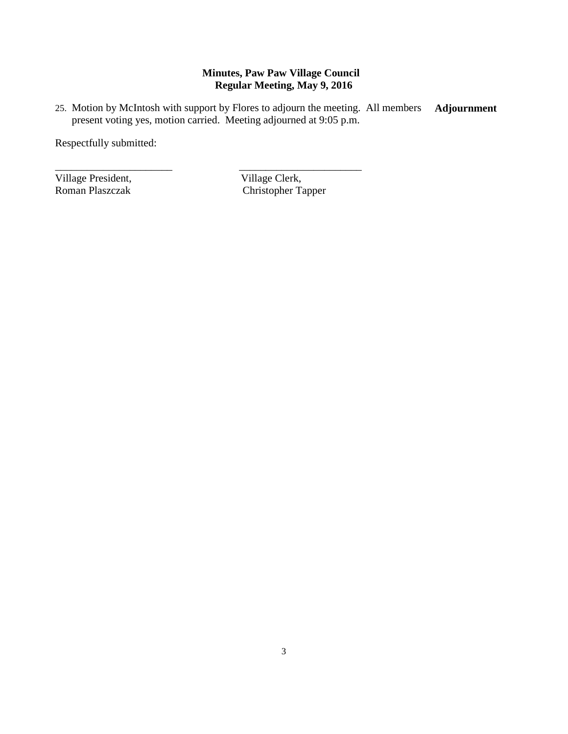25. Motion by McIntosh with support by Flores to adjourn the meeting. All members present voting yes, motion carried. Meeting adjourned at 9:05 p.m. **Adjournment**

\_\_\_\_\_\_\_\_\_\_\_\_\_\_\_\_\_\_\_\_\_\_ \_\_\_\_\_\_\_\_\_\_\_\_\_\_\_\_\_\_\_\_\_\_\_

Respectfully submitted:

Village President, Village Clerk, Roman Plaszczak (Christopher Ta

Christopher Tapper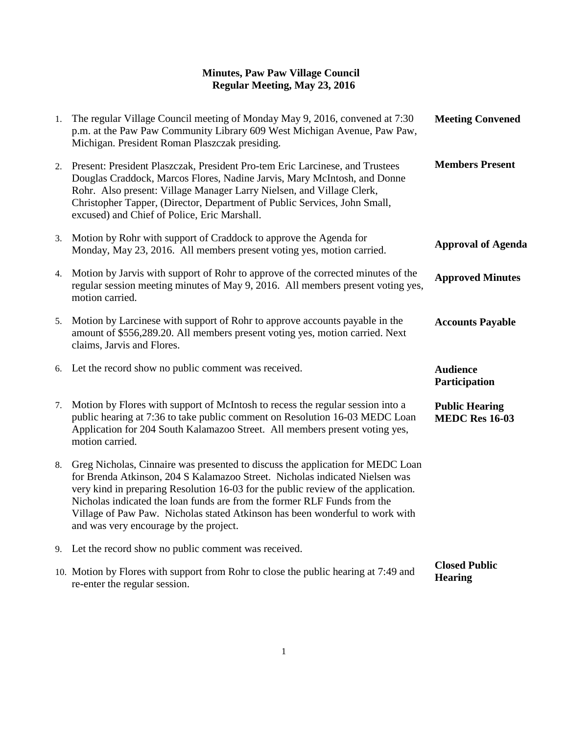| 1. | The regular Village Council meeting of Monday May 9, 2016, convened at 7:30<br>p.m. at the Paw Paw Community Library 609 West Michigan Avenue, Paw Paw,<br>Michigan. President Roman Plaszczak presiding.                                                                                                                                                                                                                                                | <b>Meeting Convened</b>                        |
|----|----------------------------------------------------------------------------------------------------------------------------------------------------------------------------------------------------------------------------------------------------------------------------------------------------------------------------------------------------------------------------------------------------------------------------------------------------------|------------------------------------------------|
|    | 2. Present: President Plaszczak, President Pro-tem Eric Larcinese, and Trustees<br>Douglas Craddock, Marcos Flores, Nadine Jarvis, Mary McIntosh, and Donne<br>Rohr. Also present: Village Manager Larry Nielsen, and Village Clerk,<br>Christopher Tapper, (Director, Department of Public Services, John Small,<br>excused) and Chief of Police, Eric Marshall.                                                                                        | <b>Members Present</b>                         |
| 3. | Motion by Rohr with support of Craddock to approve the Agenda for<br>Monday, May 23, 2016. All members present voting yes, motion carried.                                                                                                                                                                                                                                                                                                               | <b>Approval of Agenda</b>                      |
| 4. | Motion by Jarvis with support of Rohr to approve of the corrected minutes of the<br>regular session meeting minutes of May 9, 2016. All members present voting yes,<br>motion carried.                                                                                                                                                                                                                                                                   | <b>Approved Minutes</b>                        |
|    | 5. Motion by Larcinese with support of Rohr to approve accounts payable in the<br>amount of \$556,289.20. All members present voting yes, motion carried. Next<br>claims, Jarvis and Flores.                                                                                                                                                                                                                                                             | <b>Accounts Payable</b>                        |
|    | 6. Let the record show no public comment was received.                                                                                                                                                                                                                                                                                                                                                                                                   | <b>Audience</b><br>Participation               |
| 7. | Motion by Flores with support of McIntosh to recess the regular session into a<br>public hearing at 7:36 to take public comment on Resolution 16-03 MEDC Loan<br>Application for 204 South Kalamazoo Street. All members present voting yes,<br>motion carried.                                                                                                                                                                                          | <b>Public Hearing</b><br><b>MEDC Res 16-03</b> |
| 8. | Greg Nicholas, Cinnaire was presented to discuss the application for MEDC Loan<br>for Brenda Atkinson, 204 S Kalamazoo Street. Nicholas indicated Nielsen was<br>very kind in preparing Resolution 16-03 for the public review of the application.<br>Nicholas indicated the loan funds are from the former RLF Funds from the<br>Village of Paw Paw. Nicholas stated Atkinson has been wonderful to work with<br>and was very encourage by the project. |                                                |
|    | 9. Let the record show no public comment was received.                                                                                                                                                                                                                                                                                                                                                                                                   |                                                |
|    | 10. Motion by Flores with support from Rohr to close the public hearing at 7:49 and<br>re-enter the regular session.                                                                                                                                                                                                                                                                                                                                     | <b>Closed Public</b><br><b>Hearing</b>         |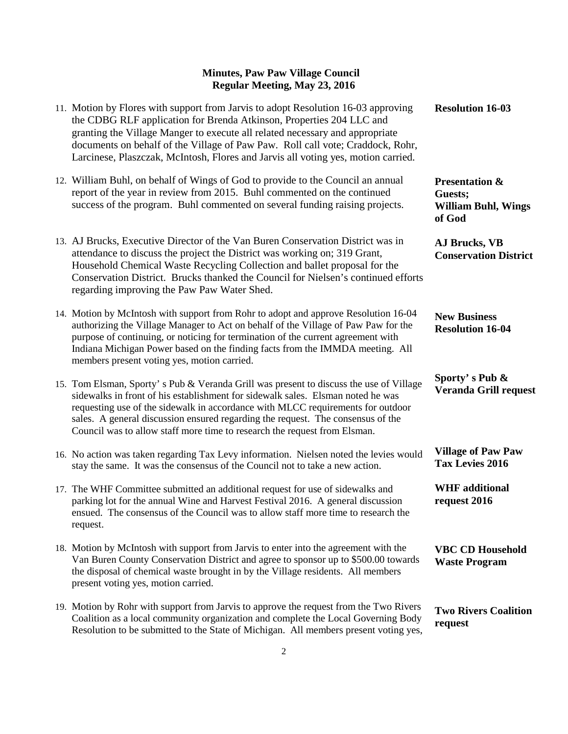| 11. Motion by Flores with support from Jarvis to adopt Resolution 16-03 approving<br>the CDBG RLF application for Brenda Atkinson, Properties 204 LLC and<br>granting the Village Manger to execute all related necessary and appropriate<br>documents on behalf of the Village of Paw Paw. Roll call vote; Craddock, Rohr,<br>Larcinese, Plaszczak, McIntosh, Flores and Jarvis all voting yes, motion carried.             | <b>Resolution 16-03</b>                                                      |
|------------------------------------------------------------------------------------------------------------------------------------------------------------------------------------------------------------------------------------------------------------------------------------------------------------------------------------------------------------------------------------------------------------------------------|------------------------------------------------------------------------------|
| 12. William Buhl, on behalf of Wings of God to provide to the Council an annual<br>report of the year in review from 2015. Buhl commented on the continued<br>success of the program. Buhl commented on several funding raising projects.                                                                                                                                                                                    | <b>Presentation &amp;</b><br>Guests;<br><b>William Buhl, Wings</b><br>of God |
| 13. AJ Brucks, Executive Director of the Van Buren Conservation District was in<br>attendance to discuss the project the District was working on; 319 Grant,<br>Household Chemical Waste Recycling Collection and ballet proposal for the<br>Conservation District. Brucks thanked the Council for Nielsen's continued efforts<br>regarding improving the Paw Paw Water Shed.                                                | <b>AJ Brucks, VB</b><br><b>Conservation District</b>                         |
| 14. Motion by McIntosh with support from Rohr to adopt and approve Resolution 16-04<br>authorizing the Village Manager to Act on behalf of the Village of Paw Paw for the<br>purpose of continuing, or noticing for termination of the current agreement with<br>Indiana Michigan Power based on the finding facts from the IMMDA meeting. All<br>members present voting yes, motion carried.                                | <b>New Business</b><br><b>Resolution 16-04</b>                               |
| 15. Tom Elsman, Sporty's Pub & Veranda Grill was present to discuss the use of Village<br>sidewalks in front of his establishment for sidewalk sales. Elsman noted he was<br>requesting use of the sidewalk in accordance with MLCC requirements for outdoor<br>sales. A general discussion ensured regarding the request. The consensus of the<br>Council was to allow staff more time to research the request from Elsman. | Sporty's Pub &<br><b>Veranda Grill request</b>                               |
| 16. No action was taken regarding Tax Levy information. Nielsen noted the levies would<br>stay the same. It was the consensus of the Council not to take a new action.                                                                                                                                                                                                                                                       | <b>Village of Paw Paw</b><br><b>Tax Levies 2016</b>                          |
| 17. The WHF Committee submitted an additional request for use of sidewalks and<br>parking lot for the annual Wine and Harvest Festival 2016. A general discussion<br>ensued. The consensus of the Council was to allow staff more time to research the<br>request.                                                                                                                                                           | <b>WHF</b> additional<br>request 2016                                        |
| 18. Motion by McIntosh with support from Jarvis to enter into the agreement with the<br>Van Buren County Conservation District and agree to sponsor up to \$500.00 towards<br>the disposal of chemical waste brought in by the Village residents. All members<br>present voting yes, motion carried.                                                                                                                         | <b>VBC CD Household</b><br><b>Waste Program</b>                              |
| 19. Motion by Rohr with support from Jarvis to approve the request from the Two Rivers<br>Coalition as a local community organization and complete the Local Governing Body<br>Resolution to be submitted to the State of Michigan. All members present voting yes,                                                                                                                                                          | <b>Two Rivers Coalition</b><br>request                                       |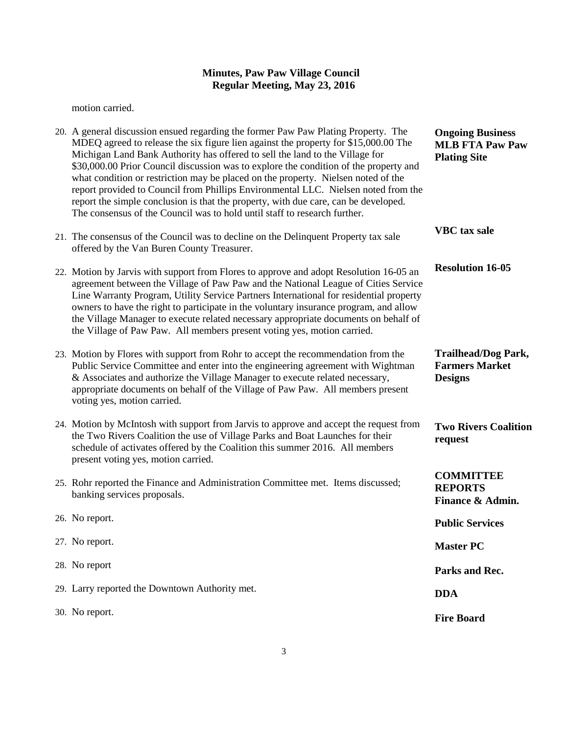motion carried.

| 20. A general discussion ensued regarding the former Paw Paw Plating Property. The<br>MDEQ agreed to release the six figure lien against the property for \$15,000.00 The<br>Michigan Land Bank Authority has offered to sell the land to the Village for<br>\$30,000.00 Prior Council discussion was to explore the condition of the property and<br>what condition or restriction may be placed on the property. Nielsen noted of the<br>report provided to Council from Phillips Environmental LLC. Nielsen noted from the<br>report the simple conclusion is that the property, with due care, can be developed.<br>The consensus of the Council was to hold until staff to research further. | <b>Ongoing Business</b><br><b>MLB FTA Paw Paw</b><br><b>Plating Site</b> |
|---------------------------------------------------------------------------------------------------------------------------------------------------------------------------------------------------------------------------------------------------------------------------------------------------------------------------------------------------------------------------------------------------------------------------------------------------------------------------------------------------------------------------------------------------------------------------------------------------------------------------------------------------------------------------------------------------|--------------------------------------------------------------------------|
| 21. The consensus of the Council was to decline on the Delinquent Property tax sale<br>offered by the Van Buren County Treasurer.                                                                                                                                                                                                                                                                                                                                                                                                                                                                                                                                                                 | <b>VBC</b> tax sale                                                      |
| 22. Motion by Jarvis with support from Flores to approve and adopt Resolution 16-05 an<br>agreement between the Village of Paw Paw and the National League of Cities Service<br>Line Warranty Program, Utility Service Partners International for residential property<br>owners to have the right to participate in the voluntary insurance program, and allow<br>the Village Manager to execute related necessary appropriate documents on behalf of<br>the Village of Paw Paw. All members present voting yes, motion carried.                                                                                                                                                                 | <b>Resolution 16-05</b>                                                  |
| 23. Motion by Flores with support from Rohr to accept the recommendation from the<br>Public Service Committee and enter into the engineering agreement with Wightman<br>& Associates and authorize the Village Manager to execute related necessary,<br>appropriate documents on behalf of the Village of Paw Paw. All members present<br>voting yes, motion carried.                                                                                                                                                                                                                                                                                                                             | <b>Trailhead/Dog Park,</b><br><b>Farmers Market</b><br><b>Designs</b>    |
| 24. Motion by McIntosh with support from Jarvis to approve and accept the request from<br>the Two Rivers Coalition the use of Village Parks and Boat Launches for their<br>schedule of activates offered by the Coalition this summer 2016. All members<br>present voting yes, motion carried.                                                                                                                                                                                                                                                                                                                                                                                                    | <b>Two Rivers Coalition</b><br>request                                   |
| 25. Rohr reported the Finance and Administration Committee met. Items discussed;<br>banking services proposals.                                                                                                                                                                                                                                                                                                                                                                                                                                                                                                                                                                                   | <b>COMMITTEE</b><br><b>REPORTS</b><br>Finance & Admin.                   |
| 26. No report.                                                                                                                                                                                                                                                                                                                                                                                                                                                                                                                                                                                                                                                                                    | <b>Public Services</b>                                                   |
| 27. No report.                                                                                                                                                                                                                                                                                                                                                                                                                                                                                                                                                                                                                                                                                    | <b>Master PC</b>                                                         |
| 28. No report                                                                                                                                                                                                                                                                                                                                                                                                                                                                                                                                                                                                                                                                                     | Parks and Rec.                                                           |
| 29. Larry reported the Downtown Authority met.                                                                                                                                                                                                                                                                                                                                                                                                                                                                                                                                                                                                                                                    | <b>DDA</b>                                                               |
| 30. No report.                                                                                                                                                                                                                                                                                                                                                                                                                                                                                                                                                                                                                                                                                    | <b>Fire Board</b>                                                        |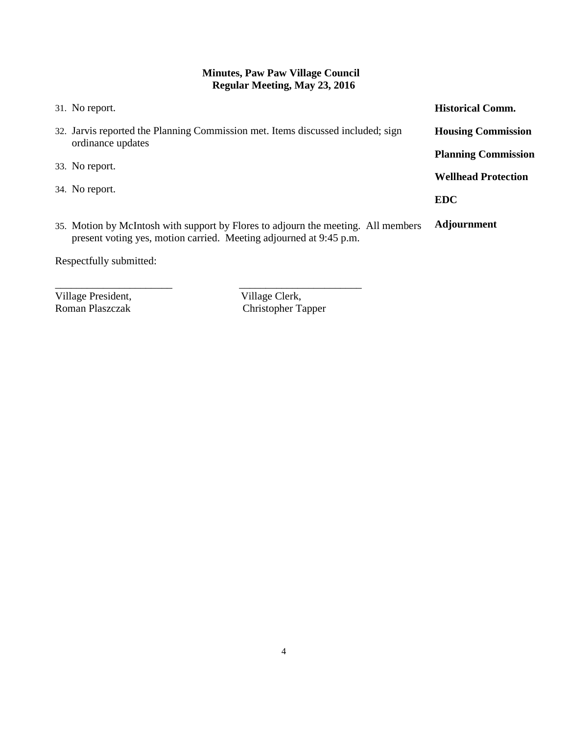| 31. No report.                                                                                                                                          | <b>Historical Comm.</b>    |
|---------------------------------------------------------------------------------------------------------------------------------------------------------|----------------------------|
| 32. Jarvis reported the Planning Commission met. Items discussed included; sign<br>ordinance updates                                                    | <b>Housing Commission</b>  |
|                                                                                                                                                         | <b>Planning Commission</b> |
| 33. No report.                                                                                                                                          | <b>Wellhead Protection</b> |
| 34. No report.                                                                                                                                          |                            |
|                                                                                                                                                         | <b>EDC</b>                 |
| 35. Motion by McIntosh with support by Flores to adjourn the meeting. All members<br>present voting yes, motion carried. Meeting adjourned at 9:45 p.m. | <b>Adjournment</b>         |
| Respectfully submitted:                                                                                                                                 |                            |
|                                                                                                                                                         |                            |
|                                                                                                                                                         |                            |

Village President,<br>
Roman Plaszczak<br>
Christopher Ta

Christopher Tapper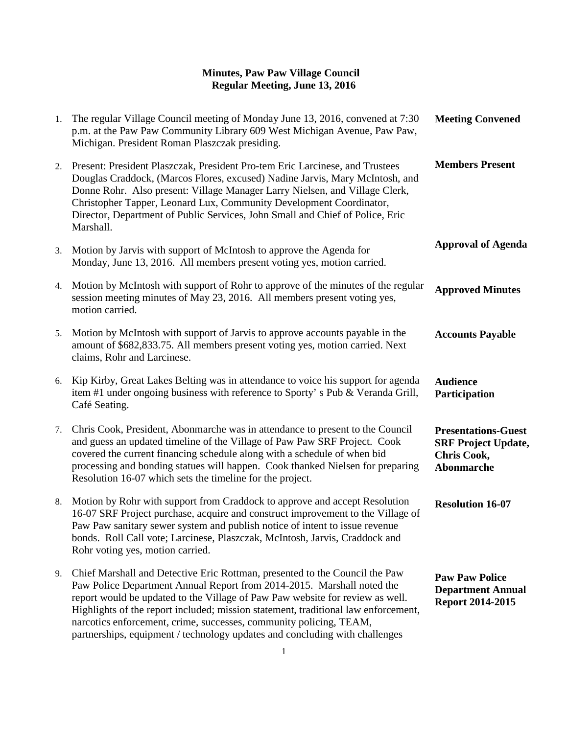| 1. | The regular Village Council meeting of Monday June 13, 2016, convened at 7:30<br>p.m. at the Paw Paw Community Library 609 West Michigan Avenue, Paw Paw,<br>Michigan. President Roman Plaszczak presiding.                                                                                                                                                                                                                                                                       | <b>Meeting Convened</b>                                                                             |
|----|-----------------------------------------------------------------------------------------------------------------------------------------------------------------------------------------------------------------------------------------------------------------------------------------------------------------------------------------------------------------------------------------------------------------------------------------------------------------------------------|-----------------------------------------------------------------------------------------------------|
| 2. | Present: President Plaszczak, President Pro-tem Eric Larcinese, and Trustees<br>Douglas Craddock, (Marcos Flores, excused) Nadine Jarvis, Mary McIntosh, and<br>Donne Rohr. Also present: Village Manager Larry Nielsen, and Village Clerk,<br>Christopher Tapper, Leonard Lux, Community Development Coordinator,<br>Director, Department of Public Services, John Small and Chief of Police, Eric<br>Marshall.                                                                  | <b>Members Present</b>                                                                              |
| 3. | Motion by Jarvis with support of McIntosh to approve the Agenda for<br>Monday, June 13, 2016. All members present voting yes, motion carried.                                                                                                                                                                                                                                                                                                                                     | <b>Approval of Agenda</b>                                                                           |
| 4. | Motion by McIntosh with support of Rohr to approve of the minutes of the regular<br>session meeting minutes of May 23, 2016. All members present voting yes,<br>motion carried.                                                                                                                                                                                                                                                                                                   | <b>Approved Minutes</b>                                                                             |
| 5. | Motion by McIntosh with support of Jarvis to approve accounts payable in the<br>amount of \$682,833.75. All members present voting yes, motion carried. Next<br>claims, Rohr and Larcinese.                                                                                                                                                                                                                                                                                       | <b>Accounts Payable</b>                                                                             |
| 6. | Kip Kirby, Great Lakes Belting was in attendance to voice his support for agenda<br>item #1 under ongoing business with reference to Sporty's Pub & Veranda Grill,<br>Café Seating.                                                                                                                                                                                                                                                                                               | <b>Audience</b><br>Participation                                                                    |
| 7. | Chris Cook, President, Abonmarche was in attendance to present to the Council<br>and guess an updated timeline of the Village of Paw Paw SRF Project. Cook<br>covered the current financing schedule along with a schedule of when bid<br>processing and bonding statues will happen. Cook thanked Nielsen for preparing<br>Resolution 16-07 which sets the timeline for the project.                                                                                             | <b>Presentations-Guest</b><br><b>SRF Project Update,</b><br><b>Chris Cook,</b><br><b>Abonmarche</b> |
| 8. | Motion by Rohr with support from Craddock to approve and accept Resolution<br>16-07 SRF Project purchase, acquire and construct improvement to the Village of<br>Paw Paw sanitary sewer system and publish notice of intent to issue revenue<br>bonds. Roll Call vote; Larcinese, Plaszczak, McIntosh, Jarvis, Craddock and<br>Rohr voting yes, motion carried.                                                                                                                   | <b>Resolution 16-07</b>                                                                             |
| 9. | Chief Marshall and Detective Eric Rottman, presented to the Council the Paw<br>Paw Police Department Annual Report from 2014-2015. Marshall noted the<br>report would be updated to the Village of Paw Paw website for review as well.<br>Highlights of the report included; mission statement, traditional law enforcement,<br>narcotics enforcement, crime, successes, community policing, TEAM,<br>partnerships, equipment / technology updates and concluding with challenges | <b>Paw Paw Police</b><br><b>Department Annual</b><br>Report 2014-2015                               |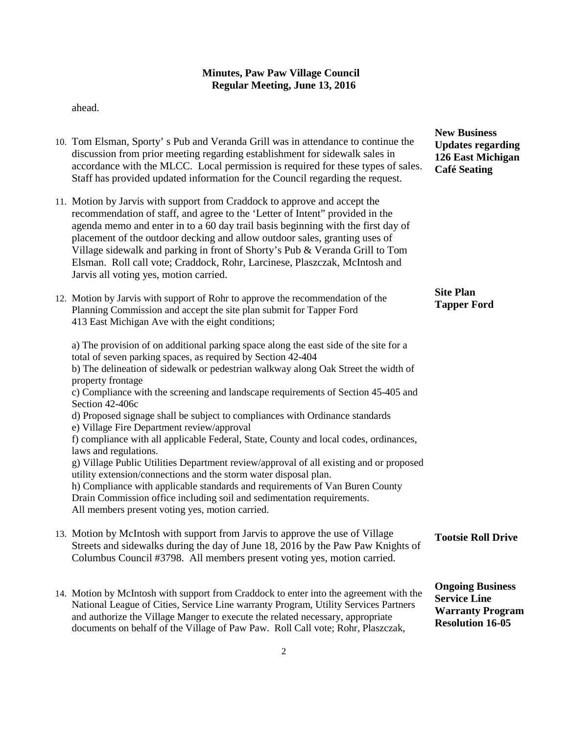ahead.

- 10. Tom Elsman, Sporty' s Pub and Veranda Grill was in attendance to continue the discussion from prior meeting regarding establishment for sidewalk sales in accordance with the MLCC. Local permission is required for these types of sales. Staff has provided updated information for the Council regarding the request.
- 11. Motion by Jarvis with support from Craddock to approve and accept the recommendation of staff, and agree to the 'Letter of Intent" provided in the agenda memo and enter in to a 60 day trail basis beginning with the first day of placement of the outdoor decking and allow outdoor sales, granting uses of Village sidewalk and parking in front of Shorty's Pub & Veranda Grill to Tom Elsman. Roll call vote; Craddock, Rohr, Larcinese, Plaszczak, McIntosh and Jarvis all voting yes, motion carried.
- 12. Motion by Jarvis with support of Rohr to approve the recommendation of the Planning Commission and accept the site plan submit for Tapper Ford 413 East Michigan Ave with the eight conditions;

a) The provision of on additional parking space along the east side of the site for a total of seven parking spaces, as required by Section 42-404 b) The delineation of sidewalk or pedestrian walkway along Oak Street the width of property frontage c) Compliance with the screening and landscape requirements of Section 45-405 and Section 42-406c d) Proposed signage shall be subject to compliances with Ordinance standards e) Village Fire Department review/approval f) compliance with all applicable Federal, State, County and local codes, ordinances, laws and regulations. g) Village Public Utilities Department review/approval of all existing and or proposed utility extension/connections and the storm water disposal plan. h) Compliance with applicable standards and requirements of Van Buren County Drain Commission office including soil and sedimentation requirements. All members present voting yes, motion carried.

- 13. Motion by McIntosh with support from Jarvis to approve the use of Village Streets and sidewalks during the day of June 18, 2016 by the Paw Paw Knights of Columbus Council #3798. All members present voting yes, motion carried. **Tootsie Roll Drive**
- 14. Motion by McIntosh with support from Craddock to enter into the agreement with the National League of Cities, Service Line warranty Program, Utility Services Partners and authorize the Village Manger to execute the related necessary, appropriate documents on behalf of the Village of Paw Paw. Roll Call vote; Rohr, Plaszczak, **Ongoing Business Service Line Warranty Program Resolution 16-05**

**New Business Updates regarding 126 East Michigan Café Seating**

# **Site Plan Tapper Ford**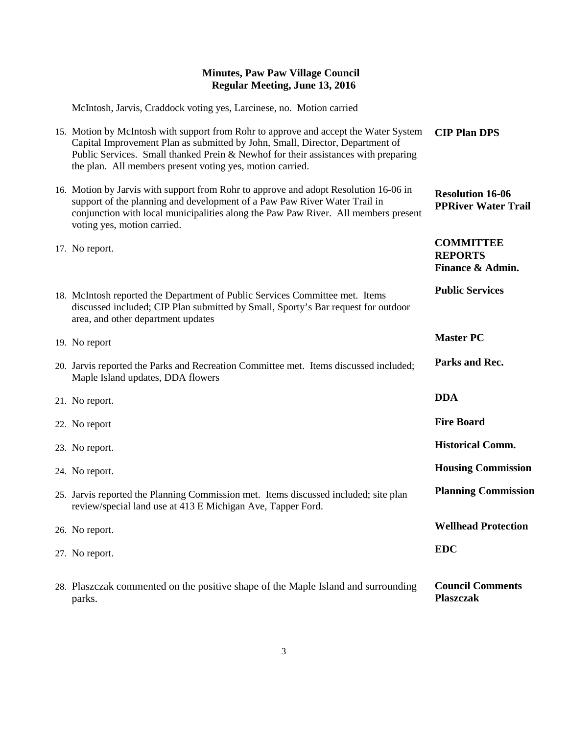McIntosh, Jarvis, Craddock voting yes, Larcinese, no. Motion carried

| 15. Motion by McIntosh with support from Rohr to approve and accept the Water System<br>Capital Improvement Plan as submitted by John, Small, Director, Department of<br>Public Services. Small thanked Prein & Newhof for their assistances with preparing<br>the plan. All members present voting yes, motion carried. | <b>CIP Plan DPS</b>                                    |
|--------------------------------------------------------------------------------------------------------------------------------------------------------------------------------------------------------------------------------------------------------------------------------------------------------------------------|--------------------------------------------------------|
| 16. Motion by Jarvis with support from Rohr to approve and adopt Resolution 16-06 in<br>support of the planning and development of a Paw Paw River Water Trail in<br>conjunction with local municipalities along the Paw Paw River. All members present<br>voting yes, motion carried.                                   | <b>Resolution 16-06</b><br><b>PPRiver Water Trail</b>  |
| 17. No report.                                                                                                                                                                                                                                                                                                           | <b>COMMITTEE</b><br><b>REPORTS</b><br>Finance & Admin. |
| 18. McIntosh reported the Department of Public Services Committee met. Items<br>discussed included; CIP Plan submitted by Small, Sporty's Bar request for outdoor<br>area, and other department updates                                                                                                                  | <b>Public Services</b>                                 |
| 19. No report                                                                                                                                                                                                                                                                                                            | <b>Master PC</b>                                       |
| 20. Jarvis reported the Parks and Recreation Committee met. Items discussed included;<br>Maple Island updates, DDA flowers                                                                                                                                                                                               | Parks and Rec.                                         |
| 21. No report.                                                                                                                                                                                                                                                                                                           | <b>DDA</b>                                             |
| 22. No report                                                                                                                                                                                                                                                                                                            | <b>Fire Board</b>                                      |
| 23. No report.                                                                                                                                                                                                                                                                                                           | <b>Historical Comm.</b>                                |
| 24. No report.                                                                                                                                                                                                                                                                                                           | <b>Housing Commission</b>                              |
| 25. Jarvis reported the Planning Commission met. Items discussed included; site plan<br>review/special land use at 413 E Michigan Ave, Tapper Ford.                                                                                                                                                                      | <b>Planning Commission</b>                             |
| 26. No report.                                                                                                                                                                                                                                                                                                           | <b>Wellhead Protection</b>                             |
| 27. No report.                                                                                                                                                                                                                                                                                                           | <b>EDC</b>                                             |
| 28. Plaszczak commented on the positive shape of the Maple Island and surrounding<br>parks.                                                                                                                                                                                                                              | <b>Council Comments</b><br><b>Plaszczak</b>            |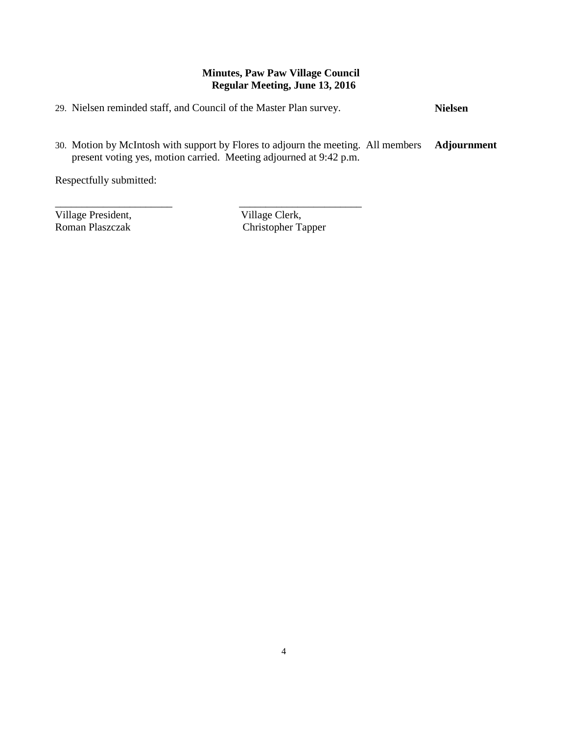29. Nielsen reminded staff, and Council of the Master Plan survey. **Nielsen**

\_\_\_\_\_\_\_\_\_\_\_\_\_\_\_\_\_\_\_\_\_\_ \_\_\_\_\_\_\_\_\_\_\_\_\_\_\_\_\_\_\_\_\_\_\_

30. Motion by McIntosh with support by Flores to adjourn the meeting. All members present voting yes, motion carried. Meeting adjourned at 9:42 p.m. **Adjournment**

Respectfully submitted:

Village President, Village Clerk, Roman Plaszczak (Christopher Ta

Christopher Tapper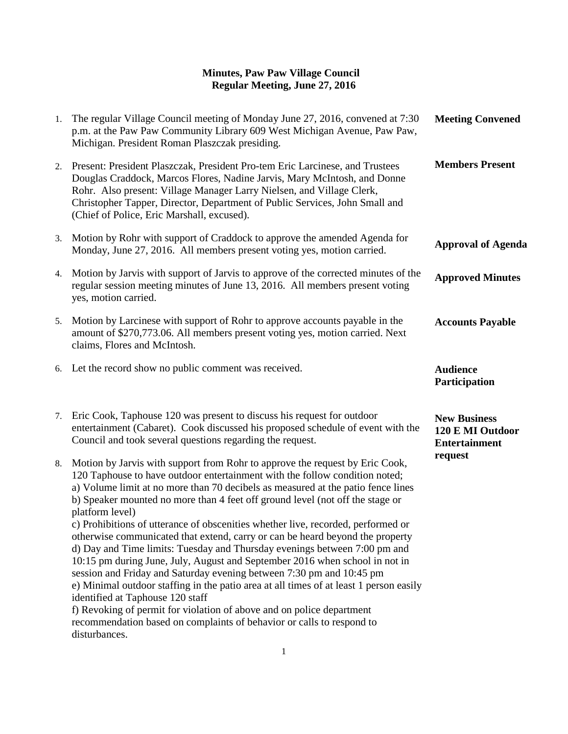| 1. | The regular Village Council meeting of Monday June 27, 2016, convened at 7:30<br>p.m. at the Paw Paw Community Library 609 West Michigan Avenue, Paw Paw,<br>Michigan. President Roman Plaszczak presiding.                                                                                                                                                                                                                                                                                                                                                                                                                                                                                                                                                                                                                                                                                                                                                                                                                                                   | <b>Meeting Convened</b>                                         |
|----|---------------------------------------------------------------------------------------------------------------------------------------------------------------------------------------------------------------------------------------------------------------------------------------------------------------------------------------------------------------------------------------------------------------------------------------------------------------------------------------------------------------------------------------------------------------------------------------------------------------------------------------------------------------------------------------------------------------------------------------------------------------------------------------------------------------------------------------------------------------------------------------------------------------------------------------------------------------------------------------------------------------------------------------------------------------|-----------------------------------------------------------------|
| 2. | Present: President Plaszczak, President Pro-tem Eric Larcinese, and Trustees<br>Douglas Craddock, Marcos Flores, Nadine Jarvis, Mary McIntosh, and Donne<br>Rohr. Also present: Village Manager Larry Nielsen, and Village Clerk,<br>Christopher Tapper, Director, Department of Public Services, John Small and<br>(Chief of Police, Eric Marshall, excused).                                                                                                                                                                                                                                                                                                                                                                                                                                                                                                                                                                                                                                                                                                | <b>Members Present</b>                                          |
| 3. | Motion by Rohr with support of Craddock to approve the amended Agenda for<br>Monday, June 27, 2016. All members present voting yes, motion carried.                                                                                                                                                                                                                                                                                                                                                                                                                                                                                                                                                                                                                                                                                                                                                                                                                                                                                                           | <b>Approval of Agenda</b>                                       |
| 4. | Motion by Jarvis with support of Jarvis to approve of the corrected minutes of the<br>regular session meeting minutes of June 13, 2016. All members present voting<br>yes, motion carried.                                                                                                                                                                                                                                                                                                                                                                                                                                                                                                                                                                                                                                                                                                                                                                                                                                                                    | <b>Approved Minutes</b>                                         |
| 5. | Motion by Larcinese with support of Rohr to approve accounts payable in the<br>amount of \$270,773.06. All members present voting yes, motion carried. Next<br>claims, Flores and McIntosh.                                                                                                                                                                                                                                                                                                                                                                                                                                                                                                                                                                                                                                                                                                                                                                                                                                                                   | <b>Accounts Payable</b>                                         |
| 6. | Let the record show no public comment was received.                                                                                                                                                                                                                                                                                                                                                                                                                                                                                                                                                                                                                                                                                                                                                                                                                                                                                                                                                                                                           | <b>Audience</b><br>Participation                                |
| 7. | Eric Cook, Taphouse 120 was present to discuss his request for outdoor<br>entertainment (Cabaret). Cook discussed his proposed schedule of event with the<br>Council and took several questions regarding the request.                                                                                                                                                                                                                                                                                                                                                                                                                                                                                                                                                                                                                                                                                                                                                                                                                                        | <b>New Business</b><br>120 E MI Outdoor<br><b>Entertainment</b> |
| 8. | Motion by Jarvis with support from Rohr to approve the request by Eric Cook,<br>120 Taphouse to have outdoor entertainment with the follow condition noted;<br>a) Volume limit at no more than 70 decibels as measured at the patio fence lines<br>b) Speaker mounted no more than 4 feet off ground level (not off the stage or<br>platform level)<br>c) Prohibitions of utterance of obscenities whether live, recorded, performed or<br>otherwise communicated that extend, carry or can be heard beyond the property<br>d) Day and Time limits: Tuesday and Thursday evenings between 7:00 pm and<br>10:15 pm during June, July, August and September 2016 when school in not in<br>session and Friday and Saturday evening between 7:30 pm and 10:45 pm<br>e) Minimal outdoor staffing in the patio area at all times of at least 1 person easily<br>identified at Taphouse 120 staff<br>f) Revoking of permit for violation of above and on police department<br>recommendation based on complaints of behavior or calls to respond to<br>disturbances. | request                                                         |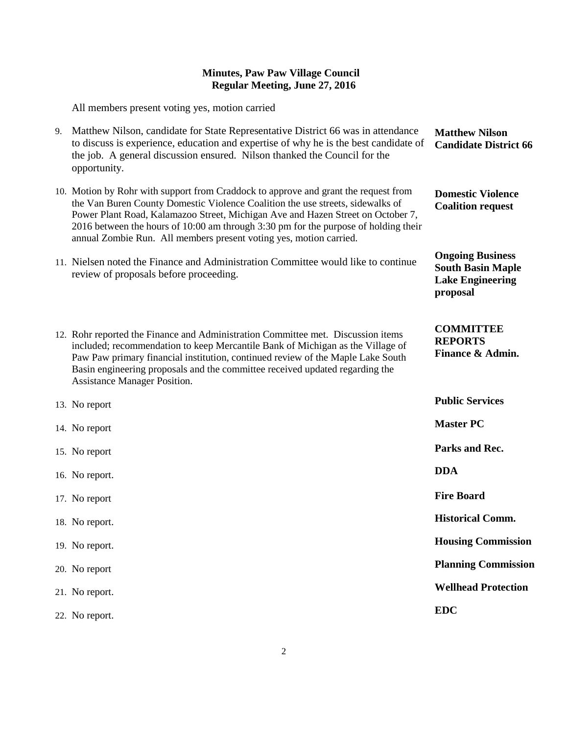All members present voting yes, motion carried

| 9. | Matthew Nilson, candidate for State Representative District 66 was in attendance<br>to discuss is experience, education and expertise of why he is the best candidate of<br>the job. A general discussion ensured. Nilson thanked the Council for the<br>opportunity.                                                                                                                                                 | <b>Matthew Nilson</b><br><b>Candidate District 66</b>                                      |
|----|-----------------------------------------------------------------------------------------------------------------------------------------------------------------------------------------------------------------------------------------------------------------------------------------------------------------------------------------------------------------------------------------------------------------------|--------------------------------------------------------------------------------------------|
|    | 10. Motion by Rohr with support from Craddock to approve and grant the request from<br>the Van Buren County Domestic Violence Coalition the use streets, sidewalks of<br>Power Plant Road, Kalamazoo Street, Michigan Ave and Hazen Street on October 7,<br>2016 between the hours of 10:00 am through 3:30 pm for the purpose of holding their<br>annual Zombie Run. All members present voting yes, motion carried. | <b>Domestic Violence</b><br><b>Coalition request</b>                                       |
|    | 11. Nielsen noted the Finance and Administration Committee would like to continue<br>review of proposals before proceeding.                                                                                                                                                                                                                                                                                           | <b>Ongoing Business</b><br><b>South Basin Maple</b><br><b>Lake Engineering</b><br>proposal |
|    | 12. Rohr reported the Finance and Administration Committee met. Discussion items<br>included; recommendation to keep Mercantile Bank of Michigan as the Village of<br>Paw Paw primary financial institution, continued review of the Maple Lake South<br>Basin engineering proposals and the committee received updated regarding the<br><b>Assistance Manager Position.</b>                                          | <b>COMMITTEE</b><br><b>REPORTS</b><br>Finance & Admin.                                     |
|    | 13. No report                                                                                                                                                                                                                                                                                                                                                                                                         | <b>Public Services</b>                                                                     |
|    | 14. No report                                                                                                                                                                                                                                                                                                                                                                                                         | <b>Master PC</b>                                                                           |
|    | 15. No report                                                                                                                                                                                                                                                                                                                                                                                                         | Parks and Rec.                                                                             |
|    | 16. No report.                                                                                                                                                                                                                                                                                                                                                                                                        | <b>DDA</b>                                                                                 |
|    | 17. No report                                                                                                                                                                                                                                                                                                                                                                                                         | <b>Fire Board</b>                                                                          |
|    | 18. No report.                                                                                                                                                                                                                                                                                                                                                                                                        | <b>Historical Comm.</b>                                                                    |
|    | 19. No report.                                                                                                                                                                                                                                                                                                                                                                                                        | <b>Housing Commission</b>                                                                  |
|    | 20. No report                                                                                                                                                                                                                                                                                                                                                                                                         | <b>Planning Commission</b>                                                                 |
|    | 21. No report.                                                                                                                                                                                                                                                                                                                                                                                                        | <b>Wellhead Protection</b>                                                                 |
|    | 22. No report.                                                                                                                                                                                                                                                                                                                                                                                                        | <b>EDC</b>                                                                                 |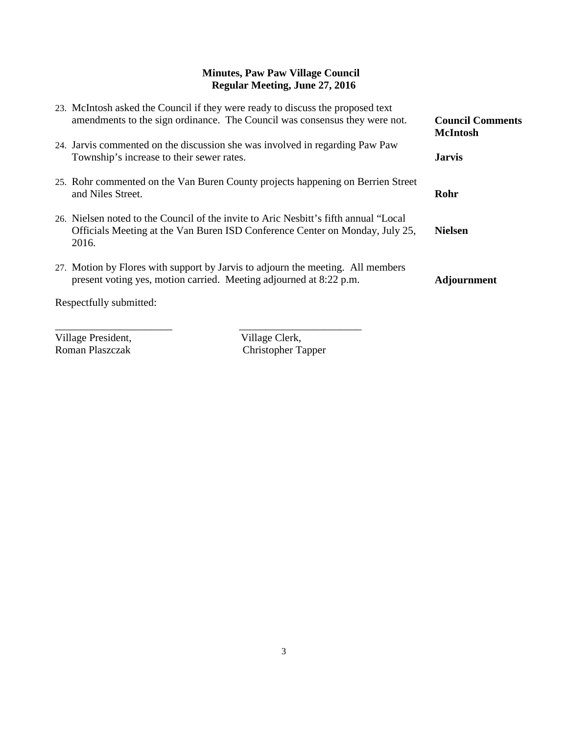| 23. McIntosh asked the Council if they were ready to discuss the proposed text<br>amendments to the sign ordinance. The Council was consensus they were not.<br>24. Jarvis commented on the discussion she was involved in regarding Paw Paw<br>Township's increase to their sewer rates. | <b>Council Comments</b><br><b>McIntosh</b><br><b>Jarvis</b> |
|-------------------------------------------------------------------------------------------------------------------------------------------------------------------------------------------------------------------------------------------------------------------------------------------|-------------------------------------------------------------|
| 25. Rohr commented on the Van Buren County projects happening on Berrien Street<br>and Niles Street.                                                                                                                                                                                      | Rohr                                                        |
| 26. Nielsen noted to the Council of the invite to Aric Nesbitt's fifth annual "Local"<br>Officials Meeting at the Van Buren ISD Conference Center on Monday, July 25,<br>2016.                                                                                                            | <b>Nielsen</b>                                              |
| 27. Motion by Flores with support by Jarvis to adjourn the meeting. All members<br>present voting yes, motion carried. Meeting adjourned at 8:22 p.m.                                                                                                                                     | <b>Adjournment</b>                                          |
| Respectfully submitted:                                                                                                                                                                                                                                                                   |                                                             |

Village President,<br>
Roman Plaszczak<br>
Christopher Ta

Christopher Tapper

\_\_\_\_\_\_\_\_\_\_\_\_\_\_\_\_\_\_\_\_\_\_ \_\_\_\_\_\_\_\_\_\_\_\_\_\_\_\_\_\_\_\_\_\_\_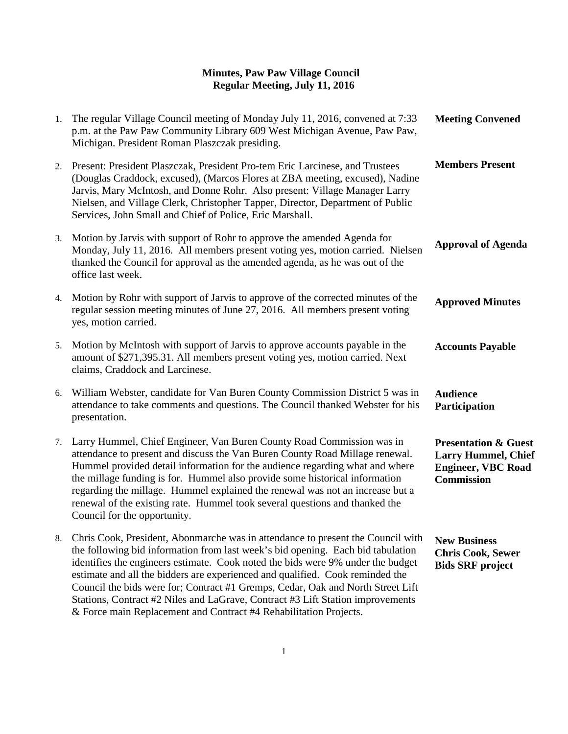| 1. | The regular Village Council meeting of Monday July 11, 2016, convened at 7:33<br>p.m. at the Paw Paw Community Library 609 West Michigan Avenue, Paw Paw,<br>Michigan. President Roman Plaszczak presiding.                                                                                                                                                                                                                                                                                                          | <b>Meeting Convened</b>                                                                                         |
|----|----------------------------------------------------------------------------------------------------------------------------------------------------------------------------------------------------------------------------------------------------------------------------------------------------------------------------------------------------------------------------------------------------------------------------------------------------------------------------------------------------------------------|-----------------------------------------------------------------------------------------------------------------|
|    | 2. Present: President Plaszczak, President Pro-tem Eric Larcinese, and Trustees<br>(Douglas Craddock, excused), (Marcos Flores at ZBA meeting, excused), Nadine<br>Jarvis, Mary McIntosh, and Donne Rohr. Also present: Village Manager Larry<br>Nielsen, and Village Clerk, Christopher Tapper, Director, Department of Public<br>Services, John Small and Chief of Police, Eric Marshall.                                                                                                                          | <b>Members Present</b>                                                                                          |
| 3. | Motion by Jarvis with support of Rohr to approve the amended Agenda for<br>Monday, July 11, 2016. All members present voting yes, motion carried. Nielsen<br>thanked the Council for approval as the amended agenda, as he was out of the<br>office last week.                                                                                                                                                                                                                                                       | <b>Approval of Agenda</b>                                                                                       |
| 4. | Motion by Rohr with support of Jarvis to approve of the corrected minutes of the<br>regular session meeting minutes of June 27, 2016. All members present voting<br>yes, motion carried.                                                                                                                                                                                                                                                                                                                             | <b>Approved Minutes</b>                                                                                         |
| 5. | Motion by McIntosh with support of Jarvis to approve accounts payable in the<br>amount of \$271,395.31. All members present voting yes, motion carried. Next<br>claims, Craddock and Larcinese.                                                                                                                                                                                                                                                                                                                      | <b>Accounts Payable</b>                                                                                         |
| 6. | William Webster, candidate for Van Buren County Commission District 5 was in<br>attendance to take comments and questions. The Council thanked Webster for his<br>presentation.                                                                                                                                                                                                                                                                                                                                      | <b>Audience</b><br>Participation                                                                                |
| 7. | Larry Hummel, Chief Engineer, Van Buren County Road Commission was in<br>attendance to present and discuss the Van Buren County Road Millage renewal.<br>Hummel provided detail information for the audience regarding what and where<br>the millage funding is for. Hummel also provide some historical information<br>regarding the millage. Hummel explained the renewal was not an increase but a<br>renewal of the existing rate. Hummel took several questions and thanked the<br>Council for the opportunity. | <b>Presentation &amp; Guest</b><br><b>Larry Hummel, Chief</b><br><b>Engineer, VBC Road</b><br><b>Commission</b> |
| 8. | Chris Cook, President, Abonmarche was in attendance to present the Council with<br>the following bid information from last week's bid opening. Each bid tabulation<br>identifies the engineers estimate. Cook noted the bids were 9% under the budget<br>estimate and all the bidders are experienced and qualified. Cook reminded the<br>Council the bids were for; Contract #1 Gremps, Cedar, Oak and North Street Lift                                                                                            | <b>New Business</b><br><b>Chris Cook, Sewer</b><br><b>Bids SRF</b> project                                      |

Stations, Contract #2 Niles and LaGrave, Contract #3 Lift Station improvements

& Force main Replacement and Contract #4 Rehabilitation Projects.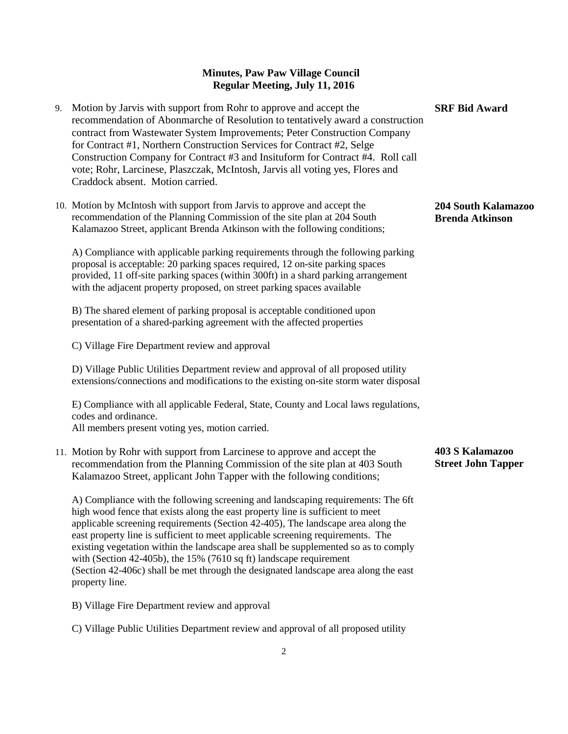- 9. Motion by Jarvis with support from Rohr to approve and accept the recommendation of Abonmarche of Resolution to tentatively award a construction contract from Wastewater System Improvements; Peter Construction Company for Contract #1, Northern Construction Services for Contract #2, Selge Construction Company for Contract #3 and Insituform for Contract #4. Roll call vote; Rohr, Larcinese, Plaszczak, McIntosh, Jarvis all voting yes, Flores and Craddock absent. Motion carried.
- 10. Motion by McIntosh with support from Jarvis to approve and accept the recommendation of the Planning Commission of the site plan at 204 South Kalamazoo Street, applicant Brenda Atkinson with the following conditions;

A) Compliance with applicable parking requirements through the following parking proposal is acceptable: 20 parking spaces required, 12 on-site parking spaces provided, 11 off-site parking spaces (within 300ft) in a shard parking arrangement with the adjacent property proposed, on street parking spaces available

B) The shared element of parking proposal is acceptable conditioned upon presentation of a shared-parking agreement with the affected properties

C) Village Fire Department review and approval

D) Village Public Utilities Department review and approval of all proposed utility extensions/connections and modifications to the existing on-site storm water disposal

E) Compliance with all applicable Federal, State, County and Local laws regulations, codes and ordinance. All members present voting yes, motion carried.

11. Motion by Rohr with support from Larcinese to approve and accept the recommendation from the Planning Commission of the site plan at 403 South Kalamazoo Street, applicant John Tapper with the following conditions;

A) Compliance with the following screening and landscaping requirements: The 6ft high wood fence that exists along the east property line is sufficient to meet applicable screening requirements (Section 42-405), The landscape area along the east property line is sufficient to meet applicable screening requirements. The existing vegetation within the landscape area shall be supplemented so as to comply with (Section 42-405b), the 15% (7610 sq ft) landscape requirement (Section 42-406c) shall be met through the designated landscape area along the east property line.

B) Village Fire Department review and approval

C) Village Public Utilities Department review and approval of all proposed utility

### **204 South Kalamazoo Brenda Atkinson**

**SRF Bid Award**

**403 S Kalamazoo Street John Tapper**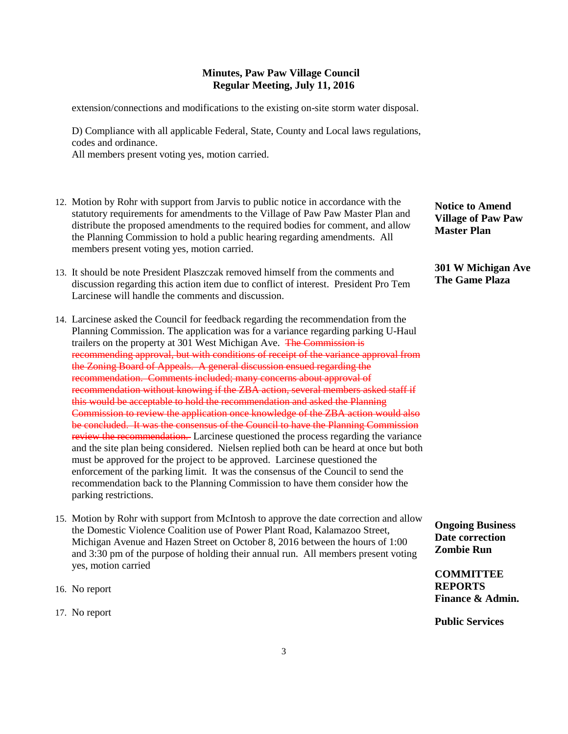extension/connections and modifications to the existing on-site storm water disposal.

D) Compliance with all applicable Federal, State, County and Local laws regulations, codes and ordinance.

All members present voting yes, motion carried.

- 12. Motion by Rohr with support from Jarvis to public notice in accordance with the statutory requirements for amendments to the Village of Paw Paw Master Plan and distribute the proposed amendments to the required bodies for comment, and allow the Planning Commission to hold a public hearing regarding amendments. All members present voting yes, motion carried.
- 13. It should be note President Plaszczak removed himself from the comments and discussion regarding this action item due to conflict of interest. President Pro Tem Larcinese will handle the comments and discussion.
- 14. Larcinese asked the Council for feedback regarding the recommendation from the Planning Commission. The application was for a variance regarding parking U-Haul trailers on the property at 301 West Michigan Ave. The Commission is recommending approval, but with conditions of receipt of the variance approval from the Zoning Board of Appeals. A general discussion ensued regarding the recommendation. Comments included; many concerns about approval of recommendation without knowing if the ZBA action, several members asked staff if this would be acceptable to hold the recommendation and asked the Planning Commission to review the application once knowledge of the ZBA action would also be concluded. It was the consensus of the Council to have the Planning Commission review the recommendation. Larcinese questioned the process regarding the variance and the site plan being considered. Nielsen replied both can be heard at once but both must be approved for the project to be approved. Larcinese questioned the enforcement of the parking limit. It was the consensus of the Council to send the recommendation back to the Planning Commission to have them consider how the parking restrictions.
- 15. Motion by Rohr with support from McIntosh to approve the date correction and allow the Domestic Violence Coalition use of Power Plant Road, Kalamazoo Street, Michigan Avenue and Hazen Street on October 8, 2016 between the hours of 1:00 and 3:30 pm of the purpose of holding their annual run. All members present voting yes, motion carried
- 16. No report
- 17. No report

**Notice to Amend Village of Paw Paw Master Plan**

**301 W Michigan Ave The Game Plaza**

**Ongoing Business Date correction Zombie Run**

**COMMITTEE REPORTS Finance & Admin.**

**Public Services**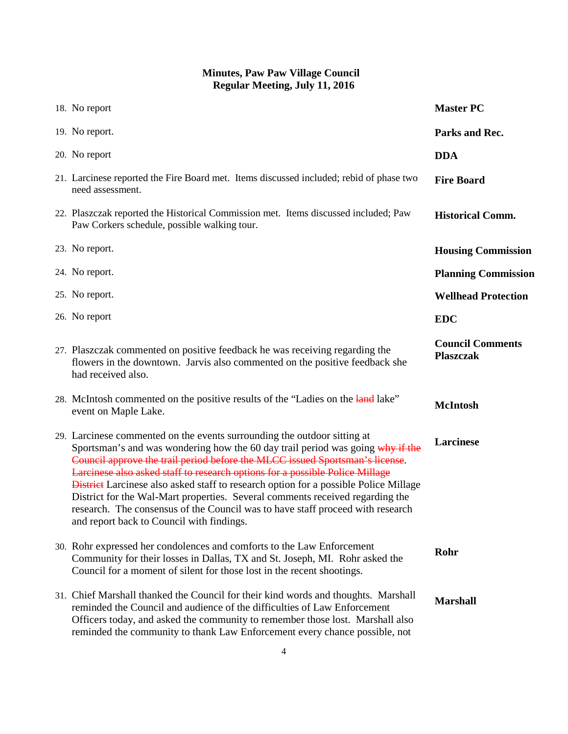| 18. No report                                                                                                                                                                                                                                                                                                                                                                                                                                                                                                                                                                                                                             | <b>Master PC</b>                            |
|-------------------------------------------------------------------------------------------------------------------------------------------------------------------------------------------------------------------------------------------------------------------------------------------------------------------------------------------------------------------------------------------------------------------------------------------------------------------------------------------------------------------------------------------------------------------------------------------------------------------------------------------|---------------------------------------------|
| 19. No report.                                                                                                                                                                                                                                                                                                                                                                                                                                                                                                                                                                                                                            | Parks and Rec.                              |
| 20. No report                                                                                                                                                                                                                                                                                                                                                                                                                                                                                                                                                                                                                             | <b>DDA</b>                                  |
| 21. Larcinese reported the Fire Board met. Items discussed included; rebid of phase two<br>need assessment.                                                                                                                                                                                                                                                                                                                                                                                                                                                                                                                               | <b>Fire Board</b>                           |
| 22. Plaszczak reported the Historical Commission met. Items discussed included; Paw<br>Paw Corkers schedule, possible walking tour.                                                                                                                                                                                                                                                                                                                                                                                                                                                                                                       | <b>Historical Comm.</b>                     |
| 23. No report.                                                                                                                                                                                                                                                                                                                                                                                                                                                                                                                                                                                                                            | <b>Housing Commission</b>                   |
| 24. No report.                                                                                                                                                                                                                                                                                                                                                                                                                                                                                                                                                                                                                            | <b>Planning Commission</b>                  |
| 25. No report.                                                                                                                                                                                                                                                                                                                                                                                                                                                                                                                                                                                                                            | <b>Wellhead Protection</b>                  |
| 26. No report                                                                                                                                                                                                                                                                                                                                                                                                                                                                                                                                                                                                                             | <b>EDC</b>                                  |
| 27. Plaszczak commented on positive feedback he was receiving regarding the<br>flowers in the downtown. Jarvis also commented on the positive feedback she<br>had received also.                                                                                                                                                                                                                                                                                                                                                                                                                                                          | <b>Council Comments</b><br><b>Plaszczak</b> |
| 28. McIntosh commented on the positive results of the "Ladies on the land lake"<br>event on Maple Lake.                                                                                                                                                                                                                                                                                                                                                                                                                                                                                                                                   | <b>McIntosh</b>                             |
| 29. Larcinese commented on the events surrounding the outdoor sitting at<br>Sportsman's and was wondering how the 60 day trail period was going why if the<br>Council approve the trail period before the MLCC issued Sportsman's license.<br>Larcinese also asked staff to research options for a possible Police Millage<br><b>District</b> Larcinese also asked staff to research option for a possible Police Millage<br>District for the Wal-Mart properties. Several comments received regarding the<br>research. The consensus of the Council was to have staff proceed with research<br>and report back to Council with findings. | Larcinese                                   |
| 30. Rohr expressed her condolences and comforts to the Law Enforcement<br>Community for their losses in Dallas, TX and St. Joseph, MI. Rohr asked the<br>Council for a moment of silent for those lost in the recent shootings.                                                                                                                                                                                                                                                                                                                                                                                                           | Rohr                                        |
| 31. Chief Marshall thanked the Council for their kind words and thoughts. Marshall<br>reminded the Council and audience of the difficulties of Law Enforcement<br>Officers today, and asked the community to remember those lost. Marshall also<br>reminded the community to thank Law Enforcement every chance possible, not                                                                                                                                                                                                                                                                                                             | <b>Marshall</b>                             |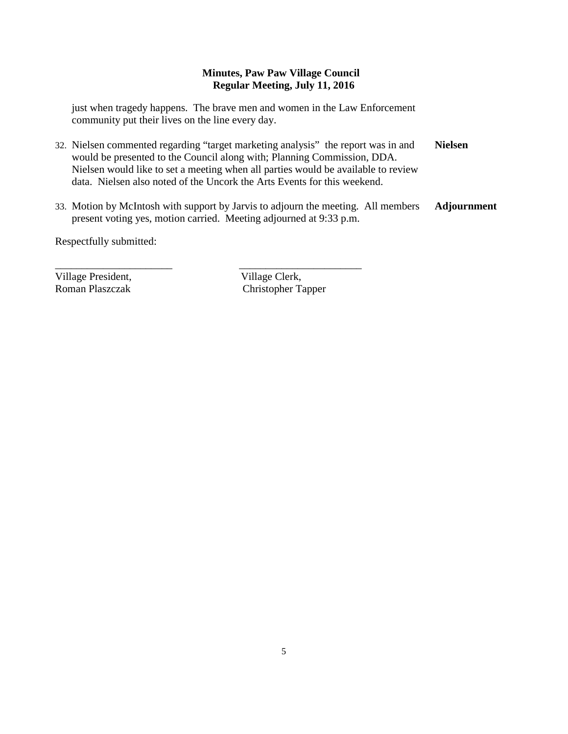just when tragedy happens. The brave men and women in the Law Enforcement community put their lives on the line every day.

\_\_\_\_\_\_\_\_\_\_\_\_\_\_\_\_\_\_\_\_\_\_ \_\_\_\_\_\_\_\_\_\_\_\_\_\_\_\_\_\_\_\_\_\_\_

- 32. Nielsen commented regarding "target marketing analysis" the report was in and would be presented to the Council along with; Planning Commission, DDA. Nielsen would like to set a meeting when all parties would be available to review data. Nielsen also noted of the Uncork the Arts Events for this weekend. **Nielsen**
- 33. Motion by McIntosh with support by Jarvis to adjourn the meeting. All members present voting yes, motion carried. Meeting adjourned at 9:33 p.m. **Adjournment**

Respectfully submitted:

Village President, Village Clerk, Village Clerk, Village Clerk, Village Clerk, Village Clerk, Village Clerk, Village Clerk, Village Clerk, Village Clerk, Village Clerk, Village Clerk, Village Clerk, Village Clerk, Village

Christopher Tapper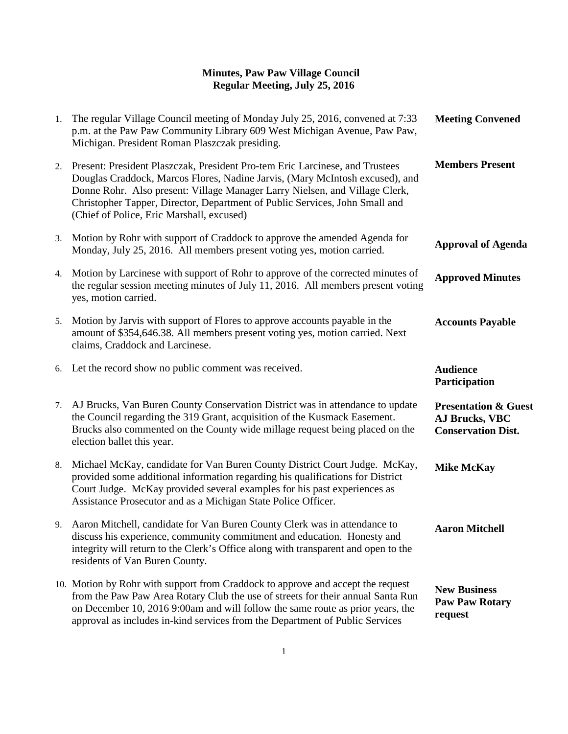| 1. | The regular Village Council meeting of Monday July 25, 2016, convened at 7:33<br>p.m. at the Paw Paw Community Library 609 West Michigan Avenue, Paw Paw,<br>Michigan. President Roman Plaszczak presiding.                                                                                                                                                             | <b>Meeting Convened</b>                                                        |
|----|-------------------------------------------------------------------------------------------------------------------------------------------------------------------------------------------------------------------------------------------------------------------------------------------------------------------------------------------------------------------------|--------------------------------------------------------------------------------|
| 2. | Present: President Plaszczak, President Pro-tem Eric Larcinese, and Trustees<br>Douglas Craddock, Marcos Flores, Nadine Jarvis, (Mary McIntosh excused), and<br>Donne Rohr. Also present: Village Manager Larry Nielsen, and Village Clerk,<br>Christopher Tapper, Director, Department of Public Services, John Small and<br>(Chief of Police, Eric Marshall, excused) | <b>Members Present</b>                                                         |
| 3. | Motion by Rohr with support of Craddock to approve the amended Agenda for<br>Monday, July 25, 2016. All members present voting yes, motion carried.                                                                                                                                                                                                                     | <b>Approval of Agenda</b>                                                      |
| 4. | Motion by Larcinese with support of Rohr to approve of the corrected minutes of<br>the regular session meeting minutes of July 11, 2016. All members present voting<br>yes, motion carried.                                                                                                                                                                             | <b>Approved Minutes</b>                                                        |
| 5. | Motion by Jarvis with support of Flores to approve accounts payable in the<br>amount of \$354,646.38. All members present voting yes, motion carried. Next<br>claims, Craddock and Larcinese.                                                                                                                                                                           | <b>Accounts Payable</b>                                                        |
| 6. | Let the record show no public comment was received.                                                                                                                                                                                                                                                                                                                     | <b>Audience</b><br>Participation                                               |
| 7. | AJ Brucks, Van Buren County Conservation District was in attendance to update<br>the Council regarding the 319 Grant, acquisition of the Kusmack Easement.<br>Brucks also commented on the County wide millage request being placed on the<br>election ballet this year.                                                                                                | <b>Presentation &amp; Guest</b><br>AJ Brucks, VBC<br><b>Conservation Dist.</b> |
| 8. | Michael McKay, candidate for Van Buren County District Court Judge. McKay,<br>provided some additional information regarding his qualifications for District<br>Court Judge. McKay provided several examples for his past experiences as<br>Assistance Prosecutor and as a Michigan State Police Officer.                                                               | <b>Mike McKay</b>                                                              |
|    | 9. Aaron Mitchell, candidate for Van Buren County Clerk was in attendance to<br>discuss his experience, community commitment and education. Honesty and<br>integrity will return to the Clerk's Office along with transparent and open to the<br>residents of Van Buren County.                                                                                         | <b>Aaron Mitchell</b>                                                          |
|    | 10. Motion by Rohr with support from Craddock to approve and accept the request<br>from the Paw Paw Area Rotary Club the use of streets for their annual Santa Run<br>on December 10, 2016 9:00am and will follow the same route as prior years, the<br>approval as includes in-kind services from the Department of Public Services                                    | <b>New Business</b><br><b>Paw Paw Rotary</b><br>request                        |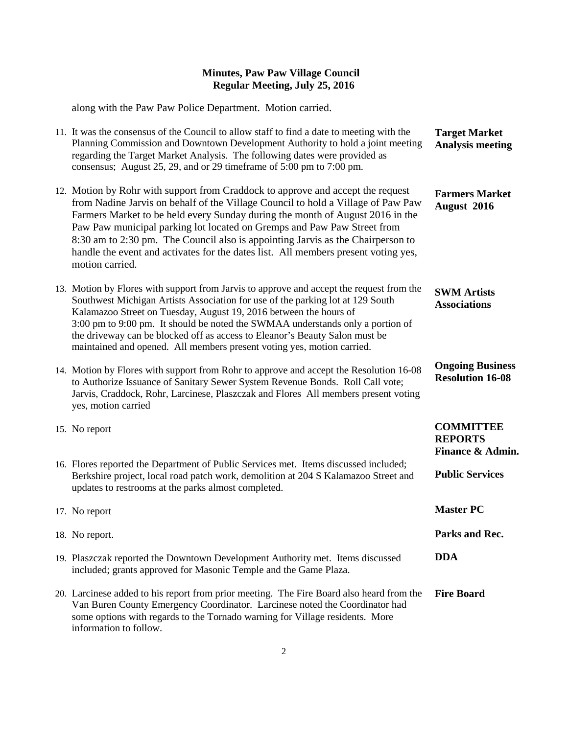along with the Paw Paw Police Department. Motion carried.

| 11. It was the consensus of the Council to allow staff to find a date to meeting with the<br>Planning Commission and Downtown Development Authority to hold a joint meeting<br>regarding the Target Market Analysis. The following dates were provided as<br>consensus; August 25, 29, and or 29 timeframe of 5:00 pm to 7:00 pm.                                                                                                                                                                                           | <b>Target Market</b><br><b>Analysis meeting</b>        |
|-----------------------------------------------------------------------------------------------------------------------------------------------------------------------------------------------------------------------------------------------------------------------------------------------------------------------------------------------------------------------------------------------------------------------------------------------------------------------------------------------------------------------------|--------------------------------------------------------|
| 12. Motion by Rohr with support from Craddock to approve and accept the request<br>from Nadine Jarvis on behalf of the Village Council to hold a Village of Paw Paw<br>Farmers Market to be held every Sunday during the month of August 2016 in the<br>Paw Paw municipal parking lot located on Gremps and Paw Paw Street from<br>8:30 am to 2:30 pm. The Council also is appointing Jarvis as the Chairperson to<br>handle the event and activates for the dates list. All members present voting yes,<br>motion carried. | <b>Farmers Market</b><br>August 2016                   |
| 13. Motion by Flores with support from Jarvis to approve and accept the request from the<br>Southwest Michigan Artists Association for use of the parking lot at 129 South<br>Kalamazoo Street on Tuesday, August 19, 2016 between the hours of<br>3:00 pm to 9:00 pm. It should be noted the SWMAA understands only a portion of<br>the driveway can be blocked off as access to Eleanor's Beauty Salon must be<br>maintained and opened. All members present voting yes, motion carried.                                  | <b>SWM Artists</b><br><b>Associations</b>              |
| 14. Motion by Flores with support from Rohr to approve and accept the Resolution 16-08<br>to Authorize Issuance of Sanitary Sewer System Revenue Bonds. Roll Call vote;<br>Jarvis, Craddock, Rohr, Larcinese, Plaszczak and Flores All members present voting<br>yes, motion carried                                                                                                                                                                                                                                        | <b>Ongoing Business</b><br><b>Resolution 16-08</b>     |
| 15. No report                                                                                                                                                                                                                                                                                                                                                                                                                                                                                                               | <b>COMMITTEE</b><br><b>REPORTS</b><br>Finance & Admin. |
| 16. Flores reported the Department of Public Services met. Items discussed included;<br>Berkshire project, local road patch work, demolition at 204 S Kalamazoo Street and<br>updates to restrooms at the parks almost completed.                                                                                                                                                                                                                                                                                           | <b>Public Services</b>                                 |
| 17. No report                                                                                                                                                                                                                                                                                                                                                                                                                                                                                                               | <b>Master PC</b>                                       |
| 18. No report.                                                                                                                                                                                                                                                                                                                                                                                                                                                                                                              | Parks and Rec.                                         |
| 19. Plaszczak reported the Downtown Development Authority met. Items discussed<br>included; grants approved for Masonic Temple and the Game Plaza.                                                                                                                                                                                                                                                                                                                                                                          | <b>DDA</b>                                             |
| 20. Larcinese added to his report from prior meeting. The Fire Board also heard from the<br>Van Buren County Emergency Coordinator. Larcinese noted the Coordinator had<br>some options with regards to the Tornado warning for Village residents. More<br>information to follow.                                                                                                                                                                                                                                           | <b>Fire Board</b>                                      |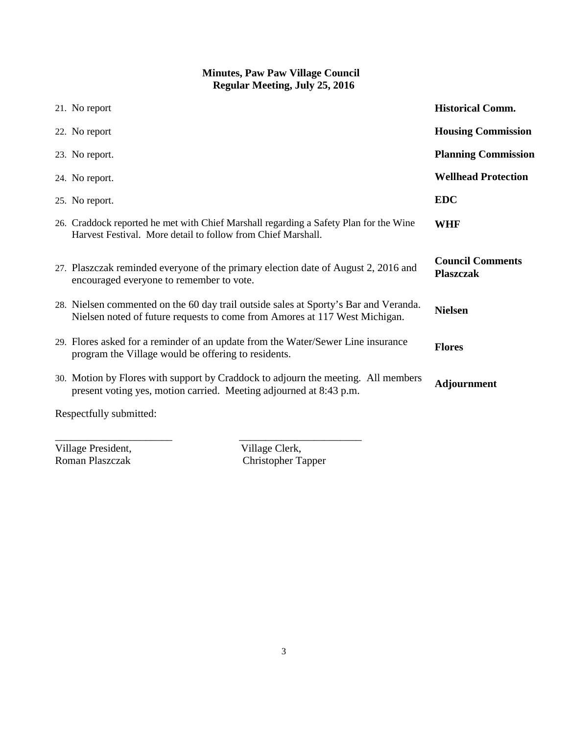| 21. No report                                                                                                                                                      | <b>Historical Comm.</b>                     |
|--------------------------------------------------------------------------------------------------------------------------------------------------------------------|---------------------------------------------|
| 22. No report                                                                                                                                                      | <b>Housing Commission</b>                   |
| 23. No report.                                                                                                                                                     | <b>Planning Commission</b>                  |
| 24. No report.                                                                                                                                                     | <b>Wellhead Protection</b>                  |
| 25. No report.                                                                                                                                                     | <b>EDC</b>                                  |
| 26. Craddock reported he met with Chief Marshall regarding a Safety Plan for the Wine<br>Harvest Festival. More detail to follow from Chief Marshall.              | <b>WHF</b>                                  |
| 27. Plaszczak reminded everyone of the primary election date of August 2, 2016 and<br>encouraged everyone to remember to vote.                                     | <b>Council Comments</b><br><b>Plaszczak</b> |
| 28. Nielsen commented on the 60 day trail outside sales at Sporty's Bar and Veranda.<br>Nielsen noted of future requests to come from Amores at 117 West Michigan. | <b>Nielsen</b>                              |
| 29. Flores asked for a reminder of an update from the Water/Sewer Line insurance<br>program the Village would be offering to residents.                            | <b>Flores</b>                               |
| 30. Motion by Flores with support by Craddock to adjourn the meeting. All members<br>present voting yes, motion carried. Meeting adjourned at 8:43 p.m.            | Adjournment                                 |
| Respectfully submitted:                                                                                                                                            |                                             |

Village President,<br>
Roman Plaszczak<br>
Christopher Ta

\_\_\_\_\_\_\_\_\_\_\_\_\_\_\_\_\_\_\_\_\_\_ \_\_\_\_\_\_\_\_\_\_\_\_\_\_\_\_\_\_\_\_\_\_\_ Christopher Tapper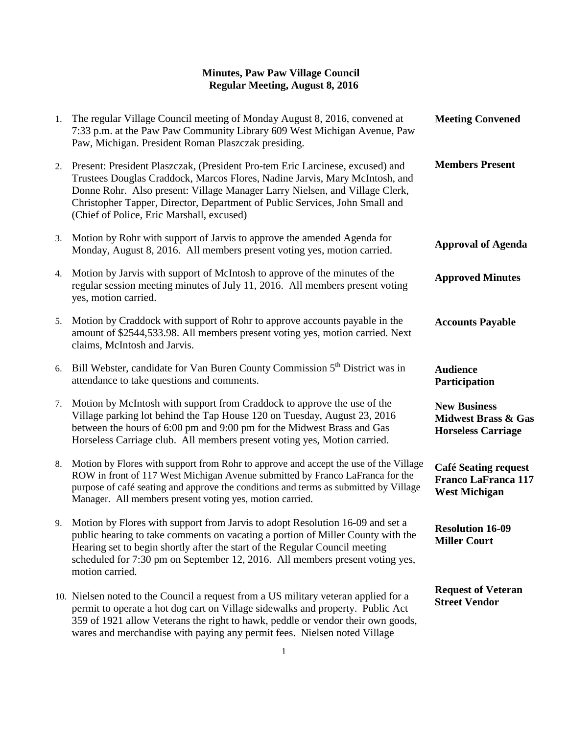| 1. | The regular Village Council meeting of Monday August 8, 2016, convened at<br>7:33 p.m. at the Paw Paw Community Library 609 West Michigan Avenue, Paw<br>Paw, Michigan. President Roman Plaszczak presiding.                                                                                                                                                            | <b>Meeting Convened</b>                                                            |
|----|-------------------------------------------------------------------------------------------------------------------------------------------------------------------------------------------------------------------------------------------------------------------------------------------------------------------------------------------------------------------------|------------------------------------------------------------------------------------|
| 2. | Present: President Plaszczak, (President Pro-tem Eric Larcinese, excused) and<br>Trustees Douglas Craddock, Marcos Flores, Nadine Jarvis, Mary McIntosh, and<br>Donne Rohr. Also present: Village Manager Larry Nielsen, and Village Clerk,<br>Christopher Tapper, Director, Department of Public Services, John Small and<br>(Chief of Police, Eric Marshall, excused) | <b>Members Present</b>                                                             |
| 3. | Motion by Rohr with support of Jarvis to approve the amended Agenda for<br>Monday, August 8, 2016. All members present voting yes, motion carried.                                                                                                                                                                                                                      | <b>Approval of Agenda</b>                                                          |
| 4. | Motion by Jarvis with support of McIntosh to approve of the minutes of the<br>regular session meeting minutes of July 11, 2016. All members present voting<br>yes, motion carried.                                                                                                                                                                                      | <b>Approved Minutes</b>                                                            |
| 5. | Motion by Craddock with support of Rohr to approve accounts payable in the<br>amount of \$2544,533.98. All members present voting yes, motion carried. Next<br>claims, McIntosh and Jarvis.                                                                                                                                                                             | <b>Accounts Payable</b>                                                            |
| 6. | Bill Webster, candidate for Van Buren County Commission 5 <sup>th</sup> District was in<br>attendance to take questions and comments.                                                                                                                                                                                                                                   | <b>Audience</b><br>Participation                                                   |
| 7. | Motion by McIntosh with support from Craddock to approve the use of the<br>Village parking lot behind the Tap House 120 on Tuesday, August 23, 2016<br>between the hours of 6:00 pm and 9:00 pm for the Midwest Brass and Gas<br>Horseless Carriage club. All members present voting yes, Motion carried.                                                               | <b>New Business</b><br><b>Midwest Brass &amp; Gas</b><br><b>Horseless Carriage</b> |
| 8. | Motion by Flores with support from Rohr to approve and accept the use of the Village<br>ROW in front of 117 West Michigan Avenue submitted by Franco LaFranca for the<br>purpose of café seating and approve the conditions and terms as submitted by Village<br>Manager. All members present voting yes, motion carried.                                               | <b>Café Seating request</b><br><b>Franco LaFranca 117</b><br><b>West Michigan</b>  |
|    | 9. Motion by Flores with support from Jarvis to adopt Resolution 16-09 and set a<br>public hearing to take comments on vacating a portion of Miller County with the<br>Hearing set to begin shortly after the start of the Regular Council meeting<br>scheduled for 7:30 pm on September 12, 2016. All members present voting yes,<br>motion carried.                   | <b>Resolution 16-09</b><br><b>Miller Court</b>                                     |
|    | 10. Nielsen noted to the Council a request from a US military veteran applied for a<br>permit to operate a hot dog cart on Village sidewalks and property. Public Act<br>359 of 1921 allow Veterans the right to hawk, peddle or vendor their own goods,                                                                                                                | <b>Request of Veteran</b><br><b>Street Vendor</b>                                  |

wares and merchandise with paying any permit fees. Nielsen noted Village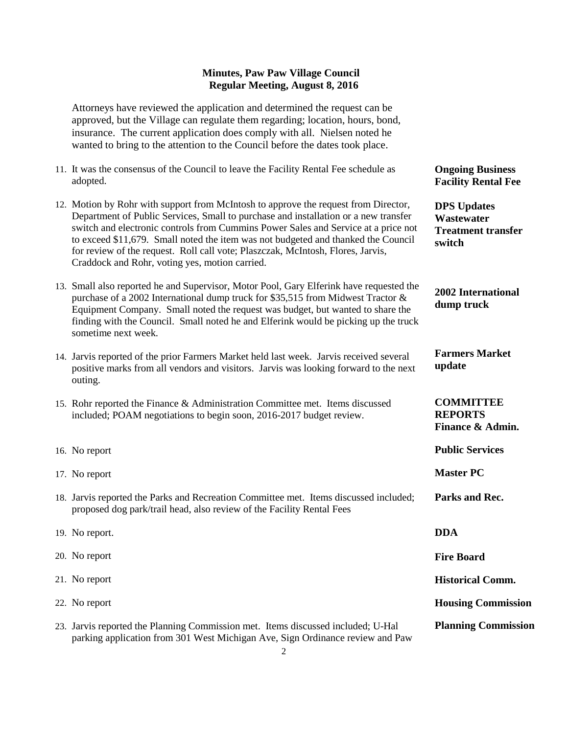Attorneys have reviewed the application and determined the request can be approved, but the Village can regulate them regarding; location, hours, bond, insurance. The current application does comply with all. Nielsen noted he wanted to bring to the attention to the Council before the dates took place.

- 11. It was the consensus of the Council to leave the Facility Rental Fee schedule as adopted.
- 12. Motion by Rohr with support from McIntosh to approve the request from Director, Department of Public Services, Small to purchase and installation or a new transfer switch and electronic controls from Cummins Power Sales and Service at a price not to exceed \$11,679. Small noted the item was not budgeted and thanked the Council for review of the request. Roll call vote; Plaszczak, McIntosh, Flores, Jarvis, Craddock and Rohr, voting yes, motion carried.

13. Small also reported he and Supervisor, Motor Pool, Gary Elferink have requested the purchase of a 2002 International dump truck for \$35,515 from Midwest Tractor & Equipment Company. Small noted the request was budget, but wanted to share the finding with the Council. Small noted he and Elferink would be picking up the truck sometime next week.

- 14. Jarvis reported of the prior Farmers Market held last week. Jarvis received several positive marks from all vendors and visitors. Jarvis was looking forward to the next outing.
- 15. Rohr reported the Finance & Administration Committee met. Items discussed included; POAM negotiations to begin soon, 2016-2017 budget review.
- 16. No report 17. No report 18. Jarvis reported the Parks and Recreation Committee met. Items discussed included; proposed dog park/trail head, also review of the Facility Rental Fees 19. No report. 20. No report **Parks and Rec. DDA Fire Board**
- 21. No report 22. No report 23. Jarvis reported the Planning Commission met. Items discussed included; U-Hal parking application from 301 West Michigan Ave, Sign Ordinance review and Paw **Historical Comm. Housing Commission Planning Commission**

**Ongoing Business Facility Rental Fee**

**DPS Updates Wastewater Treatment transfer switch**

**2002 International dump truck** 

**Farmers Market update**

### **COMMITTEE REPORTS Finance & Admin.**

**Public Services** 

**Master PC**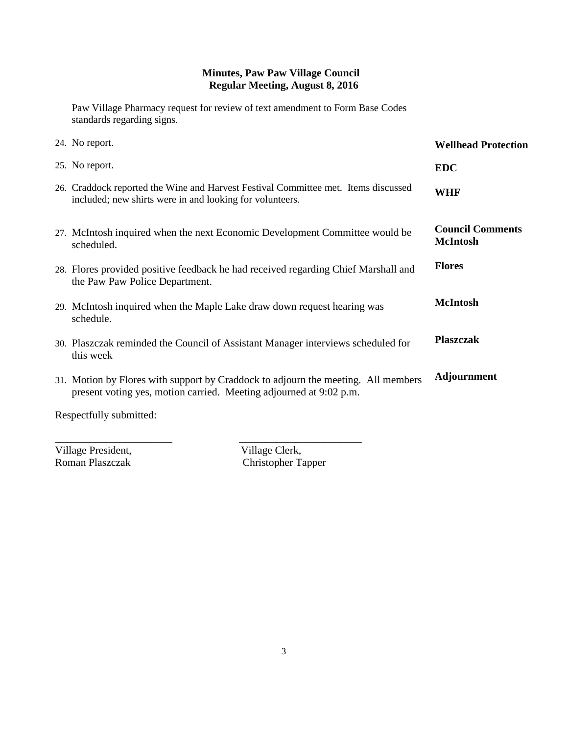Paw Village Pharmacy request for review of text amendment to Form Base Codes standards regarding signs.

| 24. No report.                                                                                                                                          | <b>Wellhead Protection</b>                 |
|---------------------------------------------------------------------------------------------------------------------------------------------------------|--------------------------------------------|
| 25. No report.                                                                                                                                          | <b>EDC</b>                                 |
| 26. Craddock reported the Wine and Harvest Festival Committee met. Items discussed<br>included; new shirts were in and looking for volunteers.          | <b>WHF</b>                                 |
| 27. McIntosh inquired when the next Economic Development Committee would be<br>scheduled.                                                               | <b>Council Comments</b><br><b>McIntosh</b> |
| 28. Flores provided positive feedback he had received regarding Chief Marshall and<br>the Paw Paw Police Department.                                    | <b>Flores</b>                              |
| 29. McIntosh inquired when the Maple Lake draw down request hearing was<br>schedule.                                                                    | <b>McIntosh</b>                            |
| 30. Plaszczak reminded the Council of Assistant Manager interviews scheduled for<br>this week                                                           | <b>Plaszczak</b>                           |
| 31. Motion by Flores with support by Craddock to adjourn the meeting. All members<br>present voting yes, motion carried. Meeting adjourned at 9:02 p.m. | <b>Adjournment</b>                         |
|                                                                                                                                                         |                                            |

Respectfully submitted:

Village President,<br>
Roman Plaszczak<br>
Christopher Ta

\_\_\_\_\_\_\_\_\_\_\_\_\_\_\_\_\_\_\_\_\_\_ \_\_\_\_\_\_\_\_\_\_\_\_\_\_\_\_\_\_\_\_\_\_\_ Christopher Tapper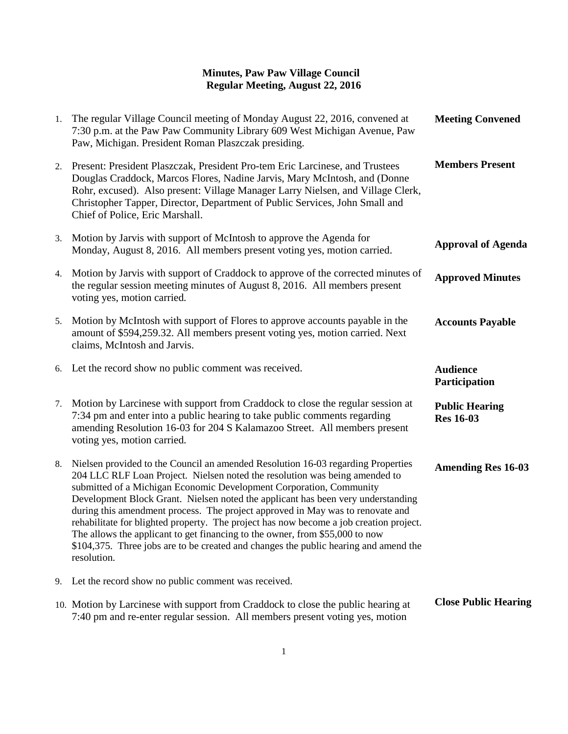#### **Minutes, Paw Paw Village Council Regular Meeting, August 22, 2016**

| 1. | The regular Village Council meeting of Monday August 22, 2016, convened at<br>7:30 p.m. at the Paw Paw Community Library 609 West Michigan Avenue, Paw<br>Paw, Michigan. President Roman Plaszczak presiding.                                                                                                                                                                                                                                                                                                                                                                                                                                                                                 | <b>Meeting Convened</b>                   |
|----|-----------------------------------------------------------------------------------------------------------------------------------------------------------------------------------------------------------------------------------------------------------------------------------------------------------------------------------------------------------------------------------------------------------------------------------------------------------------------------------------------------------------------------------------------------------------------------------------------------------------------------------------------------------------------------------------------|-------------------------------------------|
| 2. | Present: President Plaszczak, President Pro-tem Eric Larcinese, and Trustees<br>Douglas Craddock, Marcos Flores, Nadine Jarvis, Mary McIntosh, and (Donne<br>Rohr, excused). Also present: Village Manager Larry Nielsen, and Village Clerk,<br>Christopher Tapper, Director, Department of Public Services, John Small and<br>Chief of Police, Eric Marshall.                                                                                                                                                                                                                                                                                                                                | <b>Members Present</b>                    |
| 3. | Motion by Jarvis with support of McIntosh to approve the Agenda for<br>Monday, August 8, 2016. All members present voting yes, motion carried.                                                                                                                                                                                                                                                                                                                                                                                                                                                                                                                                                | <b>Approval of Agenda</b>                 |
| 4. | Motion by Jarvis with support of Craddock to approve of the corrected minutes of<br>the regular session meeting minutes of August 8, 2016. All members present<br>voting yes, motion carried.                                                                                                                                                                                                                                                                                                                                                                                                                                                                                                 | <b>Approved Minutes</b>                   |
| 5. | Motion by McIntosh with support of Flores to approve accounts payable in the<br>amount of \$594,259.32. All members present voting yes, motion carried. Next<br>claims, McIntosh and Jarvis.                                                                                                                                                                                                                                                                                                                                                                                                                                                                                                  | <b>Accounts Payable</b>                   |
|    | 6. Let the record show no public comment was received.                                                                                                                                                                                                                                                                                                                                                                                                                                                                                                                                                                                                                                        | <b>Audience</b><br>Participation          |
| 7. | Motion by Larcinese with support from Craddock to close the regular session at<br>7:34 pm and enter into a public hearing to take public comments regarding<br>amending Resolution 16-03 for 204 S Kalamazoo Street. All members present<br>voting yes, motion carried.                                                                                                                                                                                                                                                                                                                                                                                                                       | <b>Public Hearing</b><br><b>Res 16-03</b> |
| 8. | Nielsen provided to the Council an amended Resolution 16-03 regarding Properties<br>204 LLC RLF Loan Project. Nielsen noted the resolution was being amended to<br>submitted of a Michigan Economic Development Corporation, Community<br>Development Block Grant. Nielsen noted the applicant has been very understanding<br>during this amendment process. The project approved in May was to renovate and<br>rehabilitate for blighted property. The project has now become a job creation project.<br>The allows the applicant to get financing to the owner, from \$55,000 to now<br>\$104,375. Three jobs are to be created and changes the public hearing and amend the<br>resolution. | <b>Amending Res 16-03</b>                 |
| 9. | Let the record show no public comment was received.                                                                                                                                                                                                                                                                                                                                                                                                                                                                                                                                                                                                                                           |                                           |
|    | 10. Motion by Larcinese with support from Craddock to close the public hearing at<br>7:40 pm and re-enter regular session. All members present voting yes, motion                                                                                                                                                                                                                                                                                                                                                                                                                                                                                                                             | <b>Close Public Hearing</b>               |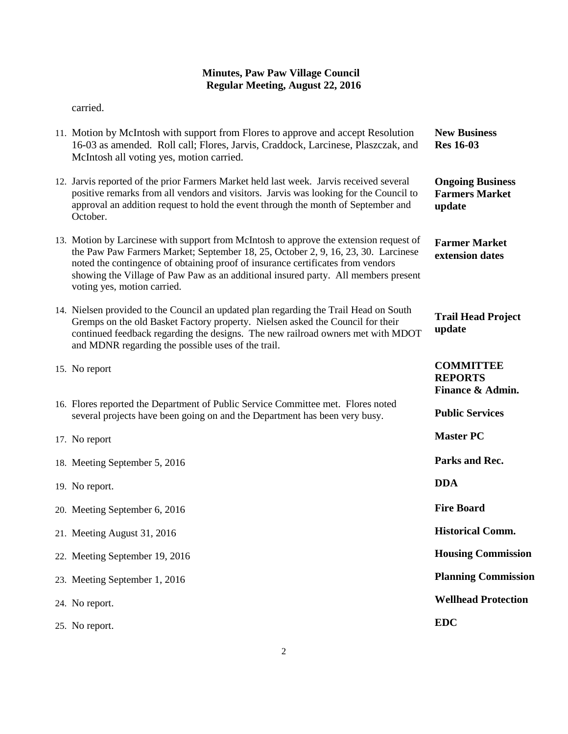### **Minutes, Paw Paw Village Council Regular Meeting, August 22, 2016**

carried.

| 11. Motion by McIntosh with support from Flores to approve and accept Resolution<br>16-03 as amended. Roll call; Flores, Jarvis, Craddock, Larcinese, Plaszczak, and<br>McIntosh all voting yes, motion carried.                                                                                                                                                                    | <b>New Business</b><br><b>Res</b> 16-03                    |
|-------------------------------------------------------------------------------------------------------------------------------------------------------------------------------------------------------------------------------------------------------------------------------------------------------------------------------------------------------------------------------------|------------------------------------------------------------|
| 12. Jarvis reported of the prior Farmers Market held last week. Jarvis received several<br>positive remarks from all vendors and visitors. Jarvis was looking for the Council to<br>approval an addition request to hold the event through the month of September and<br>October.                                                                                                   | <b>Ongoing Business</b><br><b>Farmers Market</b><br>update |
| 13. Motion by Larcinese with support from McIntosh to approve the extension request of<br>the Paw Paw Farmers Market; September 18, 25, October 2, 9, 16, 23, 30. Larcinese<br>noted the contingence of obtaining proof of insurance certificates from vendors<br>showing the Village of Paw Paw as an additional insured party. All members present<br>voting yes, motion carried. | <b>Farmer Market</b><br>extension dates                    |
| 14. Nielsen provided to the Council an updated plan regarding the Trail Head on South<br>Gremps on the old Basket Factory property. Nielsen asked the Council for their<br>continued feedback regarding the designs. The new railroad owners met with MDOT<br>and MDNR regarding the possible uses of the trail.                                                                    | <b>Trail Head Project</b><br>update                        |
| 15. No report                                                                                                                                                                                                                                                                                                                                                                       | <b>COMMITTEE</b><br><b>REPORTS</b><br>Finance & Admin.     |
| 16. Flores reported the Department of Public Service Committee met. Flores noted<br>several projects have been going on and the Department has been very busy.                                                                                                                                                                                                                      | <b>Public Services</b>                                     |
| 17. No report                                                                                                                                                                                                                                                                                                                                                                       | <b>Master PC</b>                                           |
| 18. Meeting September 5, 2016                                                                                                                                                                                                                                                                                                                                                       | Parks and Rec.                                             |
| 19. No report.                                                                                                                                                                                                                                                                                                                                                                      | <b>DDA</b>                                                 |
| 20. Meeting September 6, 2016                                                                                                                                                                                                                                                                                                                                                       | <b>Fire Board</b>                                          |
| 21. Meeting August 31, 2016                                                                                                                                                                                                                                                                                                                                                         | <b>Historical Comm.</b>                                    |
| 22. Meeting September 19, 2016                                                                                                                                                                                                                                                                                                                                                      | <b>Housing Commission</b>                                  |
| 23. Meeting September 1, 2016                                                                                                                                                                                                                                                                                                                                                       | <b>Planning Commission</b>                                 |
| 24. No report.                                                                                                                                                                                                                                                                                                                                                                      | <b>Wellhead Protection</b>                                 |
| 25. No report.                                                                                                                                                                                                                                                                                                                                                                      | <b>EDC</b>                                                 |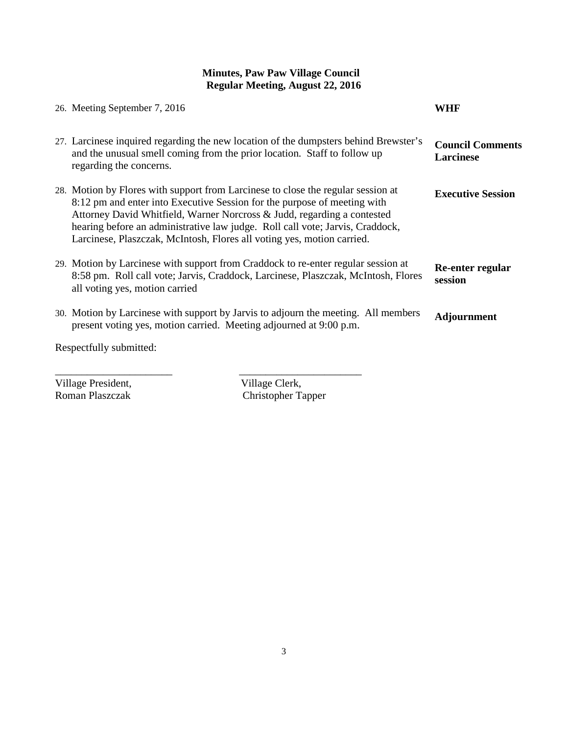# **Minutes, Paw Paw Village Council Regular Meeting, August 22, 2016**

| 26. Meeting September 7, 2016                                                                                                                                                                                                                                                                                                                                                                      | WHF                                         |
|----------------------------------------------------------------------------------------------------------------------------------------------------------------------------------------------------------------------------------------------------------------------------------------------------------------------------------------------------------------------------------------------------|---------------------------------------------|
| 27. Larcinese inquired regarding the new location of the dumpsters behind Brewster's<br>and the unusual smell coming from the prior location. Staff to follow up<br>regarding the concerns.                                                                                                                                                                                                        | <b>Council Comments</b><br><b>Larcinese</b> |
| 28. Motion by Flores with support from Larcinese to close the regular session at<br>8:12 pm and enter into Executive Session for the purpose of meeting with<br>Attorney David Whitfield, Warner Norcross & Judd, regarding a contested<br>hearing before an administrative law judge. Roll call vote; Jarvis, Craddock,<br>Larcinese, Plaszczak, McIntosh, Flores all voting yes, motion carried. | <b>Executive Session</b>                    |
| 29. Motion by Larcinese with support from Craddock to re-enter regular session at<br>8:58 pm. Roll call vote; Jarvis, Craddock, Larcinese, Plaszczak, McIntosh, Flores<br>all voting yes, motion carried                                                                                                                                                                                           | Re-enter regular<br>session                 |
| 30. Motion by Larcinese with support by Jarvis to adjourn the meeting. All members<br>present voting yes, motion carried. Meeting adjourned at 9:00 p.m.                                                                                                                                                                                                                                           | <b>Adjournment</b>                          |
| Respectfully submitted:                                                                                                                                                                                                                                                                                                                                                                            |                                             |

Village President,<br>
Roman Plaszczak<br>
Christopher Ta

Christopher Tapper

\_\_\_\_\_\_\_\_\_\_\_\_\_\_\_\_\_\_\_\_\_\_ \_\_\_\_\_\_\_\_\_\_\_\_\_\_\_\_\_\_\_\_\_\_\_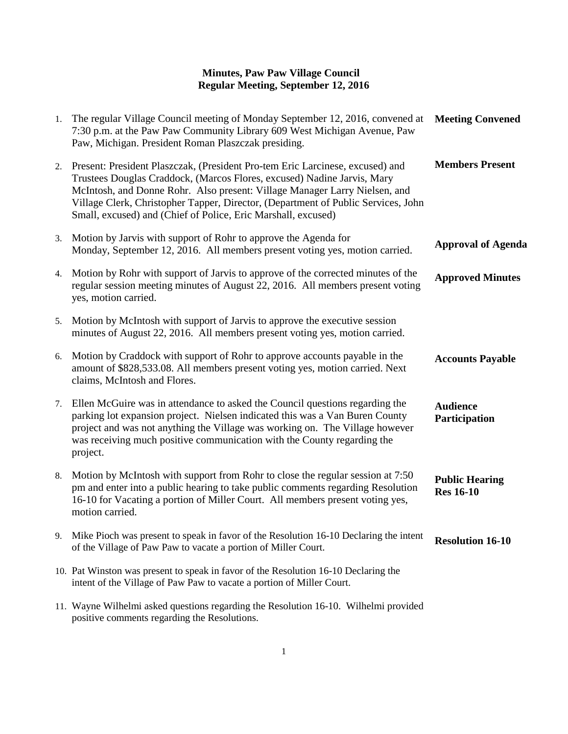| 1. | The regular Village Council meeting of Monday September 12, 2016, convened at<br>7:30 p.m. at the Paw Paw Community Library 609 West Michigan Avenue, Paw<br>Paw, Michigan. President Roman Plaszczak presiding.                                                                                                                                                                             | <b>Meeting Convened</b>                   |
|----|----------------------------------------------------------------------------------------------------------------------------------------------------------------------------------------------------------------------------------------------------------------------------------------------------------------------------------------------------------------------------------------------|-------------------------------------------|
| 2. | Present: President Plaszczak, (President Pro-tem Eric Larcinese, excused) and<br>Trustees Douglas Craddock, (Marcos Flores, excused) Nadine Jarvis, Mary<br>McIntosh, and Donne Rohr. Also present: Village Manager Larry Nielsen, and<br>Village Clerk, Christopher Tapper, Director, (Department of Public Services, John<br>Small, excused) and (Chief of Police, Eric Marshall, excused) | <b>Members Present</b>                    |
| 3. | Motion by Jarvis with support of Rohr to approve the Agenda for<br>Monday, September 12, 2016. All members present voting yes, motion carried.                                                                                                                                                                                                                                               | <b>Approval of Agenda</b>                 |
| 4. | Motion by Rohr with support of Jarvis to approve of the corrected minutes of the<br>regular session meeting minutes of August 22, 2016. All members present voting<br>yes, motion carried.                                                                                                                                                                                                   | <b>Approved Minutes</b>                   |
| 5. | Motion by McIntosh with support of Jarvis to approve the executive session<br>minutes of August 22, 2016. All members present voting yes, motion carried.                                                                                                                                                                                                                                    |                                           |
| 6. | Motion by Craddock with support of Rohr to approve accounts payable in the<br>amount of \$828,533.08. All members present voting yes, motion carried. Next<br>claims, McIntosh and Flores.                                                                                                                                                                                                   | <b>Accounts Payable</b>                   |
| 7. | Ellen McGuire was in attendance to asked the Council questions regarding the<br>parking lot expansion project. Nielsen indicated this was a Van Buren County<br>project and was not anything the Village was working on. The Village however<br>was receiving much positive communication with the County regarding the<br>project.                                                          | <b>Audience</b><br>Participation          |
| 8. | Motion by McIntosh with support from Rohr to close the regular session at 7:50<br>pm and enter into a public hearing to take public comments regarding Resolution<br>16-10 for Vacating a portion of Miller Court. All members present voting yes,<br>motion carried.                                                                                                                        | <b>Public Hearing</b><br><b>Res</b> 16-10 |
| 9. | Mike Pioch was present to speak in favor of the Resolution 16-10 Declaring the intent<br>of the Village of Paw Paw to vacate a portion of Miller Court.                                                                                                                                                                                                                                      | <b>Resolution 16-10</b>                   |
|    | 10. Pat Winston was present to speak in favor of the Resolution 16-10 Declaring the<br>intent of the Village of Paw Paw to vacate a portion of Miller Court.                                                                                                                                                                                                                                 |                                           |
|    | 11 Weyne Wilhelmi ested questions recording the Desolution 16, 10 Wilhelmi nuevided                                                                                                                                                                                                                                                                                                          |                                           |

11. Wayne Wilhelmi asked questions regarding the Resolution 16-10. Wilhelmi provided positive comments regarding the Resolutions.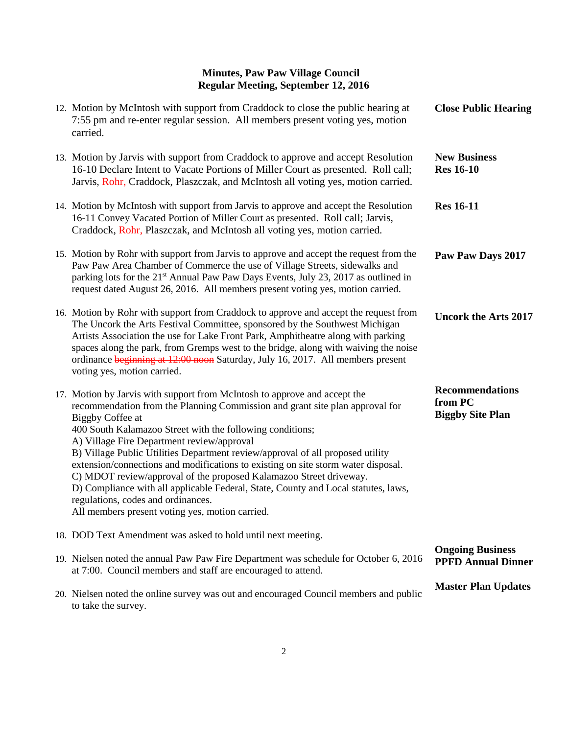| 12. Motion by McIntosh with support from Craddock to close the public hearing at<br>7:55 pm and re-enter regular session. All members present voting yes, motion<br>carried.                                                                                                                                                                                                                                                                                                                                                                                                                                                                                                                                         | <b>Close Public Hearing</b>                                  |
|----------------------------------------------------------------------------------------------------------------------------------------------------------------------------------------------------------------------------------------------------------------------------------------------------------------------------------------------------------------------------------------------------------------------------------------------------------------------------------------------------------------------------------------------------------------------------------------------------------------------------------------------------------------------------------------------------------------------|--------------------------------------------------------------|
| 13. Motion by Jarvis with support from Craddock to approve and accept Resolution<br>16-10 Declare Intent to Vacate Portions of Miller Court as presented. Roll call;<br>Jarvis, Rohr, Craddock, Plaszczak, and McIntosh all voting yes, motion carried.                                                                                                                                                                                                                                                                                                                                                                                                                                                              | <b>New Business</b><br><b>Res</b> 16-10                      |
| 14. Motion by McIntosh with support from Jarvis to approve and accept the Resolution<br>16-11 Convey Vacated Portion of Miller Court as presented. Roll call; Jarvis,<br>Craddock, Rohr, Plaszczak, and McIntosh all voting yes, motion carried.                                                                                                                                                                                                                                                                                                                                                                                                                                                                     | <b>Res</b> 16-11                                             |
| 15. Motion by Rohr with support from Jarvis to approve and accept the request from the<br>Paw Paw Area Chamber of Commerce the use of Village Streets, sidewalks and<br>parking lots for the 21 <sup>st</sup> Annual Paw Paw Days Events, July 23, 2017 as outlined in<br>request dated August 26, 2016. All members present voting yes, motion carried.                                                                                                                                                                                                                                                                                                                                                             | Paw Paw Days 2017                                            |
| 16. Motion by Rohr with support from Craddock to approve and accept the request from<br>The Uncork the Arts Festival Committee, sponsored by the Southwest Michigan<br>Artists Association the use for Lake Front Park, Amphitheatre along with parking<br>spaces along the park, from Gremps west to the bridge, along with waiving the noise<br>ordinance beginning at 12:00 noon Saturday, July 16, 2017. All members present<br>voting yes, motion carried.                                                                                                                                                                                                                                                      | <b>Uncork the Arts 2017</b>                                  |
| 17. Motion by Jarvis with support from McIntosh to approve and accept the<br>recommendation from the Planning Commission and grant site plan approval for<br>Biggby Coffee at<br>400 South Kalamazoo Street with the following conditions;<br>A) Village Fire Department review/approval<br>B) Village Public Utilities Department review/approval of all proposed utility<br>extension/connections and modifications to existing on site storm water disposal.<br>C) MDOT review/approval of the proposed Kalamazoo Street driveway.<br>D) Compliance with all applicable Federal, State, County and Local statutes, laws,<br>regulations, codes and ordinances.<br>All members present voting yes, motion carried. | <b>Recommendations</b><br>from PC<br><b>Biggby Site Plan</b> |
| 18. DOD Text Amendment was asked to hold until next meeting.                                                                                                                                                                                                                                                                                                                                                                                                                                                                                                                                                                                                                                                         |                                                              |
| 19. Nielsen noted the annual Paw Paw Fire Department was schedule for October 6, 2016<br>at 7:00. Council members and staff are encouraged to attend.                                                                                                                                                                                                                                                                                                                                                                                                                                                                                                                                                                | <b>Ongoing Business</b><br><b>PPFD Annual Dinner</b>         |
| 20. Nielsen noted the online survey was out and encouraged Council members and public<br>to take the survey.                                                                                                                                                                                                                                                                                                                                                                                                                                                                                                                                                                                                         | <b>Master Plan Updates</b>                                   |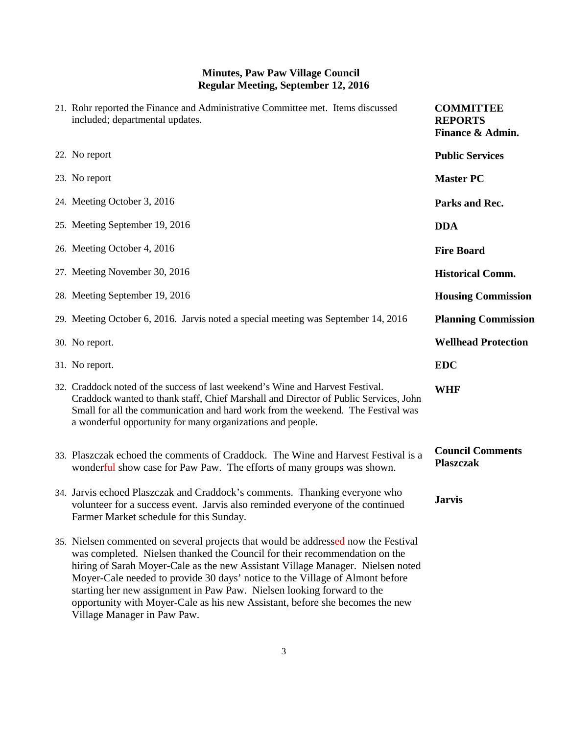| 21. Rohr reported the Finance and Administrative Committee met. Items discussed<br>included; departmental updates.                                                                                                                                                                                                                                                                                                                                                                                                          | <b>COMMITTEE</b><br><b>REPORTS</b><br>Finance & Admin. |
|-----------------------------------------------------------------------------------------------------------------------------------------------------------------------------------------------------------------------------------------------------------------------------------------------------------------------------------------------------------------------------------------------------------------------------------------------------------------------------------------------------------------------------|--------------------------------------------------------|
| 22. No report                                                                                                                                                                                                                                                                                                                                                                                                                                                                                                               | <b>Public Services</b>                                 |
| 23. No report                                                                                                                                                                                                                                                                                                                                                                                                                                                                                                               | <b>Master PC</b>                                       |
| 24. Meeting October 3, 2016                                                                                                                                                                                                                                                                                                                                                                                                                                                                                                 | Parks and Rec.                                         |
| 25. Meeting September 19, 2016                                                                                                                                                                                                                                                                                                                                                                                                                                                                                              | <b>DDA</b>                                             |
| 26. Meeting October 4, 2016                                                                                                                                                                                                                                                                                                                                                                                                                                                                                                 | <b>Fire Board</b>                                      |
| 27. Meeting November 30, 2016                                                                                                                                                                                                                                                                                                                                                                                                                                                                                               | <b>Historical Comm.</b>                                |
| 28. Meeting September 19, 2016                                                                                                                                                                                                                                                                                                                                                                                                                                                                                              | <b>Housing Commission</b>                              |
| 29. Meeting October 6, 2016. Jarvis noted a special meeting was September 14, 2016                                                                                                                                                                                                                                                                                                                                                                                                                                          | <b>Planning Commission</b>                             |
| 30. No report.                                                                                                                                                                                                                                                                                                                                                                                                                                                                                                              | <b>Wellhead Protection</b>                             |
| 31. No report.                                                                                                                                                                                                                                                                                                                                                                                                                                                                                                              | <b>EDC</b>                                             |
| 32. Craddock noted of the success of last weekend's Wine and Harvest Festival.<br>Craddock wanted to thank staff, Chief Marshall and Director of Public Services, John<br>Small for all the communication and hard work from the weekend. The Festival was<br>a wonderful opportunity for many organizations and people.                                                                                                                                                                                                    | <b>WHF</b>                                             |
| 33. Plaszczak echoed the comments of Craddock. The Wine and Harvest Festival is a<br>wonderful show case for Paw Paw. The efforts of many groups was shown.                                                                                                                                                                                                                                                                                                                                                                 | <b>Council Comments</b><br><b>Plaszczak</b>            |
| 34. Jarvis echoed Plaszczak and Craddock's comments. Thanking everyone who<br>volunteer for a success event. Jarvis also reminded everyone of the continued<br>Farmer Market schedule for this Sunday.                                                                                                                                                                                                                                                                                                                      | <b>Jarvis</b>                                          |
| 35. Nielsen commented on several projects that would be addressed now the Festival<br>was completed. Nielsen thanked the Council for their recommendation on the<br>hiring of Sarah Moyer-Cale as the new Assistant Village Manager. Nielsen noted<br>Moyer-Cale needed to provide 30 days' notice to the Village of Almont before<br>starting her new assignment in Paw Paw. Nielsen looking forward to the<br>opportunity with Moyer-Cale as his new Assistant, before she becomes the new<br>Village Manager in Paw Paw. |                                                        |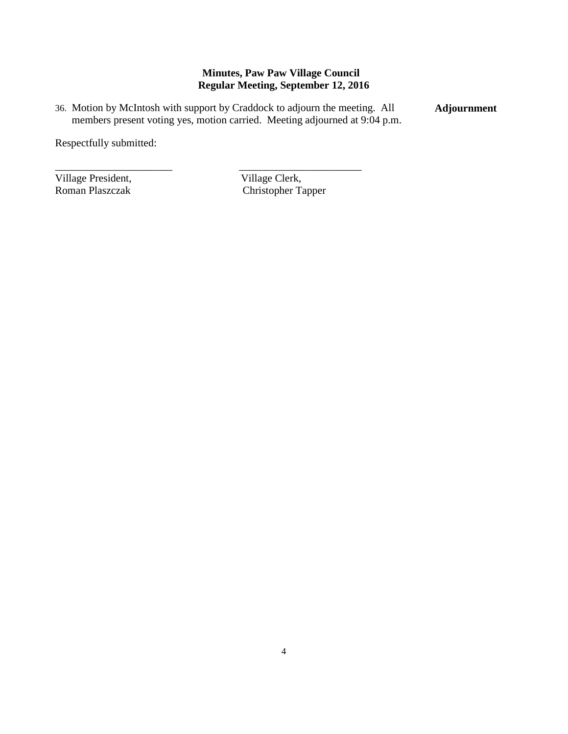36. Motion by McIntosh with support by Craddock to adjourn the meeting. All members present voting yes, motion carried. Meeting adjourned at 9:04 p.m. **Adjournment**

\_\_\_\_\_\_\_\_\_\_\_\_\_\_\_\_\_\_\_\_\_\_ \_\_\_\_\_\_\_\_\_\_\_\_\_\_\_\_\_\_\_\_\_\_\_

Respectfully submitted:

Village President, Village Clerk, Roman Plaszczak (Christopher Ta

Christopher Tapper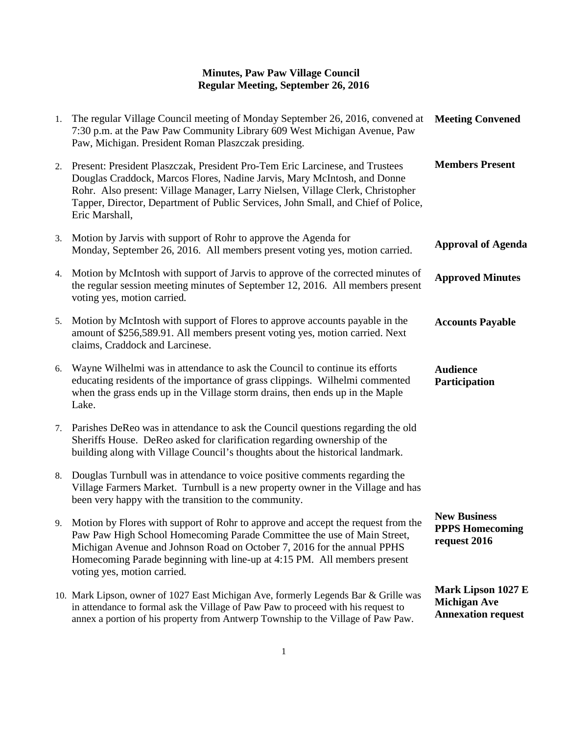| 1. | The regular Village Council meeting of Monday September 26, 2016, convened at<br>7:30 p.m. at the Paw Paw Community Library 609 West Michigan Avenue, Paw<br>Paw, Michigan. President Roman Plaszczak presiding.                                                                                                                                     | <b>Meeting Convened</b>                                                |
|----|------------------------------------------------------------------------------------------------------------------------------------------------------------------------------------------------------------------------------------------------------------------------------------------------------------------------------------------------------|------------------------------------------------------------------------|
| 2. | Present: President Plaszczak, President Pro-Tem Eric Larcinese, and Trustees<br>Douglas Craddock, Marcos Flores, Nadine Jarvis, Mary McIntosh, and Donne<br>Rohr. Also present: Village Manager, Larry Nielsen, Village Clerk, Christopher<br>Tapper, Director, Department of Public Services, John Small, and Chief of Police,<br>Eric Marshall,    | <b>Members Present</b>                                                 |
| 3. | Motion by Jarvis with support of Rohr to approve the Agenda for<br>Monday, September 26, 2016. All members present voting yes, motion carried.                                                                                                                                                                                                       | <b>Approval of Agenda</b>                                              |
| 4. | Motion by McIntosh with support of Jarvis to approve of the corrected minutes of<br>the regular session meeting minutes of September 12, 2016. All members present<br>voting yes, motion carried.                                                                                                                                                    | <b>Approved Minutes</b>                                                |
| 5. | Motion by McIntosh with support of Flores to approve accounts payable in the<br>amount of \$256,589.91. All members present voting yes, motion carried. Next<br>claims, Craddock and Larcinese.                                                                                                                                                      | <b>Accounts Payable</b>                                                |
| 6. | Wayne Wilhelmi was in attendance to ask the Council to continue its efforts<br>educating residents of the importance of grass clippings. Wilhelmi commented<br>when the grass ends up in the Village storm drains, then ends up in the Maple<br>Lake.                                                                                                | <b>Audience</b><br>Participation                                       |
| 7. | Parishes DeReo was in attendance to ask the Council questions regarding the old<br>Sheriffs House. DeReo asked for clarification regarding ownership of the<br>building along with Village Council's thoughts about the historical landmark.                                                                                                         |                                                                        |
| 8. | Douglas Turnbull was in attendance to voice positive comments regarding the<br>Village Farmers Market. Turnbull is a new property owner in the Village and has<br>been very happy with the transition to the community.                                                                                                                              |                                                                        |
|    | 9. Motion by Flores with support of Rohr to approve and accept the request from the<br>Paw Paw High School Homecoming Parade Committee the use of Main Street,<br>Michigan Avenue and Johnson Road on October 7, 2016 for the annual PPHS<br>Homecoming Parade beginning with line-up at 4:15 PM. All members present<br>voting yes, motion carried. | <b>New Business</b><br><b>PPPS Homecoming</b><br>request 2016          |
|    | 10. Mark Lipson, owner of 1027 East Michigan Ave, formerly Legends Bar & Grille was<br>in attendance to formal ask the Village of Paw Paw to proceed with his request to<br>annex a portion of his property from Antwerp Township to the Village of Paw Paw.                                                                                         | Mark Lipson 1027 E<br><b>Michigan Ave</b><br><b>Annexation request</b> |
|    |                                                                                                                                                                                                                                                                                                                                                      |                                                                        |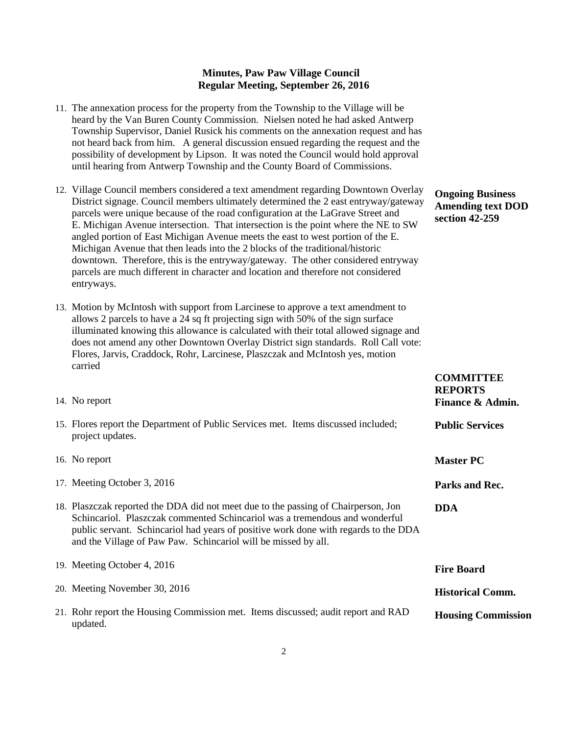- 11. The annexation process for the property from the Township to the Village will be heard by the Van Buren County Commission. Nielsen noted he had asked Antwerp Township Supervisor, Daniel Rusick his comments on the annexation request and has not heard back from him. A general discussion ensued regarding the request and the possibility of development by Lipson. It was noted the Council would hold approval until hearing from Antwerp Township and the County Board of Commissions.
- 12. Village Council members considered a text amendment regarding Downtown Overlay District signage. Council members ultimately determined the 2 east entryway/gateway parcels were unique because of the road configuration at the LaGrave Street and E. Michigan Avenue intersection. That intersection is the point where the NE to SW angled portion of East Michigan Avenue meets the east to west portion of the E. Michigan Avenue that then leads into the 2 blocks of the traditional/historic downtown. Therefore, this is the entryway/gateway. The other considered entryway parcels are much different in character and location and therefore not considered entryways.
- 13. Motion by McIntosh with support from Larcinese to approve a text amendment to allows 2 parcels to have a 24 sq ft projecting sign with 50% of the sign surface illuminated knowing this allowance is calculated with their total allowed signage and does not amend any other Downtown Overlay District sign standards. Roll Call vote: Flores, Jarvis, Craddock, Rohr, Larcinese, Plaszczak and McIntosh yes, motion carried

**Ongoing Business Amending text DOD section 42-259**

**COMMITTEE** 

| 14. No report                                                                                                                                                                                                                                                                                                              | <b>REPORTS</b><br>Finance & Admin. |
|----------------------------------------------------------------------------------------------------------------------------------------------------------------------------------------------------------------------------------------------------------------------------------------------------------------------------|------------------------------------|
| 15. Flores report the Department of Public Services met. Items discussed included;<br>project updates.                                                                                                                                                                                                                     | <b>Public Services</b>             |
| 16. No report                                                                                                                                                                                                                                                                                                              | <b>Master PC</b>                   |
| 17. Meeting October 3, 2016                                                                                                                                                                                                                                                                                                | Parks and Rec.                     |
| 18. Plaszczak reported the DDA did not meet due to the passing of Chairperson, Jon<br>Schincariol. Plaszczak commented Schincariol was a tremendous and wonderful<br>public servant. Schincariol had years of positive work done with regards to the DDA<br>and the Village of Paw Paw. Schincariol will be missed by all. | <b>DDA</b>                         |
| 19. Meeting October 4, 2016                                                                                                                                                                                                                                                                                                | <b>Fire Board</b>                  |
| 20. Meeting November 30, 2016                                                                                                                                                                                                                                                                                              | <b>Historical Comm.</b>            |
| 21. Rohr report the Housing Commission met. Items discussed; audit report and RAD<br>updated.                                                                                                                                                                                                                              | <b>Housing Commission</b>          |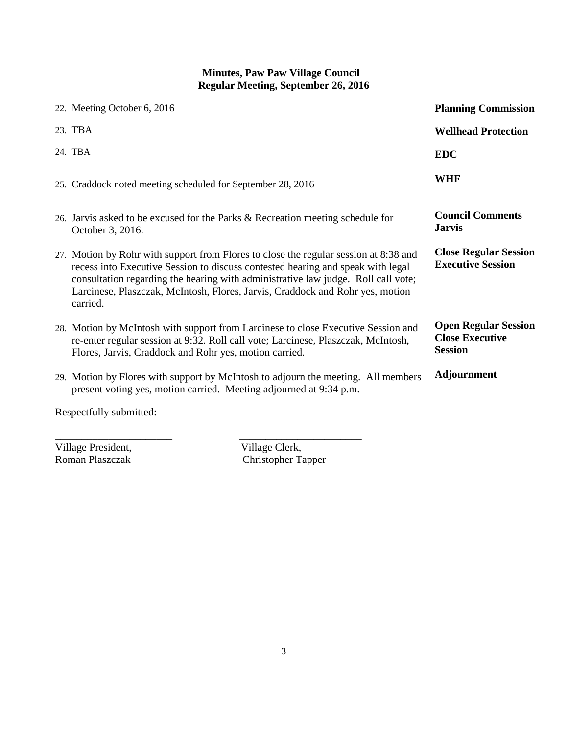| 22. Meeting October 6, 2016                                                                                                                                                                                                                                                                                                                               | <b>Planning Commission</b>                                              |
|-----------------------------------------------------------------------------------------------------------------------------------------------------------------------------------------------------------------------------------------------------------------------------------------------------------------------------------------------------------|-------------------------------------------------------------------------|
| 23. TBA                                                                                                                                                                                                                                                                                                                                                   | <b>Wellhead Protection</b>                                              |
| 24. TBA                                                                                                                                                                                                                                                                                                                                                   | <b>EDC</b>                                                              |
| 25. Craddock noted meeting scheduled for September 28, 2016                                                                                                                                                                                                                                                                                               | <b>WHF</b>                                                              |
| 26. Jarvis asked to be excused for the Parks & Recreation meeting schedule for<br>October 3, 2016.                                                                                                                                                                                                                                                        | <b>Council Comments</b><br><b>Jarvis</b>                                |
| 27. Motion by Rohr with support from Flores to close the regular session at 8:38 and<br>recess into Executive Session to discuss contested hearing and speak with legal<br>consultation regarding the hearing with administrative law judge. Roll call vote;<br>Larcinese, Plaszczak, McIntosh, Flores, Jarvis, Craddock and Rohr yes, motion<br>carried. | <b>Close Regular Session</b><br><b>Executive Session</b>                |
| 28. Motion by McIntosh with support from Larcinese to close Executive Session and<br>re-enter regular session at 9:32. Roll call vote; Larcinese, Plaszczak, McIntosh,<br>Flores, Jarvis, Craddock and Rohr yes, motion carried.                                                                                                                          | <b>Open Regular Session</b><br><b>Close Executive</b><br><b>Session</b> |
| 29. Motion by Flores with support by McIntosh to adjourn the meeting. All members<br>present voting yes, motion carried. Meeting adjourned at 9:34 p.m.                                                                                                                                                                                                   | <b>Adjournment</b>                                                      |
| $\mathbf{D}$ $\mathbf{C}$ 11 $\mathbf{1}$ $\mathbf{1}$ $\mathbf{1}$                                                                                                                                                                                                                                                                                       |                                                                         |

Respectfully submitted:

Village President,<br>Roman Plaszczak

\_\_\_\_\_\_\_\_\_\_\_\_\_\_\_\_\_\_\_\_\_\_ \_\_\_\_\_\_\_\_\_\_\_\_\_\_\_\_\_\_\_\_\_\_\_ Village Clerk,<br>Christopher Tapper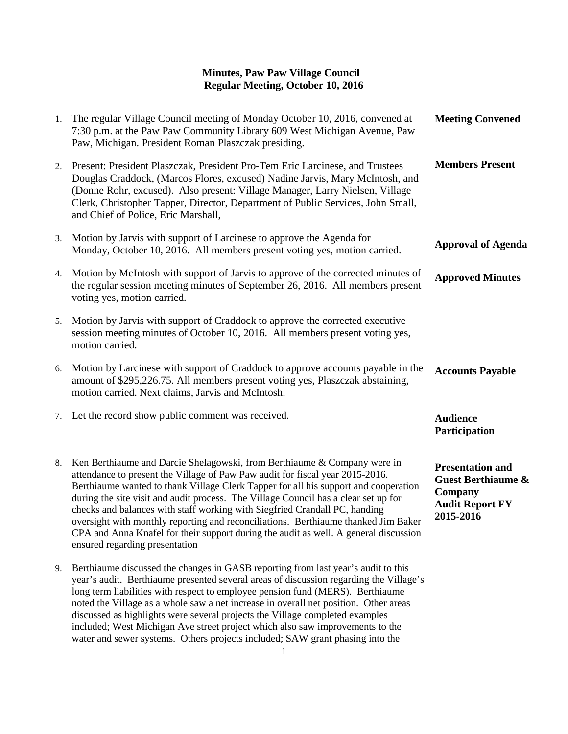| 1. | The regular Village Council meeting of Monday October 10, 2016, convened at<br>7:30 p.m. at the Paw Paw Community Library 609 West Michigan Avenue, Paw<br>Paw, Michigan. President Roman Plaszczak presiding.                                                                                                                                                                                                                                                                                                                                                                                                                        | <b>Meeting Convened</b>                                                                                    |
|----|---------------------------------------------------------------------------------------------------------------------------------------------------------------------------------------------------------------------------------------------------------------------------------------------------------------------------------------------------------------------------------------------------------------------------------------------------------------------------------------------------------------------------------------------------------------------------------------------------------------------------------------|------------------------------------------------------------------------------------------------------------|
| 2. | Present: President Plaszczak, President Pro-Tem Eric Larcinese, and Trustees<br>Douglas Craddock, (Marcos Flores, excused) Nadine Jarvis, Mary McIntosh, and<br>(Donne Rohr, excused). Also present: Village Manager, Larry Nielsen, Village<br>Clerk, Christopher Tapper, Director, Department of Public Services, John Small,<br>and Chief of Police, Eric Marshall,                                                                                                                                                                                                                                                                | <b>Members Present</b>                                                                                     |
|    | 3. Motion by Jarvis with support of Larcinese to approve the Agenda for<br>Monday, October 10, 2016. All members present voting yes, motion carried.                                                                                                                                                                                                                                                                                                                                                                                                                                                                                  | <b>Approval of Agenda</b>                                                                                  |
| 4. | Motion by McIntosh with support of Jarvis to approve of the corrected minutes of<br>the regular session meeting minutes of September 26, 2016. All members present<br>voting yes, motion carried.                                                                                                                                                                                                                                                                                                                                                                                                                                     | <b>Approved Minutes</b>                                                                                    |
| 5. | Motion by Jarvis with support of Craddock to approve the corrected executive<br>session meeting minutes of October 10, 2016. All members present voting yes,<br>motion carried.                                                                                                                                                                                                                                                                                                                                                                                                                                                       |                                                                                                            |
| 6. | Motion by Larcinese with support of Craddock to approve accounts payable in the<br>amount of \$295,226.75. All members present voting yes, Plaszczak abstaining,<br>motion carried. Next claims, Jarvis and McIntosh.                                                                                                                                                                                                                                                                                                                                                                                                                 | <b>Accounts Payable</b>                                                                                    |
|    | 7. Let the record show public comment was received.                                                                                                                                                                                                                                                                                                                                                                                                                                                                                                                                                                                   | <b>Audience</b><br>Participation                                                                           |
| 8. | Ken Berthiaume and Darcie Shelagowski, from Berthiaume & Company were in<br>attendance to present the Village of Paw Paw audit for fiscal year 2015-2016.<br>Berthiaume wanted to thank Village Clerk Tapper for all his support and cooperation<br>during the site visit and audit process. The Village Council has a clear set up for<br>checks and balances with staff working with Siegfried Crandall PC, handing<br>oversight with monthly reporting and reconciliations. Berthiaume thanked Jim Baker<br>CPA and Anna Knafel for their support during the audit as well. A general discussion<br>ensured regarding presentation | <b>Presentation and</b><br><b>Guest Berthiaume &amp;</b><br>Company<br><b>Audit Report FY</b><br>2015-2016 |
|    | 9. Berthiaume discussed the changes in GASB reporting from last year's audit to this<br>year's audit. Berthiaume presented several areas of discussion regarding the Village's                                                                                                                                                                                                                                                                                                                                                                                                                                                        |                                                                                                            |

long term liabilities with respect to employee pension fund (MERS). Berthiaume noted the Village as a whole saw a net increase in overall net position. Other areas discussed as highlights were several projects the Village completed examples included; West Michigan Ave street project which also saw improvements to the water and sewer systems. Others projects included; SAW grant phasing into the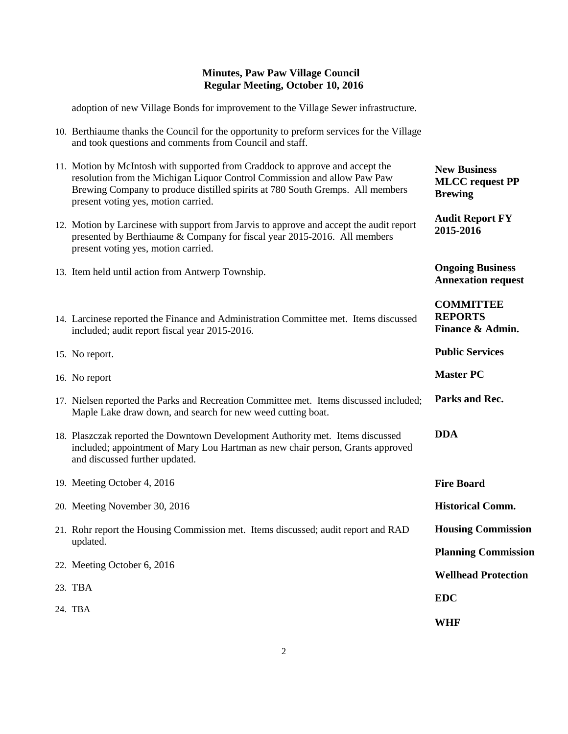**New Business MLCC request PP** 

**Audit Report FY** 

**Ongoing Business Annexation request**

**COMMITTEE REPORTS**

**Public Services** 

**Master PC**

**Finance & Admin.**

**Brewing** 

**2015-2016**

adoption of new Village Bonds for improvement to the Village Sewer infrastructure.

- 10. Berthiaume thanks the Council for the opportunity to preform services for the Village and took questions and comments from Council and staff.
- 11. Motion by McIntosh with supported from Craddock to approve and accept the resolution from the Michigan Liquor Control Commission and allow Paw Paw Brewing Company to produce distilled spirits at 780 South Gremps. All members present voting yes, motion carried.
- 12. Motion by Larcinese with support from Jarvis to approve and accept the audit report presented by Berthiaume & Company for fiscal year 2015-2016. All members present voting yes, motion carried.
- 13. Item held until action from Antwerp Township.
- 14. Larcinese reported the Finance and Administration Committee met. Items discussed included; audit report fiscal year 2015-2016.
- 15. No report.
- 16. No report
- 17. Nielsen reported the Parks and Recreation Committee met. Items discussed included; Maple Lake draw down, and search for new weed cutting boat. **Parks and Rec.**
- 18. Plaszczak reported the Downtown Development Authority met. Items discussed included; appointment of Mary Lou Hartman as new chair person, Grants approved and discussed further updated. **DDA**
- 19. Meeting October 4, 2016 20. Meeting November 30, 2016 21. Rohr report the Housing Commission met. Items discussed; audit report and RAD updated. 22. Meeting October 6, 2016 23. TBA 24. TBA **Fire Board Historical Comm. Housing Commission Planning Commission Wellhead Protection EDC WHF**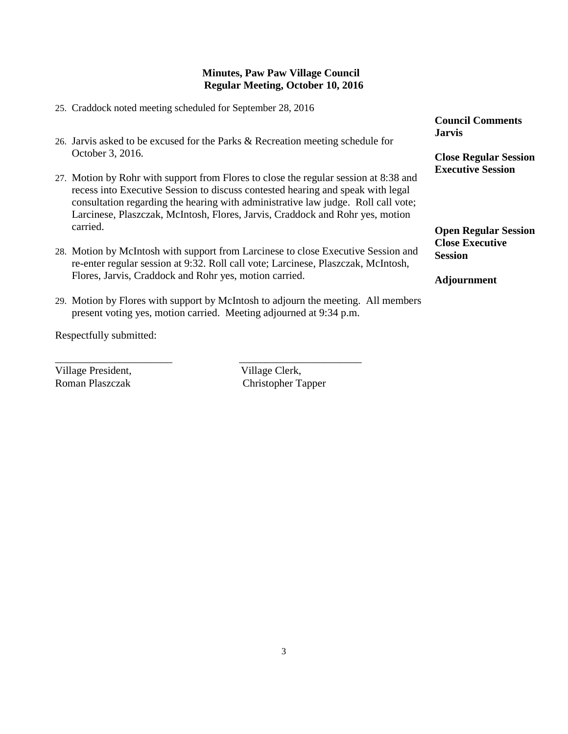- 25. Craddock noted meeting scheduled for September 28, 2016
- 26. Jarvis asked to be excused for the Parks & Recreation meeting schedule for October 3, 2016.
- 27. Motion by Rohr with support from Flores to close the regular session at 8:38 and recess into Executive Session to discuss contested hearing and speak with legal consultation regarding the hearing with administrative law judge. Roll call vote; Larcinese, Plaszczak, McIntosh, Flores, Jarvis, Craddock and Rohr yes, motion carried.
- 28. Motion by McIntosh with support from Larcinese to close Executive Session and re-enter regular session at 9:32. Roll call vote; Larcinese, Plaszczak, McIntosh, Flores, Jarvis, Craddock and Rohr yes, motion carried.
- 29. Motion by Flores with support by McIntosh to adjourn the meeting. All members present voting yes, motion carried. Meeting adjourned at 9:34 p.m.

\_\_\_\_\_\_\_\_\_\_\_\_\_\_\_\_\_\_\_\_\_\_ \_\_\_\_\_\_\_\_\_\_\_\_\_\_\_\_\_\_\_\_\_\_\_

Respectfully submitted:

Village President, Village Clerk,

Roman Plaszczak Christopher Tapper

**Council Comments Jarvis**

**Close Regular Session Executive Session**

**Open Regular Session Close Executive Session**

**Adjournment**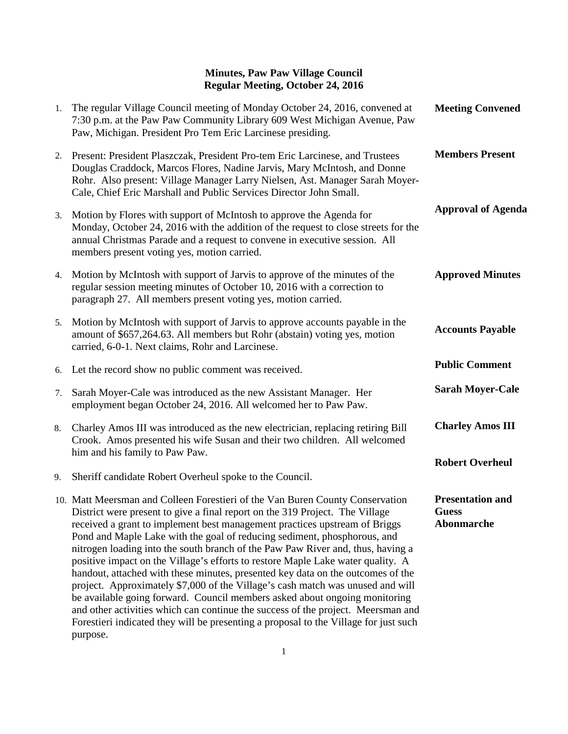| 1. | The regular Village Council meeting of Monday October 24, 2016, convened at<br>7:30 p.m. at the Paw Paw Community Library 609 West Michigan Avenue, Paw<br>Paw, Michigan. President Pro Tem Eric Larcinese presiding.                                                                                                                                                                                                                                                                                                                                                                                                                                                                                                                                                                                                                                                                                                                    | <b>Meeting Convened</b>                               |
|----|------------------------------------------------------------------------------------------------------------------------------------------------------------------------------------------------------------------------------------------------------------------------------------------------------------------------------------------------------------------------------------------------------------------------------------------------------------------------------------------------------------------------------------------------------------------------------------------------------------------------------------------------------------------------------------------------------------------------------------------------------------------------------------------------------------------------------------------------------------------------------------------------------------------------------------------|-------------------------------------------------------|
| 2. | Present: President Plaszczak, President Pro-tem Eric Larcinese, and Trustees<br>Douglas Craddock, Marcos Flores, Nadine Jarvis, Mary McIntosh, and Donne<br>Rohr. Also present: Village Manager Larry Nielsen, Ast. Manager Sarah Moyer-<br>Cale, Chief Eric Marshall and Public Services Director John Small.                                                                                                                                                                                                                                                                                                                                                                                                                                                                                                                                                                                                                           | <b>Members Present</b>                                |
| 3. | Motion by Flores with support of McIntosh to approve the Agenda for<br>Monday, October 24, 2016 with the addition of the request to close streets for the<br>annual Christmas Parade and a request to convene in executive session. All<br>members present voting yes, motion carried.                                                                                                                                                                                                                                                                                                                                                                                                                                                                                                                                                                                                                                                   | <b>Approval of Agenda</b>                             |
| 4. | Motion by McIntosh with support of Jarvis to approve of the minutes of the<br>regular session meeting minutes of October 10, 2016 with a correction to<br>paragraph 27. All members present voting yes, motion carried.                                                                                                                                                                                                                                                                                                                                                                                                                                                                                                                                                                                                                                                                                                                  | <b>Approved Minutes</b>                               |
| 5. | Motion by McIntosh with support of Jarvis to approve accounts payable in the<br>amount of \$657,264.63. All members but Rohr (abstain) voting yes, motion<br>carried, 6-0-1. Next claims, Rohr and Larcinese.                                                                                                                                                                                                                                                                                                                                                                                                                                                                                                                                                                                                                                                                                                                            | <b>Accounts Payable</b>                               |
| 6. | Let the record show no public comment was received.                                                                                                                                                                                                                                                                                                                                                                                                                                                                                                                                                                                                                                                                                                                                                                                                                                                                                      | <b>Public Comment</b>                                 |
| 7. | Sarah Moyer-Cale was introduced as the new Assistant Manager. Her<br>employment began October 24, 2016. All welcomed her to Paw Paw.                                                                                                                                                                                                                                                                                                                                                                                                                                                                                                                                                                                                                                                                                                                                                                                                     | <b>Sarah Moyer-Cale</b>                               |
| 8. | Charley Amos III was introduced as the new electrician, replacing retiring Bill<br>Crook. Amos presented his wife Susan and their two children. All welcomed<br>him and his family to Paw Paw.                                                                                                                                                                                                                                                                                                                                                                                                                                                                                                                                                                                                                                                                                                                                           | <b>Charley Amos III</b>                               |
| 9. | Sheriff candidate Robert Overheul spoke to the Council.                                                                                                                                                                                                                                                                                                                                                                                                                                                                                                                                                                                                                                                                                                                                                                                                                                                                                  | <b>Robert Overheul</b>                                |
|    | 10. Matt Meersman and Colleen Forestieri of the Van Buren County Conservation<br>District were present to give a final report on the 319 Project. The Village<br>received a grant to implement best management practices upstream of Briggs<br>Pond and Maple Lake with the goal of reducing sediment, phosphorous, and<br>nitrogen loading into the south branch of the Paw Paw River and, thus, having a<br>positive impact on the Village's efforts to restore Maple Lake water quality. A<br>handout, attached with these minutes, presented key data on the outcomes of the<br>project. Approximately \$7,000 of the Village's cash match was unused and will<br>be available going forward. Council members asked about ongoing monitoring<br>and other activities which can continue the success of the project. Meersman and<br>Forestieri indicated they will be presenting a proposal to the Village for just such<br>purpose. | <b>Presentation and</b><br><b>Guess</b><br>Abonmarche |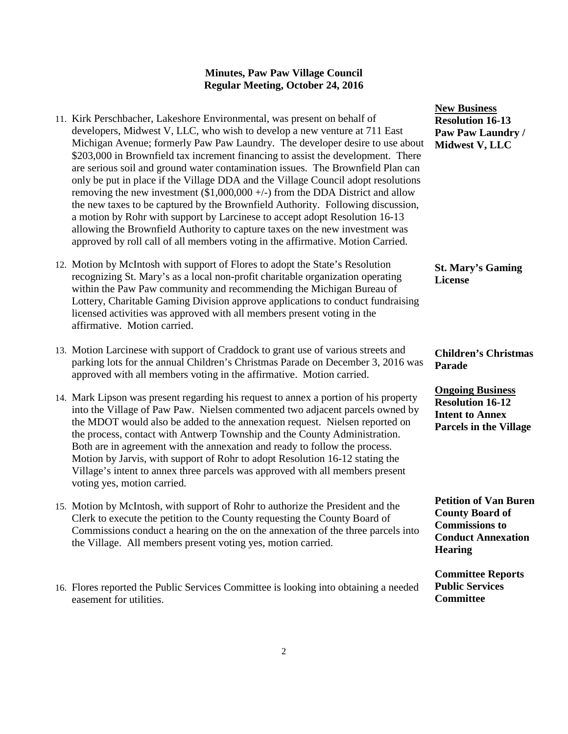|                                                                                   | <b>INGW 1</b> |
|-----------------------------------------------------------------------------------|---------------|
| 11. Kirk Perschbacher, Lakeshore Environmental, was present on behalf of          | <b>Resol</b>  |
| developers, Midwest V, LLC, who wish to develop a new venture at 711 East         | Paw I         |
| Michigan Avenue; formerly Paw Paw Laundry. The developer desire to use about      | <b>Midw</b>   |
| \$203,000 in Brownfield tax increment financing to assist the development. There  |               |
| are serious soil and ground water contamination issues. The Brownfield Plan can   |               |
| only be put in place if the Village DDA and the Village Council adopt resolutions |               |
| removing the new investment $(\$1,000,000 +/-)$ from the DDA District and allow   |               |
| the new taxes to be captured by the Brownfield Authority. Following discussion,   |               |
| a motion by Rohr with support by Larcinese to accept adopt Resolution 16-13       |               |
| allowing the Brownfield Authority to capture taxes on the new investment was      |               |
| approved by roll call of all members voting in the affirmative. Motion Carried.   |               |
|                                                                                   |               |
|                                                                                   |               |

- 12. Motion by McIntosh with support of Flores to adopt the State's Resolution recognizing St. Mary's as a local non-profit charitable organization operating within the Paw Paw community and recommending the Michigan Bureau of Lottery, Charitable Gaming Division approve applications to conduct fundraising licensed activities was approved with all members present voting in the affirmative. Motion carried.
- 13. Motion Larcinese with support of Craddock to grant use of various streets and parking lots for the annual Children's Christmas Parade on December 3, 2016 was approved with all members voting in the affirmative. Motion carried.
- 14. Mark Lipson was present regarding his request to annex a portion of his property into the Village of Paw Paw. Nielsen commented two adjacent parcels owned by the MDOT would also be added to the annexation request. Nielsen reported on the process, contact with Antwerp Township and the County Administration. Both are in agreement with the annexation and ready to follow the process. Motion by Jarvis, with support of Rohr to adopt Resolution 16-12 stating the Village's intent to annex three parcels was approved with all members present voting yes, motion carried.
- 15. Motion by McIntosh, with support of Rohr to authorize the President and the Clerk to execute the petition to the County requesting the County Board of Commissions conduct a hearing on the on the annexation of the three parcels into the Village. All members present voting yes, motion carried.
- 16. Flores reported the Public Services Committee is looking into obtaining a needed easement for utilities.

**New Business Resolution 16-13 Paw Paw Laundry /**  *Mest* **V**, LLC

**St. Mary's Gaming License**

**Children's Christmas Parade**

**Ongoing Business Resolution 16-12 Intent to Annex Parcels in the Village**

**Petition of Van Buren County Board of Commissions to Conduct Annexation Hearing**

**Committee Reports Public Services Committee**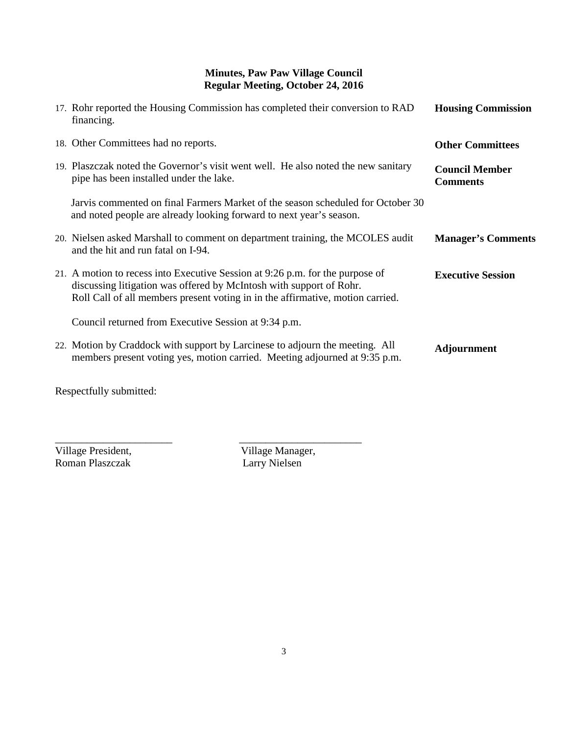| 17. Rohr reported the Housing Commission has completed their conversion to RAD<br>financing.                                                                                                                                           | <b>Housing Commission</b>                |
|----------------------------------------------------------------------------------------------------------------------------------------------------------------------------------------------------------------------------------------|------------------------------------------|
| 18. Other Committees had no reports.                                                                                                                                                                                                   | <b>Other Committees</b>                  |
| 19. Plaszczak noted the Governor's visit went well. He also noted the new sanitary<br>pipe has been installed under the lake.                                                                                                          | <b>Council Member</b><br><b>Comments</b> |
| Jarvis commented on final Farmers Market of the season scheduled for October 30<br>and noted people are already looking forward to next year's season.                                                                                 |                                          |
| 20. Nielsen asked Marshall to comment on department training, the MCOLES audit<br>and the hit and run fatal on I-94.                                                                                                                   | <b>Manager's Comments</b>                |
| 21. A motion to recess into Executive Session at 9:26 p.m. for the purpose of<br>discussing litigation was offered by McIntosh with support of Rohr.<br>Roll Call of all members present voting in in the affirmative, motion carried. | <b>Executive Session</b>                 |
| Council returned from Executive Session at 9:34 p.m.                                                                                                                                                                                   |                                          |
| 22. Motion by Craddock with support by Larcinese to adjourn the meeting. All<br>members present voting yes, motion carried. Meeting adjourned at 9:35 p.m.                                                                             | <b>Adjournment</b>                       |

Respectfully submitted:

Roman Plaszczak

\_\_\_\_\_\_\_\_\_\_\_\_\_\_\_\_\_\_\_\_\_\_ \_\_\_\_\_\_\_\_\_\_\_\_\_\_\_\_\_\_\_\_\_\_\_ Village President,<br>
Roman Plaszczak<br>
Larry Nielsen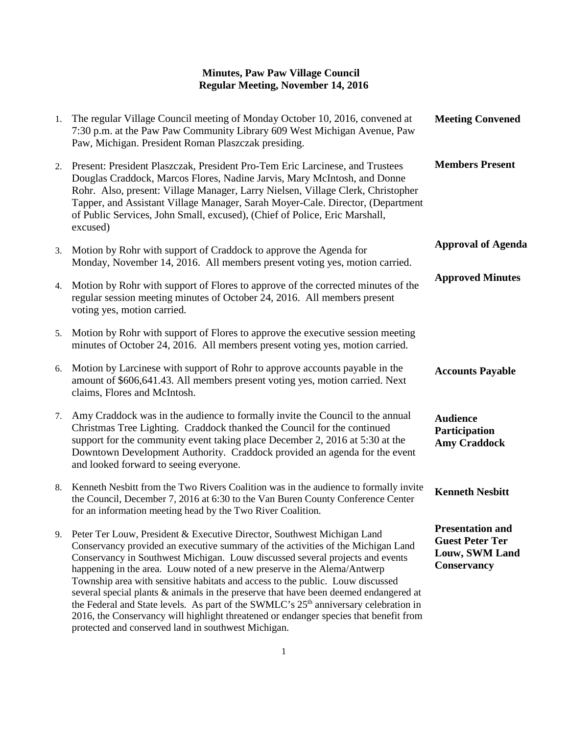| 1. | The regular Village Council meeting of Monday October 10, 2016, convened at<br>7:30 p.m. at the Paw Paw Community Library 609 West Michigan Avenue, Paw<br>Paw, Michigan. President Roman Plaszczak presiding.                                                                                                                                                                                                                                                                                                                                                                                                                                                                                                                                         | <b>Meeting Convened</b>                                                                          |
|----|--------------------------------------------------------------------------------------------------------------------------------------------------------------------------------------------------------------------------------------------------------------------------------------------------------------------------------------------------------------------------------------------------------------------------------------------------------------------------------------------------------------------------------------------------------------------------------------------------------------------------------------------------------------------------------------------------------------------------------------------------------|--------------------------------------------------------------------------------------------------|
| 2. | Present: President Plaszczak, President Pro-Tem Eric Larcinese, and Trustees<br>Douglas Craddock, Marcos Flores, Nadine Jarvis, Mary McIntosh, and Donne<br>Rohr. Also, present: Village Manager, Larry Nielsen, Village Clerk, Christopher<br>Tapper, and Assistant Village Manager, Sarah Moyer-Cale. Director, (Department<br>of Public Services, John Small, excused), (Chief of Police, Eric Marshall,<br>excused)                                                                                                                                                                                                                                                                                                                                | <b>Members Present</b>                                                                           |
| 3. | Motion by Rohr with support of Craddock to approve the Agenda for<br>Monday, November 14, 2016. All members present voting yes, motion carried.                                                                                                                                                                                                                                                                                                                                                                                                                                                                                                                                                                                                        | <b>Approval of Agenda</b>                                                                        |
| 4. | Motion by Rohr with support of Flores to approve of the corrected minutes of the<br>regular session meeting minutes of October 24, 2016. All members present<br>voting yes, motion carried.                                                                                                                                                                                                                                                                                                                                                                                                                                                                                                                                                            | <b>Approved Minutes</b>                                                                          |
| 5. | Motion by Rohr with support of Flores to approve the executive session meeting<br>minutes of October 24, 2016. All members present voting yes, motion carried.                                                                                                                                                                                                                                                                                                                                                                                                                                                                                                                                                                                         |                                                                                                  |
| 6. | Motion by Larcinese with support of Rohr to approve accounts payable in the<br>amount of \$606,641.43. All members present voting yes, motion carried. Next<br>claims, Flores and McIntosh.                                                                                                                                                                                                                                                                                                                                                                                                                                                                                                                                                            | <b>Accounts Payable</b>                                                                          |
| 7. | Amy Craddock was in the audience to formally invite the Council to the annual<br>Christmas Tree Lighting. Craddock thanked the Council for the continued<br>support for the community event taking place December 2, 2016 at 5:30 at the<br>Downtown Development Authority. Craddock provided an agenda for the event<br>and looked forward to seeing everyone.                                                                                                                                                                                                                                                                                                                                                                                        | <b>Audience</b><br>Participation<br><b>Amy Craddock</b>                                          |
| 8. | Kenneth Nesbitt from the Two Rivers Coalition was in the audience to formally invite<br>the Council, December 7, 2016 at 6:30 to the Van Buren County Conference Center<br>for an information meeting head by the Two River Coalition.                                                                                                                                                                                                                                                                                                                                                                                                                                                                                                                 | <b>Kenneth Nesbitt</b>                                                                           |
| 9. | Peter Ter Louw, President & Executive Director, Southwest Michigan Land<br>Conservancy provided an executive summary of the activities of the Michigan Land<br>Conservancy in Southwest Michigan. Louw discussed several projects and events<br>happening in the area. Louw noted of a new preserve in the Alema/Antwerp<br>Township area with sensitive habitats and access to the public. Louw discussed<br>several special plants & animals in the preserve that have been deemed endangered at<br>the Federal and State levels. As part of the SWMLC's 25 <sup>th</sup> anniversary celebration in<br>2016, the Conservancy will highlight threatened or endanger species that benefit from<br>protected and conserved land in southwest Michigan. | <b>Presentation and</b><br><b>Guest Peter Ter</b><br><b>Louw, SWM Land</b><br><b>Conservancy</b> |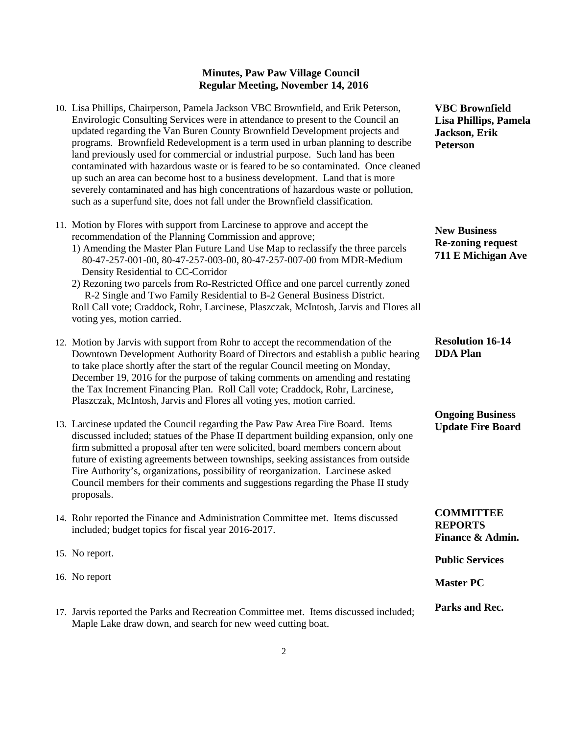- 10. Lisa Phillips, Chairperson, Pamela Jackson VBC Brownfield, and Erik Peterson, Envirologic Consulting Services were in attendance to present to the Council an updated regarding the Van Buren County Brownfield Development projects and programs. Brownfield Redevelopment is a term used in urban planning to describe land previously used for commercial or industrial purpose. Such land has been contaminated with hazardous waste or is feared to be so contaminated. Once cleaned up such an area can become host to a business development. Land that is more severely contaminated and has high concentrations of hazardous waste or pollution, such as a superfund site, does not fall under the Brownfield classification.
- 11. Motion by Flores with support from Larcinese to approve and accept the recommendation of the Planning Commission and approve;
	- 1) Amending the Master Plan Future Land Use Map to reclassify the three parcels 80-47-257-001-00, 80-47-257-003-00, 80-47-257-007-00 from MDR-Medium Density Residential to CC-Corridor
	- 2) Rezoning two parcels from Ro-Restricted Office and one parcel currently zoned R-2 Single and Two Family Residential to B-2 General Business District. Roll Call vote; Craddock, Rohr, Larcinese, Plaszczak, McIntosh, Jarvis and Flores all voting yes, motion carried.
- 12. Motion by Jarvis with support from Rohr to accept the recommendation of the Downtown Development Authority Board of Directors and establish a public hearing to take place shortly after the start of the regular Council meeting on Monday, December 19, 2016 for the purpose of taking comments on amending and restating the Tax Increment Financing Plan. Roll Call vote; Craddock, Rohr, Larcinese, Plaszczak, McIntosh, Jarvis and Flores all voting yes, motion carried.
- 13. Larcinese updated the Council regarding the Paw Paw Area Fire Board. Items discussed included; statues of the Phase II department building expansion, only one firm submitted a proposal after ten were solicited, board members concern about future of existing agreements between townships, seeking assistances from outside Fire Authority's, organizations, possibility of reorganization. Larcinese asked Council members for their comments and suggestions regarding the Phase II study proposals.
- 14. Rohr reported the Finance and Administration Committee met. Items discussed included; budget topics for fiscal year 2016-2017.
- 15. No report.
- 16. No report
- 17. Jarvis reported the Parks and Recreation Committee met. Items discussed included; Maple Lake draw down, and search for new weed cutting boat.

**VBC Brownfield Lisa Phillips, Pamela Jackson, Erik Peterson**

**New Business Re-zoning request 711 E Michigan Ave**

**Resolution 16-14 DDA Plan**

#### **Ongoing Business Update Fire Board**

**COMMITTEE REPORTS Finance & Admin.**

**Public Services** 

**Master PC**

**Parks and Rec.**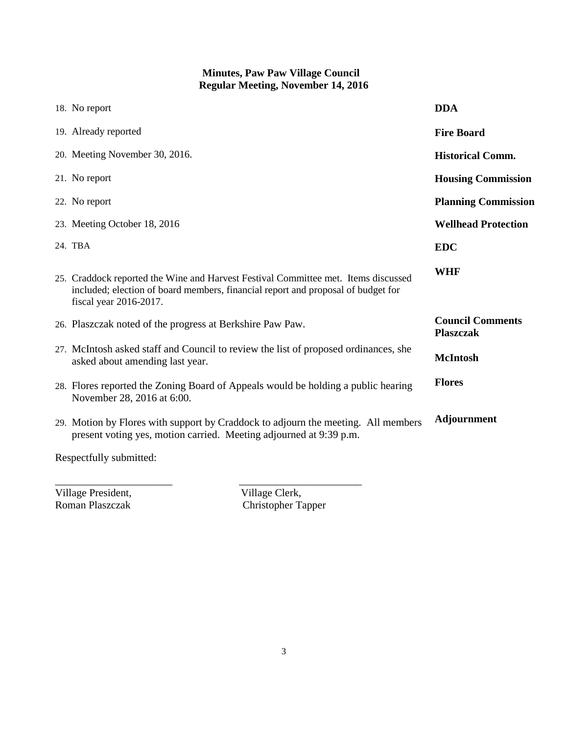| 18. No report                                                                                                                                                                                    | <b>DDA</b>                                  |
|--------------------------------------------------------------------------------------------------------------------------------------------------------------------------------------------------|---------------------------------------------|
| 19. Already reported                                                                                                                                                                             | <b>Fire Board</b>                           |
| 20. Meeting November 30, 2016.                                                                                                                                                                   | <b>Historical Comm.</b>                     |
| 21. No report                                                                                                                                                                                    | <b>Housing Commission</b>                   |
| 22. No report                                                                                                                                                                                    | <b>Planning Commission</b>                  |
| 23. Meeting October 18, 2016                                                                                                                                                                     | <b>Wellhead Protection</b>                  |
| 24. TBA                                                                                                                                                                                          | <b>EDC</b>                                  |
| 25. Craddock reported the Wine and Harvest Festival Committee met. Items discussed<br>included; election of board members, financial report and proposal of budget for<br>fiscal year 2016-2017. | <b>WHF</b>                                  |
| 26. Plaszczak noted of the progress at Berkshire Paw Paw.                                                                                                                                        | <b>Council Comments</b><br><b>Plaszczak</b> |
| 27. McIntosh asked staff and Council to review the list of proposed ordinances, she<br>asked about amending last year.                                                                           | <b>McIntosh</b>                             |
| 28. Flores reported the Zoning Board of Appeals would be holding a public hearing<br>November 28, 2016 at 6:00.                                                                                  | <b>Flores</b>                               |
| 29. Motion by Flores with support by Craddock to adjourn the meeting. All members<br>present voting yes, motion carried. Meeting adjourned at 9:39 p.m.                                          | <b>Adjournment</b>                          |
|                                                                                                                                                                                                  |                                             |

Respectfully submitted:

Village President,<br>Roman Plaszczak

Village Clerk,<br>Christopher Tapper

\_\_\_\_\_\_\_\_\_\_\_\_\_\_\_\_\_\_\_\_\_\_ \_\_\_\_\_\_\_\_\_\_\_\_\_\_\_\_\_\_\_\_\_\_\_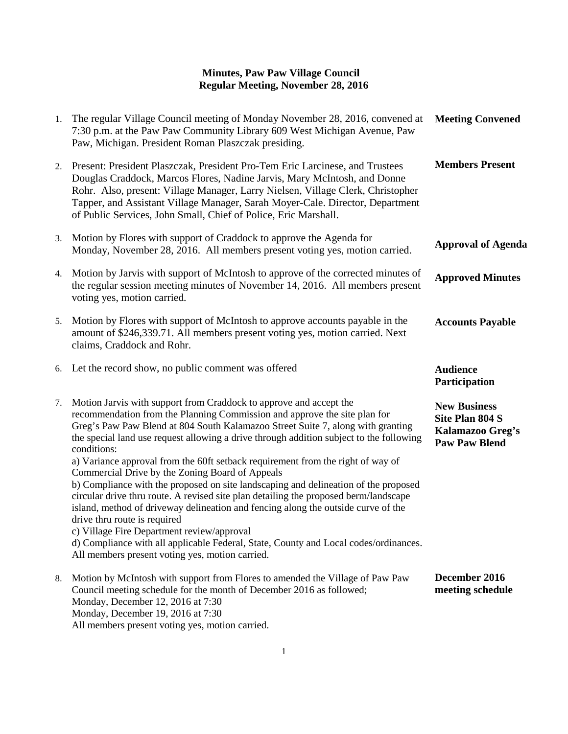| 1. | The regular Village Council meeting of Monday November 28, 2016, convened at<br>7:30 p.m. at the Paw Paw Community Library 609 West Michigan Avenue, Paw<br>Paw, Michigan. President Roman Plaszczak presiding.                                                                                                                                                                                                                                                                                                                                                                                                                                                                                                                                                                                                                                                                                                                                                                 | <b>Meeting Convened</b>                                                            |
|----|---------------------------------------------------------------------------------------------------------------------------------------------------------------------------------------------------------------------------------------------------------------------------------------------------------------------------------------------------------------------------------------------------------------------------------------------------------------------------------------------------------------------------------------------------------------------------------------------------------------------------------------------------------------------------------------------------------------------------------------------------------------------------------------------------------------------------------------------------------------------------------------------------------------------------------------------------------------------------------|------------------------------------------------------------------------------------|
| 2. | Present: President Plaszczak, President Pro-Tem Eric Larcinese, and Trustees<br>Douglas Craddock, Marcos Flores, Nadine Jarvis, Mary McIntosh, and Donne<br>Rohr. Also, present: Village Manager, Larry Nielsen, Village Clerk, Christopher<br>Tapper, and Assistant Village Manager, Sarah Moyer-Cale. Director, Department<br>of Public Services, John Small, Chief of Police, Eric Marshall.                                                                                                                                                                                                                                                                                                                                                                                                                                                                                                                                                                                 | <b>Members Present</b>                                                             |
| 3. | Motion by Flores with support of Craddock to approve the Agenda for<br>Monday, November 28, 2016. All members present voting yes, motion carried.                                                                                                                                                                                                                                                                                                                                                                                                                                                                                                                                                                                                                                                                                                                                                                                                                               | <b>Approval of Agenda</b>                                                          |
| 4. | Motion by Jarvis with support of McIntosh to approve of the corrected minutes of<br>the regular session meeting minutes of November 14, 2016. All members present<br>voting yes, motion carried.                                                                                                                                                                                                                                                                                                                                                                                                                                                                                                                                                                                                                                                                                                                                                                                | <b>Approved Minutes</b>                                                            |
| 5. | Motion by Flores with support of McIntosh to approve accounts payable in the<br>amount of \$246,339.71. All members present voting yes, motion carried. Next<br>claims, Craddock and Rohr.                                                                                                                                                                                                                                                                                                                                                                                                                                                                                                                                                                                                                                                                                                                                                                                      | <b>Accounts Payable</b>                                                            |
| 6. | Let the record show, no public comment was offered                                                                                                                                                                                                                                                                                                                                                                                                                                                                                                                                                                                                                                                                                                                                                                                                                                                                                                                              | <b>Audience</b><br>Participation                                                   |
| 7. | Motion Jarvis with support from Craddock to approve and accept the<br>recommendation from the Planning Commission and approve the site plan for<br>Greg's Paw Paw Blend at 804 South Kalamazoo Street Suite 7, along with granting<br>the special land use request allowing a drive through addition subject to the following<br>conditions:<br>a) Variance approval from the 60ft setback requirement from the right of way of<br>Commercial Drive by the Zoning Board of Appeals<br>b) Compliance with the proposed on site landscaping and delineation of the proposed<br>circular drive thru route. A revised site plan detailing the proposed berm/landscape<br>island, method of driveway delineation and fencing along the outside curve of the<br>drive thru route is required<br>c) Village Fire Department review/approval<br>d) Compliance with all applicable Federal, State, County and Local codes/ordinances.<br>All members present voting yes, motion carried. | <b>New Business</b><br>Site Plan 804 S<br>Kalamazoo Greg's<br><b>Paw Paw Blend</b> |
| 8. | Motion by McIntosh with support from Flores to amended the Village of Paw Paw<br>Council meeting schedule for the month of December 2016 as followed;<br>Monday, December 12, 2016 at 7:30<br>Monday, December 19, 2016 at 7:30                                                                                                                                                                                                                                                                                                                                                                                                                                                                                                                                                                                                                                                                                                                                                 | December 2016<br>meeting schedule                                                  |

All members present voting yes, motion carried.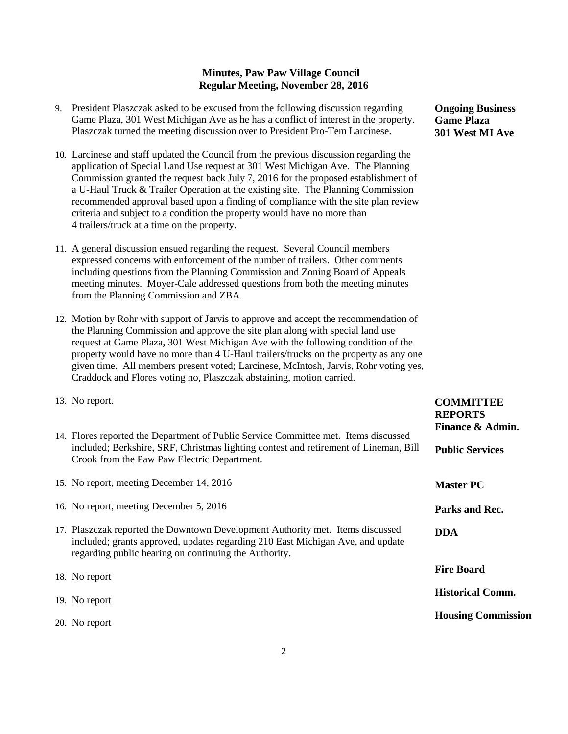- 9. President Plaszczak asked to be excused from the following discussion regarding Game Plaza, 301 West Michigan Ave as he has a conflict of interest in the property. Plaszczak turned the meeting discussion over to President Pro-Tem Larcinese.
- 10. Larcinese and staff updated the Council from the previous discussion regarding the application of Special Land Use request at 301 West Michigan Ave. The Planning Commission granted the request back July 7, 2016 for the proposed establishment of a U-Haul Truck & Trailer Operation at the existing site. The Planning Commission recommended approval based upon a finding of compliance with the site plan review criteria and subject to a condition the property would have no more than 4 trailers/truck at a time on the property.
- 11. A general discussion ensued regarding the request. Several Council members expressed concerns with enforcement of the number of trailers. Other comments including questions from the Planning Commission and Zoning Board of Appeals meeting minutes. Moyer-Cale addressed questions from both the meeting minutes from the Planning Commission and ZBA.
- 12. Motion by Rohr with support of Jarvis to approve and accept the recommendation of the Planning Commission and approve the site plan along with special land use request at Game Plaza, 301 West Michigan Ave with the following condition of the property would have no more than 4 U-Haul trailers/trucks on the property as any one given time. All members present voted; Larcinese, McIntosh, Jarvis, Rohr voting yes, Craddock and Flores voting no, Plaszczak abstaining, motion carried.
- 13. No report.
- 14. Flores reported the Department of Public Service Committee met. Item included; Berkshire, SRF, Christmas lighting contest and retirement of Crook from the Paw Paw Electric Department.

15. No report, meeting December 14, 2016

- 16. No report, meeting December 5, 2016
- 17. Plaszczak reported the Downtown Development Authority met. Items included; grants approved, updates regarding 210 East Michigan Ave, regarding public hearing on continuing the Authority.
- 18. No report
- 19. No report
- 20. No report

**Ongoing Business Game Plaza 301 West MI Ave**

| ns discussed<br>Lineman, Bill | UUNIVILLI DE<br><b>REPORTS</b><br>Finance & Admin.<br><b>Public Services</b> |
|-------------------------------|------------------------------------------------------------------------------|
|                               | <b>Master PC</b>                                                             |
|                               | Parks and Rec.                                                               |
| discussed<br>and update       | <b>DDA</b>                                                                   |
|                               | <b>Fire Board</b>                                                            |
|                               | <b>Historical Comm.</b>                                                      |
|                               | <b>Housing Commission</b>                                                    |
|                               |                                                                              |

**COMMITTEE**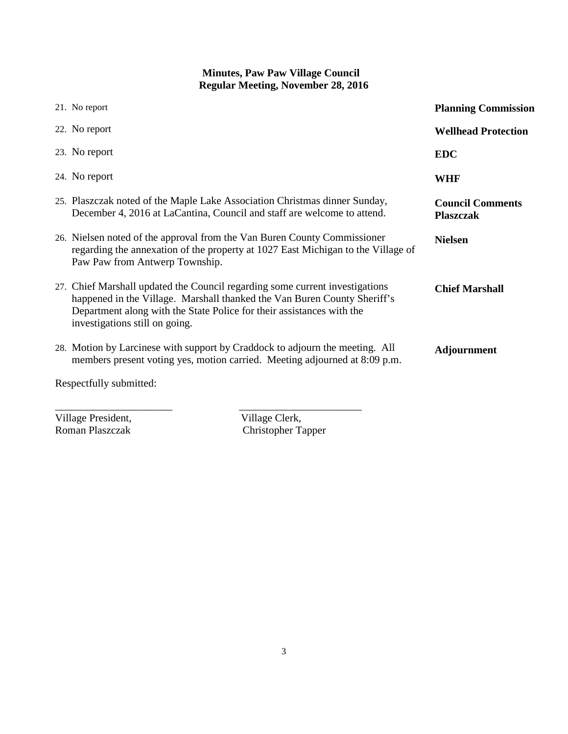|                         | 21. No report                                                                                                                                                                                                                                                       | <b>Planning Commission</b>                  |  |  |
|-------------------------|---------------------------------------------------------------------------------------------------------------------------------------------------------------------------------------------------------------------------------------------------------------------|---------------------------------------------|--|--|
|                         | 22. No report                                                                                                                                                                                                                                                       | <b>Wellhead Protection</b>                  |  |  |
|                         | 23. No report                                                                                                                                                                                                                                                       | <b>EDC</b>                                  |  |  |
|                         | 24. No report                                                                                                                                                                                                                                                       | <b>WHF</b>                                  |  |  |
|                         | 25. Plaszczak noted of the Maple Lake Association Christmas dinner Sunday,<br>December 4, 2016 at LaCantina, Council and staff are welcome to attend.                                                                                                               | <b>Council Comments</b><br><b>Plaszczak</b> |  |  |
|                         | 26. Nielsen noted of the approval from the Van Buren County Commissioner<br>regarding the annexation of the property at 1027 East Michigan to the Village of<br>Paw Paw from Antwerp Township.                                                                      | <b>Nielsen</b>                              |  |  |
|                         | 27. Chief Marshall updated the Council regarding some current investigations<br>happened in the Village. Marshall thanked the Van Buren County Sheriff's<br>Department along with the State Police for their assistances with the<br>investigations still on going. | <b>Chief Marshall</b>                       |  |  |
|                         | 28. Motion by Larcinese with support by Craddock to adjourn the meeting. All<br>members present voting yes, motion carried. Meeting adjourned at 8:09 p.m.                                                                                                          | <b>Adjournment</b>                          |  |  |
| Respectfully submitted: |                                                                                                                                                                                                                                                                     |                                             |  |  |

Village President,<br>Roman Plaszczak

Village Clerk,<br>Christopher Tapper

\_\_\_\_\_\_\_\_\_\_\_\_\_\_\_\_\_\_\_\_\_\_ \_\_\_\_\_\_\_\_\_\_\_\_\_\_\_\_\_\_\_\_\_\_\_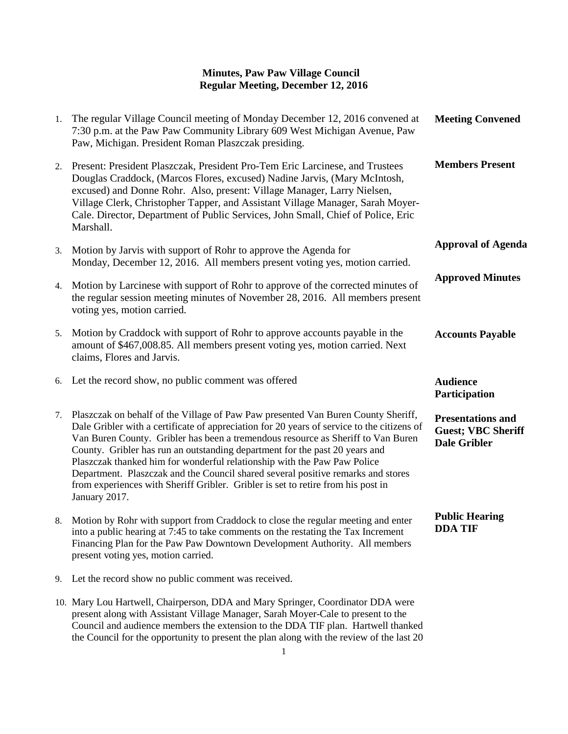| 1. | The regular Village Council meeting of Monday December 12, 2016 convened at<br>7:30 p.m. at the Paw Paw Community Library 609 West Michigan Avenue, Paw<br>Paw, Michigan. President Roman Plaszczak presiding.                                                                                                                                                                                                                                                                                                                                                                                                          | <b>Meeting Convened</b>                                                      |
|----|-------------------------------------------------------------------------------------------------------------------------------------------------------------------------------------------------------------------------------------------------------------------------------------------------------------------------------------------------------------------------------------------------------------------------------------------------------------------------------------------------------------------------------------------------------------------------------------------------------------------------|------------------------------------------------------------------------------|
| 2. | Present: President Plaszczak, President Pro-Tem Eric Larcinese, and Trustees<br>Douglas Craddock, (Marcos Flores, excused) Nadine Jarvis, (Mary McIntosh,<br>excused) and Donne Rohr. Also, present: Village Manager, Larry Nielsen,<br>Village Clerk, Christopher Tapper, and Assistant Village Manager, Sarah Moyer-<br>Cale. Director, Department of Public Services, John Small, Chief of Police, Eric<br>Marshall.                                                                                                                                                                                                 | <b>Members Present</b>                                                       |
| 3. | Motion by Jarvis with support of Rohr to approve the Agenda for<br>Monday, December 12, 2016. All members present voting yes, motion carried.                                                                                                                                                                                                                                                                                                                                                                                                                                                                           | <b>Approval of Agenda</b>                                                    |
| 4. | Motion by Larcinese with support of Rohr to approve of the corrected minutes of<br>the regular session meeting minutes of November 28, 2016. All members present<br>voting yes, motion carried.                                                                                                                                                                                                                                                                                                                                                                                                                         | <b>Approved Minutes</b>                                                      |
| 5. | Motion by Craddock with support of Rohr to approve accounts payable in the<br>amount of \$467,008.85. All members present voting yes, motion carried. Next<br>claims, Flores and Jarvis.                                                                                                                                                                                                                                                                                                                                                                                                                                | <b>Accounts Payable</b>                                                      |
| 6. | Let the record show, no public comment was offered                                                                                                                                                                                                                                                                                                                                                                                                                                                                                                                                                                      | <b>Audience</b><br>Participation                                             |
| 7. | Plaszczak on behalf of the Village of Paw Paw presented Van Buren County Sheriff,<br>Dale Gribler with a certificate of appreciation for 20 years of service to the citizens of<br>Van Buren County. Gribler has been a tremendous resource as Sheriff to Van Buren<br>County. Gribler has run an outstanding department for the past 20 years and<br>Plaszczak thanked him for wonderful relationship with the Paw Paw Police<br>Department. Plaszczak and the Council shared several positive remarks and stores<br>from experiences with Sheriff Gribler. Gribler is set to retire from his post in<br>January 2017. | <b>Presentations and</b><br><b>Guest; VBC Sheriff</b><br><b>Dale Gribler</b> |
| 8. | Motion by Rohr with support from Craddock to close the regular meeting and enter<br>into a public hearing at 7:45 to take comments on the restating the Tax Increment<br>Financing Plan for the Paw Paw Downtown Development Authority. All members<br>present voting yes, motion carried.                                                                                                                                                                                                                                                                                                                              | <b>Public Hearing</b><br><b>DDA TIF</b>                                      |
| 9. | Let the record show no public comment was received.                                                                                                                                                                                                                                                                                                                                                                                                                                                                                                                                                                     |                                                                              |
|    | 10. Mary Lou Hartwell, Chairperson, DDA and Mary Springer, Coordinator DDA were                                                                                                                                                                                                                                                                                                                                                                                                                                                                                                                                         |                                                                              |

present along with Assistant Village Manager, Sarah Moyer-Cale to present to the Council and audience members the extension to the DDA TIF plan. Hartwell thanked the Council for the opportunity to present the plan along with the review of the last 20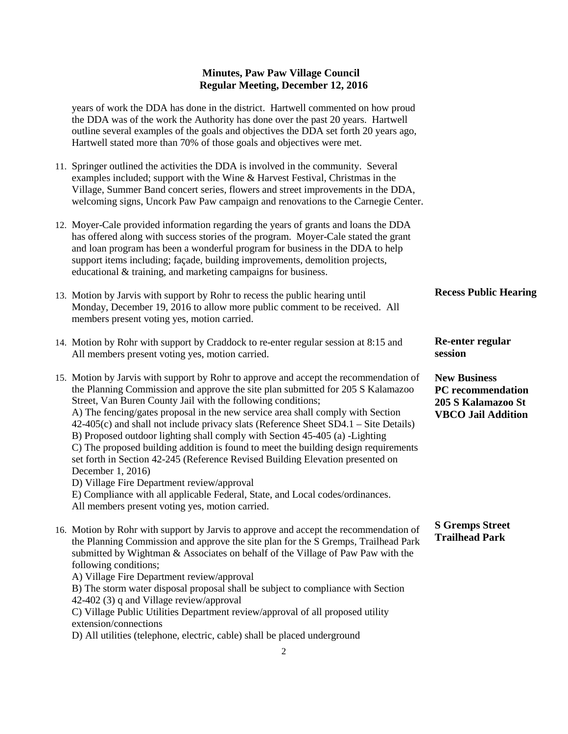#### **Minutes, Paw Paw Village Council Regular Meeting, December 12, 2016**

years of work the DDA has done in the district. Hartwell commented on how proud the DDA was of the work the Authority has done over the past 20 years. Hartwell outline several examples of the goals and objectives the DDA set forth 20 years ago, Hartwell stated more than 70% of those goals and objectives were met.

- 11. Springer outlined the activities the DDA is involved in the community. Several examples included; support with the Wine & Harvest Festival, Christmas in the Village, Summer Band concert series, flowers and street improvements in the DDA, welcoming signs, Uncork Paw Paw campaign and renovations to the Carnegie Center.
- 12. Moyer-Cale provided information regarding the years of grants and loans the DDA has offered along with success stories of the program. Moyer-Cale stated the grant and loan program has been a wonderful program for business in the DDA to help support items including; façade, building improvements, demolition projects, educational & training, and marketing campaigns for business.
- 13. Motion by Jarvis with support by Rohr to recess the public hearing until Monday, December 19, 2016 to allow more public comment to be received. All members present voting yes, motion carried. **Recess Public Hearing**

**Re-enter regular** 

**session**

- 14. Motion by Rohr with support by Craddock to re-enter regular session at 8:15 and All members present voting yes, motion carried.
- 15. Motion by Jarvis with support by Rohr to approve and accept the recommendation of the Planning Commission and approve the site plan submitted for 205 S Kalamazoo Street, Van Buren County Jail with the following conditions; A) The fencing/gates proposal in the new service area shall comply with Section 42-405(c) and shall not include privacy slats (Reference Sheet SD4.1 – Site Details) B) Proposed outdoor lighting shall comply with Section 45-405 (a) -Lighting C) The proposed building addition is found to meet the building design requirements set forth in Section 42-245 (Reference Revised Building Elevation presented on December 1, 2016) D) Village Fire Department review/approval **New Business PC recommendation 205 S Kalamazoo St VBCO Jail Addition**

E) Compliance with all applicable Federal, State, and Local codes/ordinances. All members present voting yes, motion carried.

16. Motion by Rohr with support by Jarvis to approve and accept the recommendation of the Planning Commission and approve the site plan for the S Gremps, Trailhead Park submitted by Wightman & Associates on behalf of the Village of Paw Paw with the following conditions; **S Gremps Street Trailhead Park**

A) Village Fire Department review/approval

B) The storm water disposal proposal shall be subject to compliance with Section 42-402 (3) q and Village review/approval

C) Village Public Utilities Department review/approval of all proposed utility extension/connections

D) All utilities (telephone, electric, cable) shall be placed underground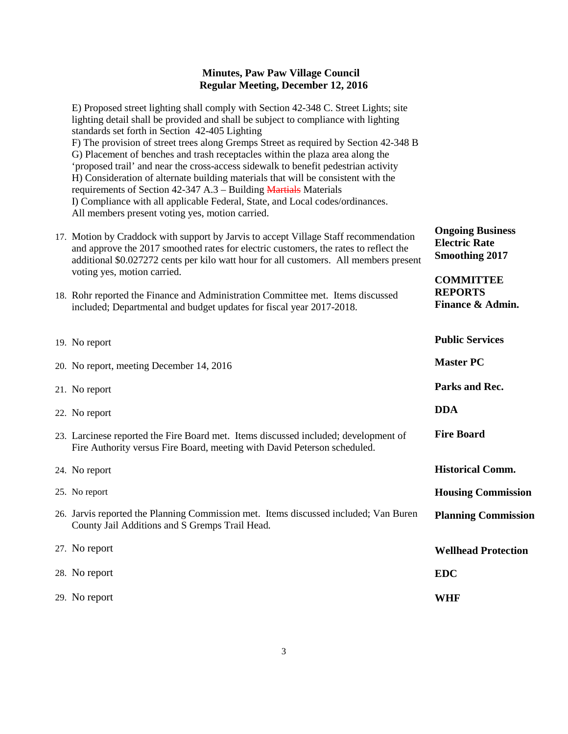#### **Minutes, Paw Paw Village Council Regular Meeting, December 12, 2016**

E) Proposed street lighting shall comply with Section 42-348 C. Street Lights; site lighting detail shall be provided and shall be subject to compliance with lighting standards set forth in Section 42-405 Lighting F) The provision of street trees along Gremps Street as required by Section 42-348 B G) Placement of benches and trash receptacles within the plaza area along the 'proposed trail' and near the cross-access sidewalk to benefit pedestrian activity H) Consideration of alternate building materials that will be consistent with the requirements of Section 42-347 A.3 – Building Martials Materials I) Compliance with all applicable Federal, State, and Local codes/ordinances. All members present voting yes, motion carried.

- 17. Motion by Craddock with support by Jarvis to accept Village Staff recommendation and approve the 2017 smoothed rates for electric customers, the rates to reflect the additional \$0.027272 cents per kilo watt hour for all customers. All members present voting yes, motion carried. **Ongoing Business Electric Rate Smoothing 2017 COMMITTEE**
- 18. Rohr reported the Finance and Administration Committee met. Items discussed included; Departmental and budget updates for fiscal year 2017-2018.

| 19. No report                                                                                                                                                   | <b>Public Services</b>     |
|-----------------------------------------------------------------------------------------------------------------------------------------------------------------|----------------------------|
| 20. No report, meeting December 14, 2016                                                                                                                        | <b>Master PC</b>           |
| 21. No report                                                                                                                                                   | Parks and Rec.             |
| 22. No report                                                                                                                                                   | <b>DDA</b>                 |
| 23. Larcinese reported the Fire Board met. Items discussed included; development of<br>Fire Authority versus Fire Board, meeting with David Peterson scheduled. | <b>Fire Board</b>          |
| 24. No report                                                                                                                                                   | <b>Historical Comm.</b>    |
| 25. No report                                                                                                                                                   | <b>Housing Commission</b>  |
| 26. Jarvis reported the Planning Commission met. Items discussed included; Van Buren<br>County Jail Additions and S Gremps Trail Head.                          | <b>Planning Commission</b> |
| 27. No report                                                                                                                                                   | <b>Wellhead Protection</b> |
| 28. No report                                                                                                                                                   | <b>EDC</b>                 |
| 29. No report                                                                                                                                                   | WHF                        |
|                                                                                                                                                                 |                            |

**REPORTS**

**Finance & Admin.**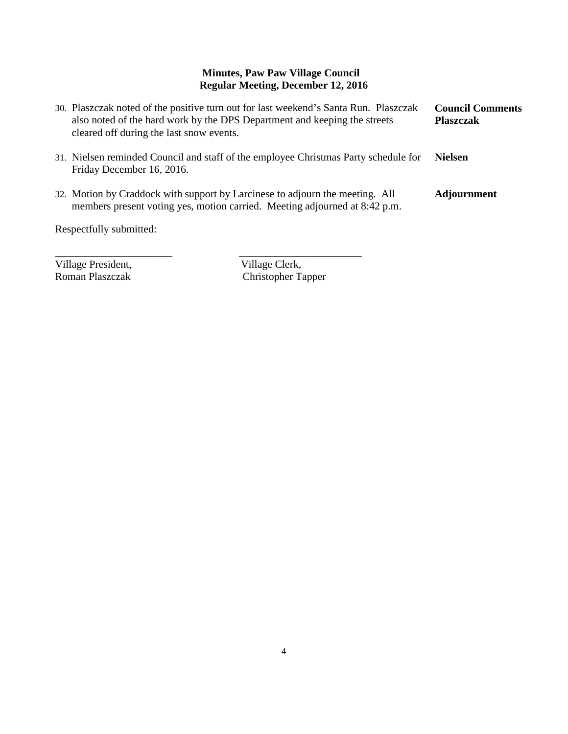# **Minutes, Paw Paw Village Council Regular Meeting, December 12, 2016**

| 30. Plaszczak noted of the positive turn out for last weekend's Santa Run. Plaszczak<br>also noted of the hard work by the DPS Department and keeping the streets<br>cleared off during the last snow events. | <b>Council Comments</b><br><b>Plaszczak</b> |
|---------------------------------------------------------------------------------------------------------------------------------------------------------------------------------------------------------------|---------------------------------------------|
| 31. Nielsen reminded Council and staff of the employee Christmas Party schedule for<br>Friday December 16, 2016.                                                                                              | <b>Nielsen</b>                              |
| 32. Motion by Craddock with support by Larcinese to adjourn the meeting. All<br>members present voting yes, motion carried. Meeting adjourned at 8:42 p.m.                                                    | <b>Adjournment</b>                          |
| Respectfully submitted:                                                                                                                                                                                       |                                             |

\_\_\_\_\_\_\_\_\_\_\_\_\_\_\_\_\_\_\_\_\_\_ \_\_\_\_\_\_\_\_\_\_\_\_\_\_\_\_\_\_\_\_\_\_\_

Village President,<br>
Roman Plaszczak<br>
Christopher Ta Christopher Tapper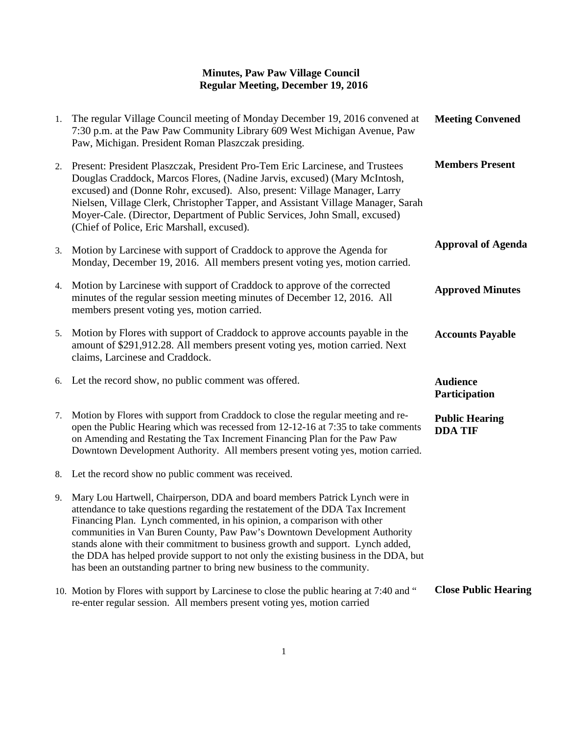### **Minutes, Paw Paw Village Council Regular Meeting, December 19, 2016**

| 1. | The regular Village Council meeting of Monday December 19, 2016 convened at<br>7:30 p.m. at the Paw Paw Community Library 609 West Michigan Avenue, Paw<br>Paw, Michigan. President Roman Plaszczak presiding.                                                                                                                                                                                                                                                                                                                                                                | <b>Meeting Convened</b>                 |
|----|-------------------------------------------------------------------------------------------------------------------------------------------------------------------------------------------------------------------------------------------------------------------------------------------------------------------------------------------------------------------------------------------------------------------------------------------------------------------------------------------------------------------------------------------------------------------------------|-----------------------------------------|
| 2. | Present: President Plaszczak, President Pro-Tem Eric Larcinese, and Trustees<br>Douglas Craddock, Marcos Flores, (Nadine Jarvis, excused) (Mary McIntosh,<br>excused) and (Donne Rohr, excused). Also, present: Village Manager, Larry<br>Nielsen, Village Clerk, Christopher Tapper, and Assistant Village Manager, Sarah<br>Moyer-Cale. (Director, Department of Public Services, John Small, excused)<br>(Chief of Police, Eric Marshall, excused).                                                                                                                        | <b>Members Present</b>                  |
| 3. | Motion by Larcinese with support of Craddock to approve the Agenda for<br>Monday, December 19, 2016. All members present voting yes, motion carried.                                                                                                                                                                                                                                                                                                                                                                                                                          | <b>Approval of Agenda</b>               |
| 4. | Motion by Larcinese with support of Craddock to approve of the corrected<br>minutes of the regular session meeting minutes of December 12, 2016. All<br>members present voting yes, motion carried.                                                                                                                                                                                                                                                                                                                                                                           | <b>Approved Minutes</b>                 |
| 5. | Motion by Flores with support of Craddock to approve accounts payable in the<br>amount of \$291,912.28. All members present voting yes, motion carried. Next<br>claims, Larcinese and Craddock.                                                                                                                                                                                                                                                                                                                                                                               | <b>Accounts Payable</b>                 |
|    | 6. Let the record show, no public comment was offered.                                                                                                                                                                                                                                                                                                                                                                                                                                                                                                                        | <b>Audience</b><br>Participation        |
| 7. | Motion by Flores with support from Craddock to close the regular meeting and re-<br>open the Public Hearing which was recessed from 12-12-16 at 7:35 to take comments<br>on Amending and Restating the Tax Increment Financing Plan for the Paw Paw<br>Downtown Development Authority. All members present voting yes, motion carried.                                                                                                                                                                                                                                        | <b>Public Hearing</b><br><b>DDA TIF</b> |
| 8. | Let the record show no public comment was received.                                                                                                                                                                                                                                                                                                                                                                                                                                                                                                                           |                                         |
| 9. | Mary Lou Hartwell, Chairperson, DDA and board members Patrick Lynch were in<br>attendance to take questions regarding the restatement of the DDA Tax Increment<br>Financing Plan. Lynch commented, in his opinion, a comparison with other<br>communities in Van Buren County, Paw Paw's Downtown Development Authority<br>stands alone with their commitment to business growth and support. Lynch added,<br>the DDA has helped provide support to not only the existing business in the DDA, but<br>has been an outstanding partner to bring new business to the community. |                                         |
|    | 10. Motion by Flores with support by Larcinese to close the public hearing at 7:40 and "<br>re-enter regular session. All members present voting yes, motion carried                                                                                                                                                                                                                                                                                                                                                                                                          | <b>Close Public Hearing</b>             |